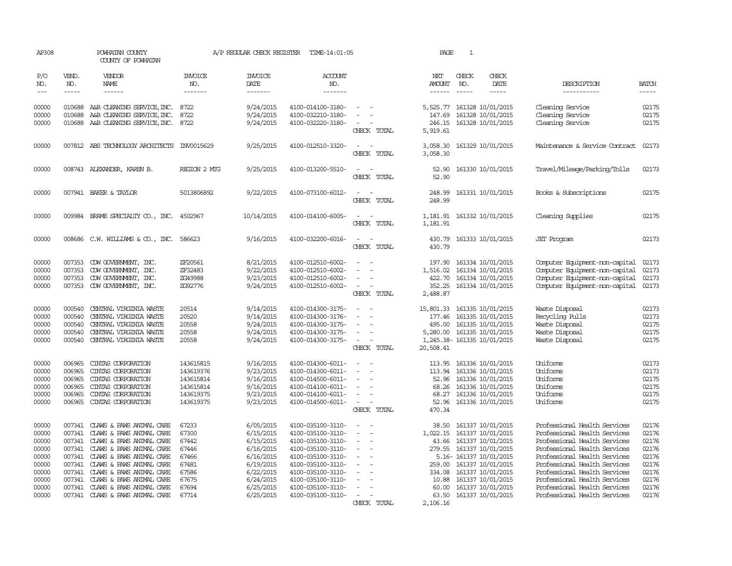| AP308                                                                                  |                                                          | POWHATAN COUNTY<br>COUNTY OF POWHATAN                                                                                                                                                                                                                                                                                                                      |                                                                                        | A/P REGULAR CHECK REGISTER                                                                                                     | TIME-14:01:05                                                                                                                                                                                                  |                                                                                                                                                                                                               | PAGE                                                                                  | $\mathbf{1}$                                                                                                                                                                                                                |                                                                                                                                                                                                                                                                                                                              |                                                                                        |
|----------------------------------------------------------------------------------------|----------------------------------------------------------|------------------------------------------------------------------------------------------------------------------------------------------------------------------------------------------------------------------------------------------------------------------------------------------------------------------------------------------------------------|----------------------------------------------------------------------------------------|--------------------------------------------------------------------------------------------------------------------------------|----------------------------------------------------------------------------------------------------------------------------------------------------------------------------------------------------------------|---------------------------------------------------------------------------------------------------------------------------------------------------------------------------------------------------------------|---------------------------------------------------------------------------------------|-----------------------------------------------------------------------------------------------------------------------------------------------------------------------------------------------------------------------------|------------------------------------------------------------------------------------------------------------------------------------------------------------------------------------------------------------------------------------------------------------------------------------------------------------------------------|----------------------------------------------------------------------------------------|
| P/O<br>NO.                                                                             | VEND.<br>NO.                                             | <b>VENDOR</b><br>NAME                                                                                                                                                                                                                                                                                                                                      | <b>INVOICE</b><br>NO.                                                                  | <b>INVOICE</b><br>DATE                                                                                                         | <b>ACCOUNT</b><br>NO.                                                                                                                                                                                          |                                                                                                                                                                                                               | NET<br><b>AMOUNT</b>                                                                  | CHECK<br>CHECK<br>NO.<br>DATE                                                                                                                                                                                               | DESCRIPTION                                                                                                                                                                                                                                                                                                                  | <b>BATCH</b>                                                                           |
| $---$                                                                                  | $- - - - -$                                              | $- - - - - -$                                                                                                                                                                                                                                                                                                                                              | -------                                                                                | -------                                                                                                                        | -------                                                                                                                                                                                                        |                                                                                                                                                                                                               | $- - - - - -$                                                                         | $- - - - -$<br>-----                                                                                                                                                                                                        | -----------                                                                                                                                                                                                                                                                                                                  | -----                                                                                  |
| 00000<br>00000<br>00000                                                                | 010688                                                   | 010688 A&B CLEANING SERVICE, INC.<br>A&B CLEANING SERVICE, INC.<br>010688 A&B CLEANING SERVICE, INC.                                                                                                                                                                                                                                                       | 8722<br>8722<br>8722                                                                   | 9/24/2015<br>9/24/2015<br>9/24/2015                                                                                            | 4100-014100-3180-<br>4100-032210-3180-<br>4100-032220-3180-                                                                                                                                                    | $\equiv$<br>$\sim$<br>CHECK TOTAL                                                                                                                                                                             | 147.69<br>246.15<br>5,919.61                                                          | 5,525.77 161328 10/01/2015<br>161328 10/01/2015<br>161328 10/01/2015                                                                                                                                                        | Cleaning Service<br>Cleaning Service<br>Cleaning Service                                                                                                                                                                                                                                                                     | 02175<br>02175<br>02175                                                                |
| 00000                                                                                  |                                                          | 007812 ABS TECHNOLOGY ARCHITECTS                                                                                                                                                                                                                                                                                                                           | INV0015629                                                                             | 9/25/2015                                                                                                                      | 4100-012510-3320-                                                                                                                                                                                              | CHECK TOTAL                                                                                                                                                                                                   | 3,058.30<br>3,058.30                                                                  | 161329 10/01/2015                                                                                                                                                                                                           | Maintenance & Service Contract                                                                                                                                                                                                                                                                                               | 02173                                                                                  |
| 00000                                                                                  |                                                          | 008743 ALEXANDER, KAREN B.                                                                                                                                                                                                                                                                                                                                 | REGION 2 MIG                                                                           | 9/25/2015                                                                                                                      | 4100-013200-5510-                                                                                                                                                                                              | CHECK TOTAL                                                                                                                                                                                                   | 52.90<br>52.90                                                                        | 161330 10/01/2015                                                                                                                                                                                                           | Travel/Mileage/Parking/Tolls                                                                                                                                                                                                                                                                                                 | 02173                                                                                  |
| 00000                                                                                  |                                                          | 007941 BAKER & TAYLOR                                                                                                                                                                                                                                                                                                                                      | 5013806892                                                                             | 9/22/2015                                                                                                                      | 4100-073100-6012-                                                                                                                                                                                              | $\overline{\phantom{a}}$<br>$\overline{\phantom{a}}$<br>CHECK TOTAL                                                                                                                                           | 248.99<br>248.99                                                                      | 161331 10/01/2015                                                                                                                                                                                                           | Books & Subscriptions                                                                                                                                                                                                                                                                                                        | 02175                                                                                  |
| 00000                                                                                  |                                                          | 009984 BRAME SPECIALITY CO., INC. 4502967                                                                                                                                                                                                                                                                                                                  |                                                                                        | 10/14/2015                                                                                                                     | 4100-014100-6005-                                                                                                                                                                                              | $\sim$<br>CHECK TOTAL                                                                                                                                                                                         | 1,181.91<br>1,181.91                                                                  | 161332 10/01/2015                                                                                                                                                                                                           | Cleaning Supplies                                                                                                                                                                                                                                                                                                            | 02175                                                                                  |
| 00000                                                                                  |                                                          | 008686 C.W. WILLIAMS & CO., INC.                                                                                                                                                                                                                                                                                                                           | 586623                                                                                 | 9/16/2015                                                                                                                      | 4100-032200-6016-                                                                                                                                                                                              | $\sim$<br>CHECK TOTAL                                                                                                                                                                                         | 430.79<br>430.79                                                                      | 161333 10/01/2015                                                                                                                                                                                                           | <b>JET</b> Program                                                                                                                                                                                                                                                                                                           | 02173                                                                                  |
| 00000<br>00000<br>00000<br>00000                                                       | 007353<br>007353<br>007353                               | CDW GOVERNMENT, INC.<br>CDW GOVERNMENT, INC.<br>CDW GOVERNMENT, INC.<br>007353 CDW GOVERNMENT, INC.                                                                                                                                                                                                                                                        | ZF20561<br>ZF32483<br>ZG49988<br>ZG92776                                               | 8/21/2015<br>9/22/2015<br>9/23/2015<br>9/24/2015                                                                               | 4100-012510-6002-<br>4100-012510-6002-<br>4100-012510-6002-<br>4100-012510-6002-                                                                                                                               | $\overline{\phantom{a}}$<br>$\equiv$<br>CHECK TOTAL                                                                                                                                                           | 197.90<br>1,516.02<br>422.70<br>352.25<br>2,488.87                                    | 161334 10/01/2015<br>161334 10/01/2015<br>161334 10/01/2015<br>161334 10/01/2015                                                                                                                                            | Computer Equipment-non-capital<br>Computer Equipment-non-capital<br>Computer Equipment-non-capital<br>Computer Equipment-non-capital                                                                                                                                                                                         | 02173<br>02173<br>02173<br>02173                                                       |
| 00000<br>00000<br>00000<br>00000<br>00000                                              | 000540<br>000540<br>000540<br>000540                     | CENTRAL VIRGINIA WASTE<br>CENTRAL VIRGINIA WASTE<br>CENTRAL VIRGINIA WASTE<br>CENTRAL VIRGINIA WASTE<br>000540 CENTRAL VIRGINIA WASTE                                                                                                                                                                                                                      | 20514<br>20520<br>20558<br>20558<br>20558                                              | 9/14/2015<br>9/14/2015<br>9/24/2015<br>9/24/2015<br>9/24/2015                                                                  | 4100-014300-3175-<br>4100-014300-3176-<br>4100-014300-3175-<br>4100-014300-3175-<br>4100-014300-3175-                                                                                                          | $\sim$<br>$\sim$<br>$\overline{\phantom{a}}$<br>CHECK TOTAL                                                                                                                                                   | 15,801.33<br>177.46<br>495.00<br>20,508.41                                            | 161335 10/01/2015<br>161335 10/01/2015<br>161335 10/01/2015<br>5,280.00 161335 10/01/2015<br>1,245.38-161335 10/01/2015                                                                                                     | Waste Disposal<br>Recycling Pulls<br>Waste Disposal<br>Waste Disposal<br>Waste Disposal                                                                                                                                                                                                                                      | 02173<br>02173<br>02175<br>02175<br>02175                                              |
| 00000<br>00000<br>00000<br>00000<br>00000<br>00000                                     | 006965<br>006965<br>006965<br>006965<br>006965<br>006965 | CINTAS CORPORATION<br>CINIAS CORPORATION<br>CINIAS CORPORATION<br>CINIAS CORPORATION<br>CINIAS CORPORATION<br>CINIAS CORPORATION                                                                                                                                                                                                                           | 143615815<br>143619376<br>143615814<br>143615814<br>143619375<br>143619375             | 9/16/2015<br>9/23/2015<br>9/16/2015<br>9/16/2015<br>9/23/2015<br>9/23/2015                                                     | 4100-014300-6011-<br>4100-014300-6011-<br>4100-014500-6011-<br>4100-014100-6011-<br>4100-014100-6011-<br>4100-014500-6011-                                                                                     | $\overline{\phantom{a}}$<br>$\overline{\phantom{a}}$<br>$\overline{\phantom{0}}$<br>$\overline{\phantom{a}}$<br>$\overline{\phantom{a}}$<br>$\overline{\phantom{a}}$<br>$\sim$<br>CHECK TOTAL                 | 113.95<br>113.94<br>52.96<br>68.26<br>68.27<br>52.96<br>470.34                        | 161336 10/01/2015<br>161336 10/01/2015<br>161336 10/01/2015<br>161336 10/01/2015<br>161336 10/01/2015<br>161336 10/01/2015                                                                                                  | Uniforms<br>Uniforms<br>Uniforms<br>Uniforms<br>Uniforms<br>Uniforms                                                                                                                                                                                                                                                         | 02173<br>02173<br>02175<br>02175<br>02175<br>02175                                     |
| 00000<br>00000<br>00000<br>00000<br>00000<br>00000<br>00000<br>00000<br>00000<br>00000 |                                                          | 007341 CLAWS & PAWS ANIMAL CARE<br>007341 CLAWS & PAWS ANIMAL CARE<br>007341 CLAWS & PAWS ANIMAL CARE<br>007341 CLAWS & PAWS ANIMAL CARE<br>007341 CLAWS & PAWS ANIMAL CARE<br>007341 CLAWS & PAWS ANIMAL CARE<br>007341 CLAWS & PAWS ANIMAL CARE<br>007341 CLAWS & PAWS ANIMAL CARE<br>007341 CLAWS & PAWS ANIMAL CARE<br>007341 CLAWS & PAWS ANIMAL CARE | 67233<br>67300<br>67442<br>67446<br>67466<br>67481<br>67586<br>67675<br>67694<br>67714 | 6/05/2015<br>6/15/2015<br>6/15/2015<br>6/16/2015<br>6/16/2015<br>6/19/2015<br>6/22/2015<br>6/24/2015<br>6/25/2015<br>6/25/2015 | 4100-035100-3110-<br>4100-035100-3110-<br>4100-035100-3110-<br>4100-035100-3110-<br>4100-035100-3110-<br>4100-035100-3110-<br>4100-035100-3110-<br>4100-035100-3110-<br>4100-035100-3110-<br>4100-035100-3110- | $\equiv$<br>$\sim$<br>$\overline{\phantom{a}}$<br>$\sim$<br>$\overline{\phantom{a}}$<br>$\overline{\phantom{a}}$<br>$\sim$<br>$\overline{\phantom{a}}$<br>$\equiv$<br>$\overline{\phantom{a}}$<br>CHECK TOTAL | 38.50<br>1,022.15<br>43.66<br>279.55<br>259.00<br>10.88<br>60.00<br>63.50<br>2,106.16 | 161337 10/01/2015<br>161337 10/01/2015<br>161337 10/01/2015<br>161337 10/01/2015<br>5.16- 161337 10/01/2015<br>161337 10/01/2015<br>334.08 161337 10/01/2015<br>161337 10/01/2015<br>161337 10/01/2015<br>161337 10/01/2015 | Professional Health Services<br>Professional Health Services<br>Professional Health Services<br>Professional Health Services<br>Professional Health Services<br>Professional Health Services<br>Professional Health Services<br>Professional Health Services<br>Professional Health Services<br>Professional Health Services | 02176<br>02176<br>02176<br>02176<br>02176<br>02176<br>02176<br>02176<br>02176<br>02176 |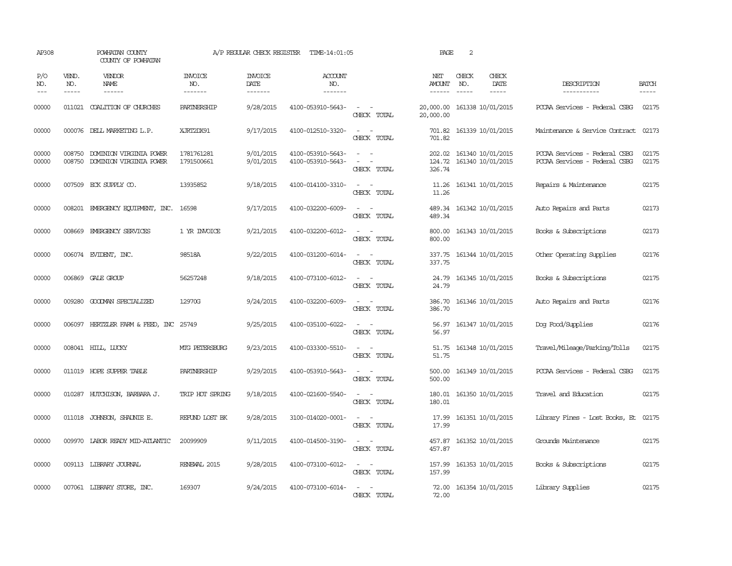| AP308              |                             | POWHATAN COUNTY<br>COUNTY OF POWHATAN              |                                  | A/P REGULAR CHECK REGISTER        | TIME-14:01:05                          |                                                            | PAGE                                  | 2            |                                        |                                                                |                       |
|--------------------|-----------------------------|----------------------------------------------------|----------------------------------|-----------------------------------|----------------------------------------|------------------------------------------------------------|---------------------------------------|--------------|----------------------------------------|----------------------------------------------------------------|-----------------------|
| P/O<br>NO.<br>$--$ | VEND.<br>NO.<br>$- - - - -$ | VENDOR<br>NAME<br>$- - - - - -$                    | <b>INVOICE</b><br>NO.<br>------- | <b>INVOICE</b><br>DATE<br>------- | <b>ACCOUNT</b><br>NO.<br>-------       |                                                            | NET<br><b>AMOUNT</b><br>$- - - - - -$ | CHECK<br>NO. | CHECK<br>DATE<br>-----                 | DESCRIPTION<br>-----------                                     | <b>BATCH</b><br>----- |
| 00000              |                             | 011021 COALITION OF CHURCHES                       | PARINERSHIP                      | 9/28/2015                         | 4100-053910-5643-                      | $\omega_{\rm{max}}$ and $\omega_{\rm{max}}$<br>CHECK TOTAL | 20,000.00<br>20,000.00                |              | 161338 10/01/2015                      | PCCAA Services - Federal CSBG                                  | 02175                 |
| 00000              |                             | 000076 DELL MARKETING L.P.                         | XJRT2DX91                        | 9/17/2015                         | 4100-012510-3320-                      | $\sim$<br>$\sim$<br>CHECK TOTAL                            | 701.82                                |              | 701.82 161339 10/01/2015               | Maintenance & Service Contract 02173                           |                       |
| 00000<br>00000     | 008750<br>008750            | DOMINION VIRGINIA POWER<br>DOMINION VIRGINIA POWER | 1781761281<br>1791500661         | 9/01/2015<br>9/01/2015            | 4100-053910-5643-<br>4100-053910-5643- | $\overline{\phantom{a}}$<br>$\equiv$<br>CHECK TOTAL        | 202.02<br>124.72<br>326.74            |              | 161340 10/01/2015<br>161340 10/01/2015 | PCCAA Services - Federal CSBG<br>PCCAA Services - Federal CSBG | 02175<br>02175        |
| 00000              |                             | 007509 ECK SUPPLY CO.                              | 13935852                         | 9/18/2015                         | 4100-014100-3310-                      | CHECK TOTAL                                                | 11.26<br>11.26                        |              | 161341 10/01/2015                      | Repairs & Maintenance                                          | 02175                 |
| 00000              |                             | 008201 EMERGENCY EQUIPMENT, INC. 16598             |                                  | 9/17/2015                         | 4100-032200-6009-                      | $\sim$ $\sim$<br>CHECK TOTAL                               | 489.34<br>489.34                      |              | 161342 10/01/2015                      | Auto Repairs and Parts                                         | 02173                 |
| 00000              | 008669                      | EMERGENCY SERVICES                                 | 1 YR INVOICE                     | 9/21/2015                         | 4100-032200-6012-                      | $\overline{\phantom{a}}$<br>CHECK TOTAL                    | 800.00<br>800.00                      |              | 161343 10/01/2015                      | Books & Subscriptions                                          | 02173                 |
| 00000              |                             | 006074 EVIDENT, INC.                               | 98518A                           | 9/22/2015                         | 4100-031200-6014-                      | CHECK TOTAL                                                | 337.75<br>337.75                      |              | 161344 10/01/2015                      | Other Operating Supplies                                       | 02176                 |
| 00000              | 006869                      | GALE GROUP                                         | 56257248                         | 9/18/2015                         | 4100-073100-6012-                      | CHECK TOTAL                                                | 24.79<br>24.79                        |              | 161345 10/01/2015                      | Books & Subscriptions                                          | 02175                 |
| 00000              | 009280                      | GOODMAN SPECIALIZED                                | 12970G                           | 9/24/2015                         | 4100-032200-6009-                      | $\equiv$<br>$\overline{\phantom{a}}$<br>CHECK TOTAL        | 386.70<br>386.70                      |              | 161346 10/01/2015                      | Auto Repairs and Parts                                         | 02176                 |
| 00000              |                             | 006097 HERTZLER FARM & FEED, INC 25749             |                                  | 9/25/2015                         | 4100-035100-6022-                      | CHECK TOTAL                                                | 56.97<br>56.97                        |              | 161347 10/01/2015                      | Dog Food/Supplies                                              | 02176                 |
| 00000              |                             | 008041 HILL, LUCKY                                 | MIG PETERSBURG                   | 9/23/2015                         | 4100-033300-5510-                      | $\sim$ $\sim$<br>CHECK TOTAL                               | 51.75<br>51.75                        |              | 161348 10/01/2015                      | Travel/Mileage/Parking/Tolls                                   | 02175                 |
| 00000              |                             | 011019 HOPE SUPPER TABLE                           | PARINERSHIP                      | 9/29/2015                         | 4100-053910-5643-                      | $ -$<br>CHECK TOTAL                                        | 500.00<br>500.00                      |              | 161349 10/01/2015                      | PCCAA Services - Federal CSBG                                  | 02175                 |
| 00000              |                             | 010287 HUTCHISON, BARBARA J.                       | TRIP HOT SPRING                  | 9/18/2015                         | 4100-021600-5540-                      | CHECK TOTAL                                                | 180.01<br>180.01                      |              | 161350 10/01/2015                      | Travel and Education                                           | 02175                 |
| 00000              |                             | 011018 JOHNSON, SHAUNIE E.                         | REFUND LOST BK                   | 9/28/2015                         | 3100-014020-0001-                      | $\sim$<br>$\equiv$<br>CHECK TOTAL                          | 17.99<br>17.99                        |              | 161351 10/01/2015                      | Library Fines - Lost Books, Et                                 | 02175                 |
| 00000              |                             | 009970 LABOR READY MID-ATLANTIC                    | 20099909                         | 9/11/2015                         | 4100-014500-3190-                      | $\sim$<br>$\sim$<br>CHECK TOTAL                            | 457.87<br>457.87                      |              | 161352 10/01/2015                      | Grounds Maintenance                                            | 02175                 |
| 00000              |                             | 009113 LIBRARY JOURNAL                             | RENEWAL 2015                     | 9/28/2015                         | 4100-073100-6012-                      | $\sim$<br>CHECK TOTAL                                      | 157.99<br>157.99                      |              | 161353 10/01/2015                      | Books & Subscriptions                                          | 02175                 |
| 00000              |                             | 007061 LIBRARY STORE, INC.                         | 169307                           | 9/24/2015                         | 4100-073100-6014-                      | CHECK TOTAL                                                | 72.00<br>72.00                        |              | 161354 10/01/2015                      | Library Supplies                                               | 02175                 |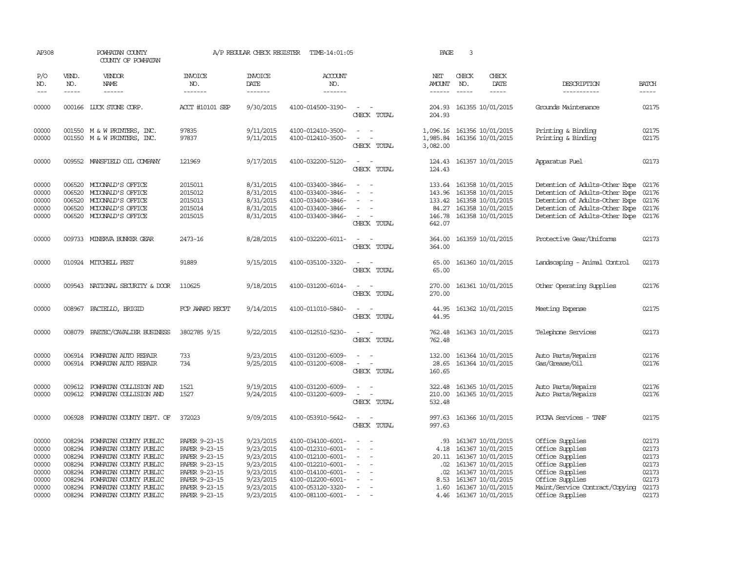| AP308                                                                |                                                          | POWHATAN COUNTY<br>COUNTY OF POWHATAN                                                                                                                                                                                      |                                                                                                                                      | A/P REGULAR CHECK REGISTER                                                                           | TIME-14:01:05                                                                                                                                                        |                                                                         | PAGE                                                    | 3            |                                                                                                                                                                           |                                                                                                                                                                                    |                                                                      |
|----------------------------------------------------------------------|----------------------------------------------------------|----------------------------------------------------------------------------------------------------------------------------------------------------------------------------------------------------------------------------|--------------------------------------------------------------------------------------------------------------------------------------|------------------------------------------------------------------------------------------------------|----------------------------------------------------------------------------------------------------------------------------------------------------------------------|-------------------------------------------------------------------------|---------------------------------------------------------|--------------|---------------------------------------------------------------------------------------------------------------------------------------------------------------------------|------------------------------------------------------------------------------------------------------------------------------------------------------------------------------------|----------------------------------------------------------------------|
| P/O<br>NO.                                                           | VEND.<br>NO.                                             | VENDOR<br>NAME                                                                                                                                                                                                             | <b>INVOICE</b><br>NO.                                                                                                                | <b>INVOICE</b><br><b>DATE</b>                                                                        | <b>ACCOUNT</b><br>NO.                                                                                                                                                |                                                                         | NET<br>AMOUNT                                           | CHECK<br>NO. | CHECK<br>DATE                                                                                                                                                             | DESCRIPTION                                                                                                                                                                        | <b>BATCH</b>                                                         |
| $---$                                                                | $- - - - -$                                              | $- - - - - -$                                                                                                                                                                                                              | -------                                                                                                                              | -------                                                                                              | $- - - - - - -$                                                                                                                                                      |                                                                         | $- - - - - -$                                           | $- - - - -$  | -----                                                                                                                                                                     | ------------                                                                                                                                                                       | -----                                                                |
| 00000                                                                |                                                          | 000166 LUCK STONE CORP.                                                                                                                                                                                                    | ACCT #10101 SEP                                                                                                                      | 9/30/2015                                                                                            | 4100-014500-3190-                                                                                                                                                    | $\overline{\phantom{a}}$<br>CHECK TOTAL                                 | 204.93<br>204.93                                        |              | 161355 10/01/2015                                                                                                                                                         | Grounds Maintenance                                                                                                                                                                | 02175                                                                |
| 00000<br>00000                                                       |                                                          | 001550 M & W PRINTERS, INC.<br>001550 M & W PRINTERS, INC.                                                                                                                                                                 | 97835<br>97837                                                                                                                       | 9/11/2015<br>9/11/2015                                                                               | 4100-012410-3500-<br>4100-012410-3500-                                                                                                                               | $\sim$<br>$\sim$<br>$\equiv$<br>$\overline{\phantom{a}}$<br>CHECK TOTAL | 1,985.84<br>3,082.00                                    |              | 1,096.16 161356 10/01/2015<br>161356 10/01/2015                                                                                                                           | Printing & Binding<br>Printing & Binding                                                                                                                                           | 02175<br>02175                                                       |
| 00000                                                                | 009552                                                   | MANSFIELD OIL COMPANY                                                                                                                                                                                                      | 121969                                                                                                                               | 9/17/2015                                                                                            | 4100-032200-5120-                                                                                                                                                    | $\overline{\phantom{a}}$<br>CHECK TOTAL                                 | 124.43<br>124.43                                        |              | 161357 10/01/2015                                                                                                                                                         | Apparatus Fuel                                                                                                                                                                     | 02173                                                                |
| 00000<br>00000<br>00000<br>00000<br>00000                            | 006520<br>006520<br>006520<br>006520                     | MCDONALD'S OFFICE<br>MCDONALD'S OFFICE<br>MCDONALD'S OFFICE<br>MCDONALD'S OFFICE<br>006520 MCDONALD'S OFFICE                                                                                                               | 2015011<br>2015012<br>2015013<br>2015014<br>2015015                                                                                  | 8/31/2015<br>8/31/2015<br>8/31/2015<br>8/31/2015<br>8/31/2015                                        | 4100-033400-3846-<br>4100-033400-3846-<br>4100-033400-3846-<br>4100-033400-3846-<br>4100-033400-3846-                                                                | $\sim$<br>CHECK TOTAL                                                   | 133.64<br>143.96<br>84.27<br>642.07                     |              | 161358 10/01/2015<br>161358 10/01/2015<br>133.42 161358 10/01/2015<br>161358 10/01/2015<br>146.78 161358 10/01/2015                                                       | Detention of Adults-Other Expe<br>Detention of Adults-Other Expe<br>Detention of Adults-Other Expe 02176<br>Detention of Adults-Other Expe<br>Detention of Adults-Other Expe 02176 | 02176<br>02176<br>02176                                              |
| 00000                                                                |                                                          | 009733 MINERVA BUNKER GEAR                                                                                                                                                                                                 | 2473-16                                                                                                                              | 8/28/2015                                                                                            | 4100-032200-6011-                                                                                                                                                    | $\sim$<br>$\sim$<br>CHECK TOTAL                                         | 364.00<br>364.00                                        |              | 161359 10/01/2015                                                                                                                                                         | Protective Gear/Uniforms                                                                                                                                                           | 02173                                                                |
| 00000                                                                |                                                          | 010924 MITCHELL PEST                                                                                                                                                                                                       | 91889                                                                                                                                | 9/15/2015                                                                                            | 4100-035100-3320-                                                                                                                                                    | CHECK TOTAL                                                             | 65.00<br>65.00                                          |              | 161360 10/01/2015                                                                                                                                                         | Landscaping - Animal Control                                                                                                                                                       | 02173                                                                |
| 00000                                                                |                                                          | 009543 NATIONAL SECURITY & DOOR                                                                                                                                                                                            | 110625                                                                                                                               | 9/18/2015                                                                                            | 4100-031200-6014-                                                                                                                                                    | CHECK TOTAL                                                             | 270.00<br>270.00                                        |              | 161361 10/01/2015                                                                                                                                                         | Other Operating Supplies                                                                                                                                                           | 02176                                                                |
| 00000                                                                | 008967                                                   | PACIELLO, BRIGID                                                                                                                                                                                                           | FCP AWARD RECPT                                                                                                                      | 9/14/2015                                                                                            | 4100-011010-5840-                                                                                                                                                    | $\overline{\phantom{a}}$<br>$\sim$<br>CHECK TOTAL                       | 44.95<br>44.95                                          |              | 161362 10/01/2015                                                                                                                                                         | Meeting Expense                                                                                                                                                                    | 02175                                                                |
| 00000                                                                | 008079                                                   | PAETEC/CAVALIER BUSINESS                                                                                                                                                                                                   | 3802785 9/15                                                                                                                         | 9/22/2015                                                                                            | 4100-012510-5230-                                                                                                                                                    | CHECK TOTAL                                                             | 762.48<br>762.48                                        |              | 161363 10/01/2015                                                                                                                                                         | Telephone Services                                                                                                                                                                 | 02173                                                                |
| 00000<br>00000                                                       | 006914<br>006914                                         | POWHATAN AUTO REPAIR<br>POWHATAN AUTO REPAIR                                                                                                                                                                               | 733<br>734                                                                                                                           | 9/23/2015<br>9/25/2015                                                                               | 4100-031200-6009-<br>4100-031200-6008-                                                                                                                               | CHECK TOTAL                                                             | 132.00<br>28.65<br>160.65                               |              | 161364 10/01/2015<br>161364 10/01/2015                                                                                                                                    | Auto Parts/Repairs<br>Gas/Grease/Oil                                                                                                                                               | 02176<br>02176                                                       |
| 00000<br>00000                                                       |                                                          | 009612 POWHATAN COLLISION AND<br>009612 POWHATAN COLLISION AND                                                                                                                                                             | 1521<br>1527                                                                                                                         | 9/19/2015<br>9/24/2015                                                                               | 4100-031200-6009-<br>4100-031200-6009-                                                                                                                               | $\overline{\phantom{a}}$<br>- 11<br>$\sim$<br>CHECK TOTAL               | 322.48<br>210.00<br>532.48                              |              | 161365 10/01/2015<br>161365 10/01/2015                                                                                                                                    | Auto Parts/Repairs<br>Auto Parts/Repairs                                                                                                                                           | 02176<br>02176                                                       |
| 00000                                                                | 006928                                                   | POWHATAN COUNTY DEPT. OF                                                                                                                                                                                                   | 372023                                                                                                                               | 9/09/2015                                                                                            | 4100-053910-5642-                                                                                                                                                    | $\sim$<br>CHECK TOTAL                                                   | 997.63<br>997.63                                        |              | 161366 10/01/2015                                                                                                                                                         | PCCAA Services - TANF                                                                                                                                                              | 02175                                                                |
| 00000<br>00000<br>00000<br>00000<br>00000<br>00000<br>00000<br>00000 | 008294<br>008294<br>008294<br>008294<br>008294<br>008294 | POWHATAN COUNTY PUBLIC<br>POWHATAN COUNTY PUBLIC<br>POWHATAN COUNTY PUBLIC<br>POWHATAN COUNTY PUBLIC<br>008294 POWHATAN COUNTY PUBLIC<br>POWHATAN COUNTY PUBLIC<br>POWHATAN COUNTY PUBLIC<br>008294 POWHATAN COUNTY PUBLIC | PAPER 9-23-15<br>PAPER 9-23-15<br>PAPER 9-23-15<br>PAPER 9-23-15<br>PAPER 9-23-15<br>PAPER 9-23-15<br>PAPER 9-23-15<br>PAPER 9-23-15 | 9/23/2015<br>9/23/2015<br>9/23/2015<br>9/23/2015<br>9/23/2015<br>9/23/2015<br>9/23/2015<br>9/23/2015 | 4100-034100-6001-<br>4100-012310-6001-<br>4100-012100-6001-<br>4100-012210-6001-<br>4100-014100-6001-<br>4100-012200-6001-<br>4100-053120-3320-<br>4100-081100-6001- | $\sim$<br>$\equiv$<br>$\overline{\phantom{a}}$                          | .93<br>4.18<br>20.11<br>.02<br>$.02 \,$<br>8.53<br>1.60 |              | 161367 10/01/2015<br>161367 10/01/2015<br>161367 10/01/2015<br>161367 10/01/2015<br>161367 10/01/2015<br>161367 10/01/2015<br>161367 10/01/2015<br>4.46 161367 10/01/2015 | Office Supplies<br>Office Supplies<br>Office Supplies<br>Office Supplies<br>Office Supplies<br>Office Supplies<br>Maint/Service Contract/Copying<br>Office Supplies                | 02173<br>02173<br>02173<br>02173<br>02173<br>02173<br>02173<br>02173 |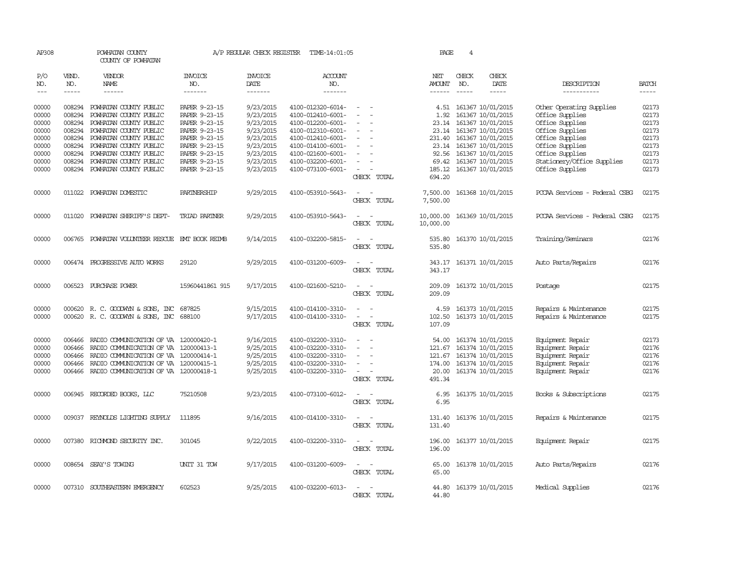| AP308                                                                         |                                                                                        | POWHATAN COUNTY<br>COUNTY OF POWHATAN                                                                                                                                                                                                  |                                                                                                                                                       |                                                                                                                   | A/P REGULAR CHECK REGISTER TIME-14:01:05                                                                                                                                                  |                                                                                                                                                                                                 | PAGE                                       | 4                           |                                                                                                                                                                                                                         |                                                                                                                                                                                             |                                                                               |
|-------------------------------------------------------------------------------|----------------------------------------------------------------------------------------|----------------------------------------------------------------------------------------------------------------------------------------------------------------------------------------------------------------------------------------|-------------------------------------------------------------------------------------------------------------------------------------------------------|-------------------------------------------------------------------------------------------------------------------|-------------------------------------------------------------------------------------------------------------------------------------------------------------------------------------------|-------------------------------------------------------------------------------------------------------------------------------------------------------------------------------------------------|--------------------------------------------|-----------------------------|-------------------------------------------------------------------------------------------------------------------------------------------------------------------------------------------------------------------------|---------------------------------------------------------------------------------------------------------------------------------------------------------------------------------------------|-------------------------------------------------------------------------------|
| P/O<br>NO.<br>$---$                                                           | VEND.<br>NO.<br>$\frac{1}{2}$                                                          | VENDOR<br>NAME<br>$- - - - - -$                                                                                                                                                                                                        | <b>INVOICE</b><br>NO.<br>-------                                                                                                                      | <b>INVOICE</b><br>DATE<br>-------                                                                                 | <b>ACCOUNT</b><br>NO.<br>-------                                                                                                                                                          |                                                                                                                                                                                                 | NET<br>AMOUNT<br>$- - - - - -$             | CHECK<br>NO.<br>$- - - - -$ | CHECK<br>DATE<br>$\frac{1}{2}$                                                                                                                                                                                          | DESCRIPTION<br>-----------                                                                                                                                                                  | <b>BATCH</b><br>$\frac{1}{2}$                                                 |
| 00000<br>00000<br>00000<br>00000<br>00000<br>00000<br>00000<br>00000<br>00000 | 008294<br>008294<br>008294<br>008294<br>008294<br>008294<br>008294<br>008294<br>008294 | POWHATAN COUNTY PUBLIC<br>POWHATAN COUNTY PUBLIC<br>POWHATAN COUNTY PUBLIC<br>POWHATAN COUNTY PUBLIC<br>POWHATAN COUNTY PUBLIC<br>POWHATAN COUNTY PUBLIC<br>POWHATAN COUNTY PUBLIC<br>POWHATAN COUNTY PUBLIC<br>POWHATAN COUNTY PUBLIC | PAPER 9-23-15<br>PAPER 9-23-15<br>PAPER 9-23-15<br>PAPER 9-23-15<br>PAPER 9-23-15<br>PAPER 9-23-15<br>PAPER 9-23-15<br>PAPER 9-23-15<br>PAPER 9-23-15 | 9/23/2015<br>9/23/2015<br>9/23/2015<br>9/23/2015<br>9/23/2015<br>9/23/2015<br>9/23/2015<br>9/23/2015<br>9/23/2015 | 4100-012320-6014-<br>4100-012410-6001-<br>4100-012200-6001-<br>4100-012310-6001-<br>4100-012410-6001-<br>4100-014100-6001-<br>4100-021600-6001-<br>4100-032200-6001-<br>4100-073100-6001- | $\sim$<br>$\overline{\phantom{a}}$<br>$\overline{\phantom{a}}$<br>$\overline{\phantom{a}}$<br>$\sim$<br>$\overline{\phantom{a}}$<br>$\sim$<br>$\overline{\phantom{a}}$<br>$\sim$<br>CHECK TOTAL | 1.92<br>92.56<br>69.42<br>185.12<br>694.20 |                             | 4.51 161367 10/01/2015<br>161367 10/01/2015<br>23.14 161367 10/01/2015<br>23.14 161367 10/01/2015<br>231.40 161367 10/01/2015<br>23.14 161367 10/01/2015<br>161367 10/01/2015<br>161367 10/01/2015<br>161367 10/01/2015 | Other Operating Supplies<br>Office Supplies<br>Office Supplies<br>Office Supplies<br>Office Supplies<br>Office Supplies<br>Office Supplies<br>Stationery/Office Supplies<br>Office Supplies | 02173<br>02173<br>02173<br>02173<br>02173<br>02173<br>02173<br>02173<br>02173 |
| 00000                                                                         |                                                                                        | 011022 POWHATAN DOMESTIC                                                                                                                                                                                                               | PARINERSHIP                                                                                                                                           | 9/29/2015                                                                                                         | 4100-053910-5643-                                                                                                                                                                         | $\overline{\phantom{a}}$<br>CHECK TOTAL                                                                                                                                                         | 7,500.00                                   |                             | 7,500.00 161368 10/01/2015                                                                                                                                                                                              | PCCAA Services - Federal CSBG                                                                                                                                                               | 02175                                                                         |
| 00000                                                                         |                                                                                        | 011020 POWHATAN SHERIFF'S DEPT-                                                                                                                                                                                                        | TRIAD PARINER                                                                                                                                         | 9/29/2015                                                                                                         | 4100-053910-5643-                                                                                                                                                                         | $\sim$<br>$\sim$<br>CHECK TOTAL                                                                                                                                                                 | 10,000.00<br>10,000.00                     |                             | 161369 10/01/2015                                                                                                                                                                                                       | PCCAA Services - Federal CSBG                                                                                                                                                               | 02175                                                                         |
| 00000                                                                         |                                                                                        | 006765 POWHATAN VOLUNTEER RESCUE EMT BOOK REIMB                                                                                                                                                                                        |                                                                                                                                                       | 9/14/2015                                                                                                         | 4100-032200-5815-                                                                                                                                                                         | $\sim$<br>CHECK TOTAL                                                                                                                                                                           | 535.80<br>535.80                           |                             | 161370 10/01/2015                                                                                                                                                                                                       | Training/Seminars                                                                                                                                                                           | 02176                                                                         |
| 00000                                                                         |                                                                                        | 006474 PROGRESSIVE AUTO WORKS                                                                                                                                                                                                          | 29120                                                                                                                                                 | 9/29/2015                                                                                                         | 4100-031200-6009-                                                                                                                                                                         | $\sim$<br>CHECK TOTAL                                                                                                                                                                           | 343.17                                     |                             | 343.17 161371 10/01/2015                                                                                                                                                                                                | Auto Parts/Repairs                                                                                                                                                                          | 02176                                                                         |
| 00000                                                                         | 006523                                                                                 | PURCHASE POWER                                                                                                                                                                                                                         | 15960441861 915                                                                                                                                       | 9/17/2015                                                                                                         | 4100-021600-5210-                                                                                                                                                                         | $\sim$<br>$\sim$<br>CHECK TOTAL                                                                                                                                                                 | 209.09<br>209.09                           |                             | 161372 10/01/2015                                                                                                                                                                                                       | Postage                                                                                                                                                                                     | 02175                                                                         |
| 00000<br>00000                                                                |                                                                                        | 000620 R.C. GOODWYN & SONS, INC 687825<br>000620 R. C. GOODWYN & SONS, INC 688100                                                                                                                                                      |                                                                                                                                                       | 9/15/2015<br>9/17/2015                                                                                            | 4100-014100-3310-<br>4100-014100-3310-                                                                                                                                                    | $\equiv$<br>$\sim$<br>$\sim$<br>CHECK TOTAL                                                                                                                                                     | 4.59<br>102.50<br>107.09                   |                             | 161373 10/01/2015<br>161373 10/01/2015                                                                                                                                                                                  | Repairs & Maintenance<br>Repairs & Maintenance                                                                                                                                              | 02175<br>02175                                                                |
| 00000<br>00000<br>00000<br>00000<br>00000                                     | 006466<br>006466<br>006466                                                             | 006466 RADIO COMUNICATION OF VA 120000420-1<br>RADIO COMMUNICATION OF VA 120000413-1<br>RADIO COMMUNICATION OF VA 120000414-1<br>RADIO COMMUNICATION OF VA 120000415-1<br>006466 RADIO COMUNICATION OF VA 120000418-1                  |                                                                                                                                                       | 9/16/2015<br>9/25/2015<br>9/25/2015<br>9/25/2015<br>9/25/2015                                                     | 4100-032200-3310-<br>4100-032200-3310-<br>4100-032200-3310-<br>4100-032200-3310-<br>4100-032200-3310-                                                                                     | $\overline{a}$<br>$\sim$<br>$\overline{\phantom{a}}$<br>$\overline{\phantom{a}}$<br>CHECK TOTAL                                                                                                 | 54.00<br>174.00<br>20.00<br>491.34         |                             | 161374 10/01/2015<br>121.67 161374 10/01/2015<br>121.67 161374 10/01/2015<br>161374 10/01/2015<br>161374 10/01/2015                                                                                                     | Equipment Repair<br>Equipment Repair<br>Equipment Repair<br>Equipment Repair<br>Equipment Repair                                                                                            | 02173<br>02176<br>02176<br>02176<br>02176                                     |
| 00000                                                                         |                                                                                        | 006945 RECORDED BOOKS, LLC                                                                                                                                                                                                             | 75210508                                                                                                                                              | 9/23/2015                                                                                                         | 4100-073100-6012-                                                                                                                                                                         | $\sim$<br>$\sim$<br>CHECK TOTAL                                                                                                                                                                 | 6.95<br>6.95                               |                             | 161375 10/01/2015                                                                                                                                                                                                       | Books & Subscriptions                                                                                                                                                                       | 02175                                                                         |
| 00000                                                                         |                                                                                        | 009037 REYNOLDS LIGHTING SUPPLY                                                                                                                                                                                                        | 111895                                                                                                                                                | 9/16/2015                                                                                                         | 4100-014100-3310-                                                                                                                                                                         | $\sim$<br>$\sim$<br>CHECK TOTAL                                                                                                                                                                 | 131.40<br>131.40                           |                             | 161376 10/01/2015                                                                                                                                                                                                       | Repairs & Maintenance                                                                                                                                                                       | 02175                                                                         |
| 00000                                                                         |                                                                                        | 007380 RICHMOND SECURITY INC.                                                                                                                                                                                                          | 301045                                                                                                                                                | 9/22/2015                                                                                                         | 4100-032200-3310-                                                                                                                                                                         | $\sim$<br>$\sim$<br>CHECK TOTAL                                                                                                                                                                 | 196.00                                     |                             | 196.00 161377 10/01/2015                                                                                                                                                                                                | Equipment Repair                                                                                                                                                                            | 02175                                                                         |
| 00000                                                                         |                                                                                        | 008654 SEAY'S TOWING                                                                                                                                                                                                                   | UNIT 31 TOW                                                                                                                                           | 9/17/2015                                                                                                         | 4100-031200-6009-                                                                                                                                                                         | $\sim$ $ \sim$<br>CHECK TOTAL                                                                                                                                                                   | 65.00<br>65.00                             |                             | 161378 10/01/2015                                                                                                                                                                                                       | Auto Parts/Repairs                                                                                                                                                                          | 02176                                                                         |
| 00000                                                                         | 007310                                                                                 | SOUTHEASTERN EMERGENCY                                                                                                                                                                                                                 | 602523                                                                                                                                                | 9/25/2015                                                                                                         | 4100-032200-6013-                                                                                                                                                                         | $\overline{\phantom{a}}$<br>CHECK TOTAL                                                                                                                                                         | 44.80<br>44.80                             |                             | 161379 10/01/2015                                                                                                                                                                                                       | Medical Supplies                                                                                                                                                                            | 02176                                                                         |
|                                                                               |                                                                                        |                                                                                                                                                                                                                                        |                                                                                                                                                       |                                                                                                                   |                                                                                                                                                                                           |                                                                                                                                                                                                 |                                            |                             |                                                                                                                                                                                                                         |                                                                                                                                                                                             |                                                                               |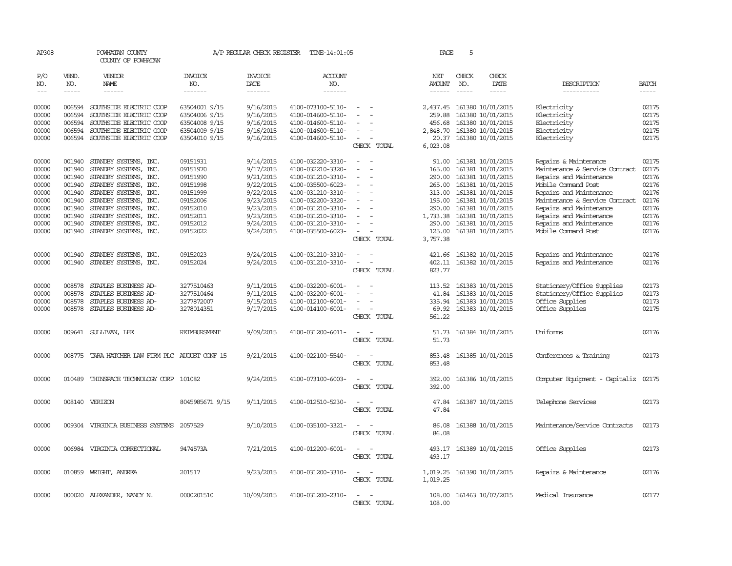| AP308          |                  | POWHATAN COUNTY<br>COUNTY OF POWHATAN                     |                                | A/P REGULAR CHECK REGISTER | TIME-14:01:05                          |                                              | PAGE                 | 5            |                                                        |                                                |                |
|----------------|------------------|-----------------------------------------------------------|--------------------------------|----------------------------|----------------------------------------|----------------------------------------------|----------------------|--------------|--------------------------------------------------------|------------------------------------------------|----------------|
| P/O<br>NO.     | VEND.<br>NO.     | <b>VENDOR</b><br>NAME                                     | <b>INVOICE</b><br>NO.          | INVOICE<br>DATE            | ACCOUNT<br>NO.                         |                                              | NET<br><b>AMOUNT</b> | CHECK<br>NO. | CHECK<br>DATE                                          | DESCRIPTION                                    | <b>BATCH</b>   |
| $\frac{1}{2}$  | $- - - - -$      | ------                                                    | -------                        | -------                    | -------                                |                                              | $- - - - - -$        | $- - - - -$  | $- - - - -$                                            | -----------                                    | $- - - - -$    |
| 00000<br>00000 | 006594           | 006594 SOUTHSIDE ELECTRIC COOP<br>SOUTHSIDE ELECTRIC COOP | 63504001 9/15<br>63504006 9/15 | 9/16/2015<br>9/16/2015     | 4100-073100-5110-<br>4100-014600-5110- | $\sim$<br>$\overline{\phantom{a}}$<br>$\sim$ | 259.88               |              | 2,437.45 161380 10/01/2015<br>161380 10/01/2015        | Electricity<br>Electricity                     | 02175<br>02175 |
| 00000          | 006594           | SOUTHSIDE ELECTRIC COOP                                   | 63504008 9/15                  | 9/16/2015                  | 4100-014600-5110-                      |                                              | 456.68               |              | 161380 10/01/2015                                      | Electricity                                    | 02175          |
| 00000          | 006594           | SOUTHSIDE ELECTRIC COOP                                   | 63504009 9/15                  | 9/16/2015                  | 4100-014600-5110-                      | $\equiv$                                     | 2,848.70             |              | 161380 10/01/2015                                      | Electricity                                    | 02175          |
| 00000          |                  | 006594 SOUTHSIDE ELECTRIC COOP                            | 63504010 9/15                  | 9/16/2015                  | 4100-014600-5110-                      | $\sim$<br>CHECK TOTAL                        | 20.37<br>6,023.08    |              | 161380 10/01/2015                                      | Electricity                                    | 02175          |
| 00000          | 001940           | STANDBY SYSTEMS, INC.                                     | 09151931                       | 9/14/2015                  | 4100-032220-3310-                      |                                              | 91.00                |              | 161381 10/01/2015                                      | Repairs & Maintenance                          | 02175          |
| 00000          | 001940           | STANDBY SYSTEMS, INC.                                     | 09151970                       | 9/17/2015                  | 4100-032210-3320-                      | $\equiv$<br>$\overline{a}$                   | 165.00               |              | 161381 10/01/2015                                      | Maintenance & Service Contract                 | 02175          |
| 00000          |                  | 001940 STANDBY SYSTEMS, INC.                              | 09151990                       | 9/21/2015                  | 4100-031210-3310-                      |                                              | 290.00               |              | 161381 10/01/2015                                      | Repairs and Maintenance                        | 02176          |
| 00000          |                  | 001940 STANDBY SYSTEMS, INC.                              | 09151998                       | 9/22/2015                  | 4100-035500-6023-                      |                                              |                      |              | 265.00 161381 10/01/2015                               | Mobile Command Post                            | 02176          |
| 00000          |                  | 001940 STANDBY SYSTEMS, INC.                              | 09151999                       | 9/22/2015                  | 4100-031210-3310-                      | $\sim$<br>$\overline{\phantom{0}}$           |                      |              | 313.00 161381 10/01/2015                               | Repairs and Maintenance                        | 02176          |
| 00000          |                  | 001940 STANDBY SYSTEMS, INC.                              | 09152006                       | 9/23/2015                  | 4100-032200-3320-                      |                                              | 195.00               |              | 161381 10/01/2015                                      | Maintenance & Service Contract                 | 02176          |
| 00000<br>00000 |                  | 001940 STANDBY SYSTEMS, INC.                              | 09152010                       | 9/23/2015<br>9/23/2015     | 4100-031210-3310-                      |                                              |                      |              | 290.00 161381 10/01/2015<br>1,733.38 161381 10/01/2015 | Repairs and Maintenance                        | 02176<br>02176 |
| 00000          |                  | 001940 STANDBY SYSTEMS, INC.<br>STANDBY SYSTEMS, INC.     | 09152011<br>09152012           |                            | 4100-031210-3310-<br>4100-031210-3310- | $\sim$                                       | 290.00               |              |                                                        | Repairs and Maintenance                        | 02176          |
| 00000          | 001940<br>001940 | STANDBY SYSTEMS, INC.                                     | 09152022                       | 9/24/2015<br>9/24/2015     | 4100-035500-6023-                      | $\overline{\phantom{0}}$                     | 125.00               |              | 161381 10/01/2015<br>161381 10/01/2015                 | Repairs and Maintenance<br>Mobile Command Post | 02176          |
|                |                  |                                                           |                                |                            |                                        | CHECK TOTAL                                  | 3,757.38             |              |                                                        |                                                |                |
| 00000          |                  | 001940 STANDBY SYSTEMS, INC.                              | 09152023                       | 9/24/2015                  | 4100-031210-3310-                      | $\sim$                                       |                      |              | 421.66 161382 10/01/2015                               | Repairs and Maintenance                        | 02176          |
| 00000          |                  | 001940 STANDBY SYSTEMS, INC.                              | 09152024                       | 9/24/2015                  | 4100-031210-3310-                      | $\sim$<br>$\sim$                             |                      |              | 402.11 161382 10/01/2015                               | Repairs and Maintenance                        | 02176          |
|                |                  |                                                           |                                |                            |                                        | CHECK TOTAL                                  | 823.77               |              |                                                        |                                                |                |
| 00000          | 008578           | STAPLES BUSINESS AD-                                      | 3277510463                     | 9/11/2015                  | 4100-032200-6001-                      | $\sim$                                       | 113.52               |              | 161383 10/01/2015                                      | Stationery/Office Supplies                     | 02173          |
| 00000          | 008578           | STAPLES BUSINESS AD-                                      | 3277510464                     | 9/11/2015                  | 4100-032200-6001-                      |                                              |                      |              | 41.84 161383 10/01/2015                                | Stationery/Office Supplies                     | 02173          |
| 00000          | 008578           | STAPLES BUSINESS AD-                                      | 3277872007                     | 9/15/2015                  | 4100-012100-6001-                      | $\equiv$<br>$\overline{\phantom{a}}$         | 335.94               |              | 161383 10/01/2015                                      | Office Supplies                                | 02173          |
| 00000          | 008578           | STAPLES BUSINESS AD-                                      | 3278014351                     | 9/17/2015                  | 4100-014100-6001-                      | $\overline{\phantom{a}}$<br>CHECK TOTAL      | 561.22               |              | 69.92 161383 10/01/2015                                | Office Supplies                                | 02175          |
| 00000          |                  | 009641 SULLIVAN, LEE                                      | <b>REIMBURSMENT</b>            | 9/09/2015                  | 4100-031200-6011-                      |                                              |                      |              | 51.73 161384 10/01/2015                                | Uniforms                                       | 02176          |
|                |                  |                                                           |                                |                            |                                        | CHECK TOTAL                                  | 51.73                |              |                                                        |                                                |                |
| 00000          |                  | 008775 TARA HATCHER LAW FIRM PLC AUGUST CONF 15           |                                | 9/21/2015                  | 4100-022100-5540-                      |                                              | 853.48               |              | 161385 10/01/2015                                      | Conferences & Training                         | 02173          |
|                |                  |                                                           |                                |                            |                                        | CHECK TOTAL                                  | 853.48               |              |                                                        |                                                |                |
| 00000          | 010489           | THINSPACE TECHNOLOGY CORP 101082                          |                                | 9/24/2015                  | 4100-073100-6003-                      | $\overline{\phantom{a}}$                     | 392.00               |              | 161386 10/01/2015                                      | Computer Equipment - Capitaliz                 | 02175          |
|                |                  |                                                           |                                |                            |                                        | CHECK TOTAL                                  | 392.00               |              |                                                        |                                                |                |
| 00000          |                  | 008140 VERIZON                                            | 8045985671 9/15                | 9/11/2015                  | 4100-012510-5230-                      |                                              | 47.84                |              | 161387 10/01/2015                                      | Telephone Services                             | 02173          |
|                |                  |                                                           |                                |                            |                                        | CHECK TOTAL                                  | 47.84                |              |                                                        |                                                |                |
| 00000          |                  | 009304 VIRGINIA BUSINESS SYSTEMS                          | 2057529                        | 9/10/2015                  | 4100-035100-3321-                      |                                              | 86.08                |              | 161388 10/01/2015                                      | Maintenance/Service Contracts                  | 02173          |
|                |                  |                                                           |                                |                            |                                        | CHECK TOTAL                                  | 86.08                |              |                                                        |                                                |                |
| 00000          |                  | 006984 VIRGINIA CORRECTIONAL                              | 9474573A                       | 7/21/2015                  | 4100-012200-6001-                      | $\sim$<br>$\sim$                             |                      |              | 493.17 161389 10/01/2015                               | Office Supplies                                | 02173          |
|                |                  |                                                           |                                |                            |                                        | CHECK TOTAL                                  | 493.17               |              |                                                        |                                                |                |
| 00000          |                  | 010859 WRIGHT, ANDREA                                     | 201517                         | 9/23/2015                  | 4100-031200-3310-                      | $\sim$<br>$\overline{\phantom{a}}$           |                      |              | 1,019.25 161390 10/01/2015                             | Repairs & Maintenance                          | 02176          |
|                |                  |                                                           |                                |                            |                                        | CHECK TOTAL                                  | 1,019.25             |              |                                                        |                                                |                |
| 00000          |                  | 000020 ALEXANDER, NANCY N.                                | 0000201510                     | 10/09/2015                 | 4100-031200-2310-                      |                                              |                      |              | 108.00 161463 10/07/2015                               | Medical Insurance                              | 02177          |
|                |                  |                                                           |                                |                            |                                        | CHECK TOTAL                                  | 108,00               |              |                                                        |                                                |                |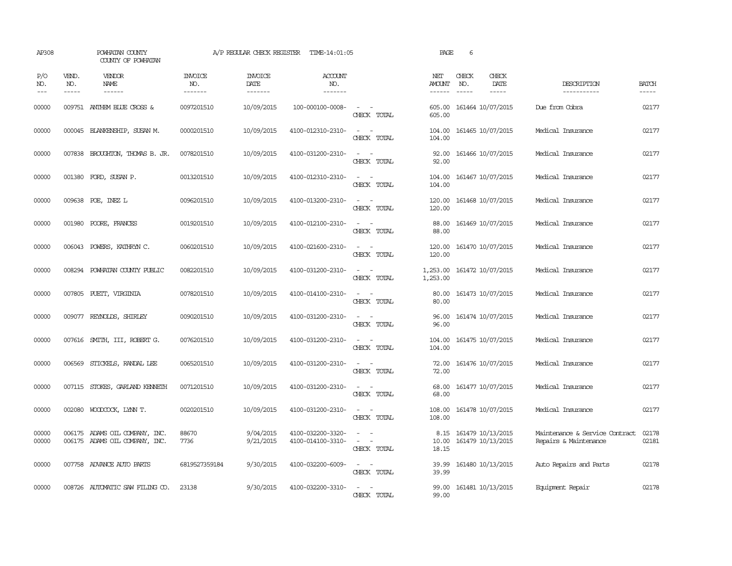| AP308                 |                               | POWHATAN COUNTY<br>COUNTY OF POWHATAN                            |                                  | A/P REGULAR CHECK REGISTER                | TIME-14:01:05                            |                                                                                                                             | PAGE                           | 6                             |                                        |                                                         |                             |
|-----------------------|-------------------------------|------------------------------------------------------------------|----------------------------------|-------------------------------------------|------------------------------------------|-----------------------------------------------------------------------------------------------------------------------------|--------------------------------|-------------------------------|----------------------------------------|---------------------------------------------------------|-----------------------------|
| P/O<br>NO.<br>$- - -$ | VEND.<br>NO.<br>$\frac{1}{2}$ | <b>VENDOR</b><br>NAME<br>$- - - - - -$                           | <b>INVOICE</b><br>NO.<br>------- | <b>INVOICE</b><br>DATE<br>$- - - - - - -$ | <b>ACCOUNT</b><br>NO.<br>$- - - - - - -$ |                                                                                                                             | NET<br><b>AMOUNT</b><br>------ | CHECK<br>NO.<br>$\frac{1}{2}$ | CHECK<br>DATE<br>$- - - - -$           | DESCRIPTION<br>------------                             | <b>BATCH</b><br>$- - - - -$ |
| 00000                 |                               | 009751 ANTHEM BLUE CROSS &                                       | 0097201510                       | 10/09/2015                                | 100-000100-0008-                         | $\sim$ $ -$<br>CHECK TOTAL                                                                                                  | 605.00<br>605.00               |                               | 161464 10/07/2015                      | Due from Cobra                                          | 02177                       |
| 00000                 |                               | 000045 BLANKENSHIP, SUSAN M.                                     | 0000201510                       | 10/09/2015                                | 4100-012310-2310-                        | $\sim$<br>$\sim$<br>CHECK TOTAL                                                                                             | 104.00<br>104.00               |                               | 161465 10/07/2015                      | Medical Insurance                                       | 02177                       |
| 00000                 |                               | 007838 BROUGHTON, THOMAS B. JR.                                  | 0078201510                       | 10/09/2015                                | 4100-031200-2310-                        | $\sim$ 10 $\sim$ 10 $\sim$<br>CHECK TOTAL                                                                                   | 92.00<br>92.00                 |                               | 161466 10/07/2015                      | Medical Insurance                                       | 02177                       |
| 00000                 |                               | 001380 FORD, SUSAN P.                                            | 0013201510                       | 10/09/2015                                | 4100-012310-2310-                        | $\sim$ 100 $\sim$ 100 $\sim$<br>CHECK TOTAL                                                                                 | 104.00<br>104.00               |                               | 161467 10/07/2015                      | Medical Insurance                                       | 02177                       |
| 00000                 |                               | 009638 POE, INEZ L                                               | 0096201510                       | 10/09/2015                                | 4100-013200-2310-                        | $\sim$<br>$\sim$<br>CHECK TOTAL                                                                                             | 120.00<br>120.00               |                               | 161468 10/07/2015                      | Medical Insurance                                       | 02177                       |
| 00000                 | 001980                        | POORE, FRANCES                                                   | 0019201510                       | 10/09/2015                                | 4100-012100-2310-                        | $\sim$<br>$\sim$<br>CHECK TOTAL                                                                                             | 88.00<br>88.00                 |                               | 161469 10/07/2015                      | Medical Insurance                                       | 02177                       |
| 00000                 | 006043                        | POWERS, KATHRYN C.                                               | 0060201510                       | 10/09/2015                                | 4100-021600-2310-                        | $\overline{\phantom{a}}$<br>$\sim$<br>CHECK TOTAL                                                                           | 120.00<br>120.00               |                               | 161470 10/07/2015                      | Medical Insurance                                       | 02177                       |
| 00000                 | 008294                        | POWHATAN COUNTY PUBLIC                                           | 0082201510                       | 10/09/2015                                | 4100-031200-2310-                        | $\sim$ 100 $\sim$<br>CHECK TOTAL                                                                                            | 1,253.00<br>1,253.00           |                               | 161472 10/07/2015                      | Medical Insurance                                       | 02177                       |
| 00000                 |                               | 007805 PUEIT, VIRGINIA                                           | 0078201510                       | 10/09/2015                                | 4100-014100-2310-                        | $\frac{1}{2} \left( \frac{1}{2} \right) \left( \frac{1}{2} \right) = \frac{1}{2} \left( \frac{1}{2} \right)$<br>CHECK TOTAL | 80.00<br>80.00                 |                               | 161473 10/07/2015                      | Medical Insurance                                       | 02177                       |
| 00000                 |                               | 009077 REYNOLDS, SHIRLEY                                         | 0090201510                       | 10/09/2015                                | 4100-031200-2310-                        | CHECK TOTAL                                                                                                                 | 96.00<br>96.00                 |                               | 161474 10/07/2015                      | Medical Insurance                                       | 02177                       |
| 00000                 |                               | 007616 SMITH, III, ROBERT G.                                     | 0076201510                       | 10/09/2015                                | 4100-031200-2310-                        | $\overline{\phantom{a}}$<br>CHECK TOTAL                                                                                     | 104.00<br>104.00               |                               | 161475 10/07/2015                      | Medical Insurance                                       | 02177                       |
| 00000                 | 006569                        | STICKELS, RANDAL LEE                                             | 0065201510                       | 10/09/2015                                | 4100-031200-2310-                        | $\overline{\phantom{a}}$<br>CHECK TOTAL                                                                                     | 72.00<br>72.00                 |                               | 161476 10/07/2015                      | Medical Insurance                                       | 02177                       |
| 00000                 |                               | 007115 STOKES, GARLAND KENNETH                                   | 0071201510                       | 10/09/2015                                | 4100-031200-2310-                        | $\sim$<br>CHECK TOTAL                                                                                                       | 68.00<br>68.00                 |                               | 161477 10/07/2015                      | Medical Insurance                                       | 02177                       |
| 00000                 |                               | 002080 WOODCOCK, LYNN T.                                         | 0020201510                       | 10/09/2015                                | 4100-031200-2310-                        | $\sim$ $\sim$<br>CHECK TOTAL                                                                                                | 108.00<br>108.00               |                               | 161478 10/07/2015                      | Medical Insurance                                       | 02177                       |
| 00000<br>00000        |                               | 006175 ADAMS OIL COMPANY, INC.<br>006175 ADAMS OIL COMPANY, INC. | 88670<br>7736                    | 9/04/2015<br>9/21/2015                    | 4100-032200-3320-<br>4100-014100-3310-   | $\overline{\phantom{a}}$<br>CHECK TOTAL                                                                                     | 8.15<br>10.00<br>18.15         |                               | 161479 10/13/2015<br>161479 10/13/2015 | Maintenance & Service Contract<br>Repairs & Maintenance | 02178<br>02181              |
| 00000                 |                               | 007758 ADVANCE AUTO PARTS                                        | 6819527359184                    | 9/30/2015                                 | 4100-032200-6009-                        | $\sim$ $\sim$<br>CHECK TOTAL                                                                                                | 39.99<br>39.99                 |                               | 161480 10/13/2015                      | Auto Repairs and Parts                                  | 02178                       |
| 00000                 |                               | 008726 AUTOMATIC SAW FILING CO.                                  | 23138                            | 9/30/2015                                 | 4100-032200-3310-                        | $\frac{1}{2} \left( \frac{1}{2} \right) \left( \frac{1}{2} \right) = \frac{1}{2} \left( \frac{1}{2} \right)$<br>CHECK TOTAL | 99.00<br>99.00                 |                               | 161481 10/13/2015                      | Equipment Repair                                        | 02178                       |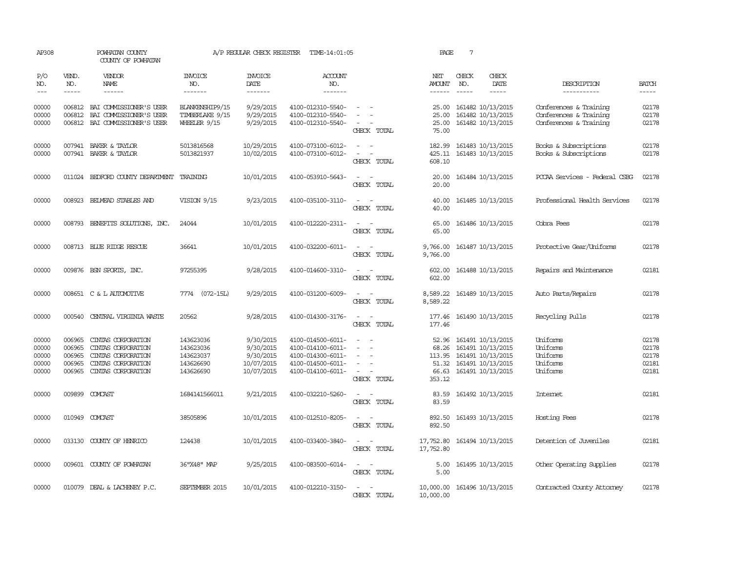| AP308                                     |                                                | POWHATAN COUNTY<br>COUNTY OF POWHATAN                                                                      |                                                               | A/P REGULAR CHECK REGISTER                                      | TIME-14:01:05                                                                                         |                                                                               | PAGE                                                 | $7\overline{ }$ |                                                                                                       |                                                                            |                                           |
|-------------------------------------------|------------------------------------------------|------------------------------------------------------------------------------------------------------------|---------------------------------------------------------------|-----------------------------------------------------------------|-------------------------------------------------------------------------------------------------------|-------------------------------------------------------------------------------|------------------------------------------------------|-----------------|-------------------------------------------------------------------------------------------------------|----------------------------------------------------------------------------|-------------------------------------------|
| P/O<br>NO.                                | VEND.<br>NO.                                   | <b>VENDOR</b><br>NAME                                                                                      | <b>INVOICE</b><br>NO.                                         | <b>INVOICE</b><br><b>DATE</b>                                   | <b>ACCOUNT</b><br>NO.                                                                                 |                                                                               | NET<br><b>AMOUNT</b>                                 | CHECK<br>NO.    | CHECK<br>DATE                                                                                         | DESCRIPTION                                                                | <b>BATCH</b>                              |
| $\frac{1}{2}$                             | $- - - - -$                                    | ------                                                                                                     | -------                                                       | -------                                                         | -------                                                                                               |                                                                               | $- - - - - -$                                        | $- - - - -$     | -----                                                                                                 | -----------                                                                |                                           |
| 00000<br>00000<br>00000                   | 006812                                         | 006812 BAI COMMISSIONER'S USER<br>BAI COMMISSIONER'S USER<br>006812 BAI COMMISSIONER'S USER                | BLANKENSHIP9/15<br>TIMBERLAKE 9/15<br><b>WHEELER 9/15</b>     | 9/29/2015<br>9/29/2015<br>9/29/2015                             | 4100-012310-5540-<br>4100-012310-5540-<br>4100-012310-5540-                                           | CHECK TOTAL                                                                   | 25.00<br>25.00<br>25.00<br>75.00                     |                 | 161482 10/13/2015<br>161482 10/13/2015<br>161482 10/13/2015                                           | Conferences & Training<br>Conferences & Training<br>Conferences & Training | 02178<br>02178<br>02178                   |
| 00000<br>00000                            |                                                | 007941 BAKER & TAYLOR<br>007941 BAKER & TAYLOR                                                             | 5013816568<br>5013821937                                      | 10/29/2015<br>10/02/2015                                        | 4100-073100-6012-<br>4100-073100-6012-                                                                | $\sim$<br>$\overline{\phantom{a}}$<br>$\overline{\phantom{a}}$<br>CHECK TOTAL | 182.99<br>425.11<br>608.10                           |                 | 161483 10/13/2015<br>161483 10/13/2015                                                                | Books & Subscriptions<br>Books & Subscriptions                             | 02178<br>02178                            |
| 00000                                     |                                                | 011024 BEDFORD COUNTY DEPARTMENT                                                                           | TRAINING                                                      | 10/01/2015                                                      | 4100-053910-5643-                                                                                     | $\sim$ 100 $\sim$<br>CHECK TOTAL                                              | 20.00<br>20.00                                       |                 | 161484 10/13/2015                                                                                     | PCCAA Services - Federal CSBG                                              | 02178                                     |
| 00000                                     | 008923                                         | BEIMEAD STABLES AND                                                                                        | <b>VISION 9/15</b>                                            | 9/23/2015                                                       | 4100-035100-3110-                                                                                     | $\overline{\phantom{a}}$<br>$\sim$<br>CHECK TOTAL                             | 40.00<br>40.00                                       |                 | 161485 10/13/2015                                                                                     | Professional Health Services                                               | 02178                                     |
| 00000                                     |                                                | 008793 BENEFITS SOLUTIONS, INC.                                                                            | 24044                                                         | 10/01/2015                                                      | 4100-012220-2311-                                                                                     | $\sim$<br>CHECK TOTAL                                                         | 65.00<br>65.00                                       |                 | 161486 10/13/2015                                                                                     | Cobra Fees                                                                 | 02178                                     |
| 00000                                     |                                                | 008713 BLUE RIDGE RESCUE                                                                                   | 36641                                                         | 10/01/2015                                                      | 4100-032200-6011-                                                                                     | $\overline{\phantom{a}}$<br>CHECK TOTAL                                       | 9,766.00<br>9,766.00                                 |                 | 161487 10/13/2015                                                                                     | Protective Gear/Uniforms                                                   | 02178                                     |
| 00000                                     |                                                | 009876 BSN SPORTS, INC.                                                                                    | 97255395                                                      | 9/28/2015                                                       | 4100-014600-3310-                                                                                     | CHECK TOTAL                                                                   | 602.00<br>602.00                                     |                 | 161488 10/13/2015                                                                                     | Repairs and Maintenance                                                    | 02181                                     |
| 00000                                     |                                                | 008651 C & L AUTOMOTTVE                                                                                    | 7774 (072-15L)                                                | 9/29/2015                                                       | 4100-031200-6009-                                                                                     | $\sim$<br>$\overline{\phantom{a}}$<br>CHECK TOTAL                             | 8,589.22<br>8,589.22                                 |                 | 161489 10/13/2015                                                                                     | Auto Parts/Repairs                                                         | 02178                                     |
| 00000                                     |                                                | 000540 CENTRAL VIRGINIA WASTE                                                                              | 20562                                                         | 9/28/2015                                                       | 4100-014300-3176-                                                                                     | $\sim$<br>$\sim$<br>CHECK TOTAL                                               | 177.46<br>177.46                                     |                 | 161490 10/13/2015                                                                                     | Recycling Pulls                                                            | 02178                                     |
| 00000<br>00000<br>00000<br>00000<br>00000 | 006965<br>006965<br>006965<br>006965<br>006965 | CINIAS CORPORATION<br>CINIAS CORPORATION<br>CINIAS CORPORATION<br>CINIAS CORPORATION<br>CINIAS CORPORATION | 143623036<br>143623036<br>143623037<br>143626690<br>143626690 | 9/30/2015<br>9/30/2015<br>9/30/2015<br>10/07/2015<br>10/07/2015 | 4100-014500-6011-<br>4100-014100-6011-<br>4100-014300-6011-<br>4100-014500-6011-<br>4100-014100-6011- | $\overline{\phantom{a}}$<br>$\overline{\phantom{a}}$<br>$\sim$<br>CHECK TOTAL | 52.96<br>68.26<br>113.95<br>51.32<br>66.63<br>353.12 |                 | 161491 10/13/2015<br>161491 10/13/2015<br>161491 10/13/2015<br>161491 10/13/2015<br>161491 10/13/2015 | Uniforms<br>Uniforms<br>Uniforms<br>Uniforms<br>Uniforms                   | 02178<br>02178<br>02178<br>02181<br>02181 |
| 00000                                     |                                                | 009899 COMCAST                                                                                             | 1684141566011                                                 | 9/21/2015                                                       | 4100-032210-5260-                                                                                     | $\sim$<br>$\sim$<br>CHECK TOTAL                                               | 83.59<br>83.59                                       |                 | 161492 10/13/2015                                                                                     | Internet                                                                   | 02181                                     |
| 00000                                     |                                                | 010949 COMCAST                                                                                             | 38505896                                                      | 10/01/2015                                                      | 4100-012510-8205-                                                                                     | $\sim$<br>CHECK TOTAL                                                         | 892.50<br>892.50                                     |                 | 161493 10/13/2015                                                                                     | Hosting Fees                                                               | 02178                                     |
| 00000                                     |                                                | 033130 COUNTY OF HENRICO                                                                                   | 124438                                                        | 10/01/2015                                                      | 4100-033400-3840-                                                                                     | $\sim$<br>CHECK TOTAL                                                         | 17,752.80<br>17,752.80                               |                 | 161494 10/13/2015                                                                                     | Detention of Juveniles                                                     | 02181                                     |
| 00000                                     |                                                | 009601 COUNTY OF POWHATAN                                                                                  | 36"X48" MAP                                                   | 9/25/2015                                                       | 4100-083500-6014-                                                                                     | CHECK TOTAL                                                                   | 5.00<br>5.00                                         |                 | 161495 10/13/2015                                                                                     | Other Operating Supplies                                                   | 02178                                     |
| 00000                                     |                                                | 010079 DEAL & LACHENEY P.C.                                                                                | SEPTEMBER 2015                                                | 10/01/2015                                                      | 4100-012210-3150-                                                                                     | $\sim$<br>CHECK TOTAL                                                         | 10,000.00<br>10,000.00                               |                 | 161496 10/13/2015                                                                                     | Contracted County Attomey                                                  | 02178                                     |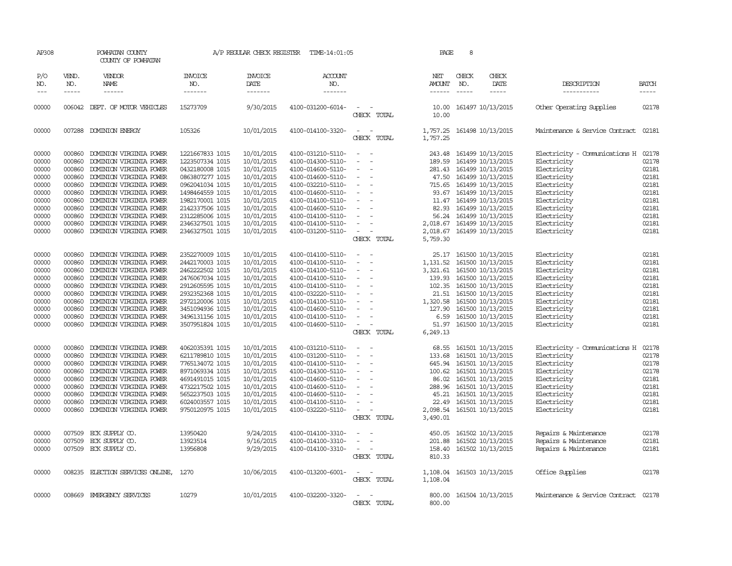| AP308                                                                                           |                                                                                                  | POWHATAN COUNTY<br>COUNTY OF POWHATAN                                                                                                                                                                                                                                                                        |                                                                                                                                                                                                               | A/P REGULAR CHECK REGISTER                                                                                                                             | TIME-14:01:05                                                                                                                                                                                                                       |                                                                                                                                                                                                                                    | PAGE                                                                                                                      | 8                             |                                                                                                                                                                                                                                     |                                                                                                                                                                                     |                                                                                                 |
|-------------------------------------------------------------------------------------------------|--------------------------------------------------------------------------------------------------|--------------------------------------------------------------------------------------------------------------------------------------------------------------------------------------------------------------------------------------------------------------------------------------------------------------|---------------------------------------------------------------------------------------------------------------------------------------------------------------------------------------------------------------|--------------------------------------------------------------------------------------------------------------------------------------------------------|-------------------------------------------------------------------------------------------------------------------------------------------------------------------------------------------------------------------------------------|------------------------------------------------------------------------------------------------------------------------------------------------------------------------------------------------------------------------------------|---------------------------------------------------------------------------------------------------------------------------|-------------------------------|-------------------------------------------------------------------------------------------------------------------------------------------------------------------------------------------------------------------------------------|-------------------------------------------------------------------------------------------------------------------------------------------------------------------------------------|-------------------------------------------------------------------------------------------------|
| P/O<br>NO.<br>$\frac{1}{2}$                                                                     | VEND.<br>NO.<br>$- - - - -$                                                                      | <b>VENDOR</b><br>NAME<br>------                                                                                                                                                                                                                                                                              | <b>INVOICE</b><br>NO.<br>-------                                                                                                                                                                              | <b>INVOICE</b><br>DATE<br>--------                                                                                                                     | ACCOUNT<br>NO.<br>-------                                                                                                                                                                                                           |                                                                                                                                                                                                                                    | NET<br>AMOUNT<br>$- - - - - -$                                                                                            | CHECK<br>NO.<br>$\frac{1}{2}$ | CHECK<br>DATE<br>$- - - - -$                                                                                                                                                                                                        | <b>DESCRIPTION</b><br>-----------                                                                                                                                                   | <b>BATCH</b><br>-----                                                                           |
| 00000                                                                                           |                                                                                                  | 006042 DEPT. OF MOTOR VEHICLES                                                                                                                                                                                                                                                                               | 15273709                                                                                                                                                                                                      | 9/30/2015                                                                                                                                              | 4100-031200-6014-                                                                                                                                                                                                                   | $\sim$ $ \sim$<br>CHECK TOTAL                                                                                                                                                                                                      | 10.00<br>10.00                                                                                                            |                               | 161497 10/13/2015                                                                                                                                                                                                                   | Other Operating Supplies                                                                                                                                                            | 02178                                                                                           |
| 00000                                                                                           | 007288                                                                                           | DOMINION ENERGY                                                                                                                                                                                                                                                                                              | 105326                                                                                                                                                                                                        | 10/01/2015                                                                                                                                             | 4100-014100-3320-                                                                                                                                                                                                                   | $\equiv$<br>$\sim$<br>CHECK TOTAL                                                                                                                                                                                                  | 1,757.25<br>1,757.25                                                                                                      |                               | 161498 10/13/2015                                                                                                                                                                                                                   | Maintenance & Service Contract                                                                                                                                                      | 02181                                                                                           |
| 00000<br>00000<br>00000<br>00000<br>00000<br>00000<br>00000<br>00000<br>00000<br>00000<br>00000 | 000860<br>000860<br>000860<br>000860<br>000860<br>000860<br>000860<br>000860<br>000860<br>000860 | DOMINION VIRGINIA POWER<br>DOMINION VIRGINIA POWER<br>DOMINION VIRGINIA POWER<br>DOMINION VIRGINIA POWER<br>DOMINION VIRGINIA POWER<br>DOMINION VIRGINIA POWER<br>DOMINION VIRGINIA POWER<br>DOMINION VIRGINIA POWER<br>DOMINION VIRGINIA POWER<br>DOMINION VIRGINIA POWER<br>000860 DOMINION VIRGINIA POWER | 1221667833 1015<br>1223507334 1015<br>0432180008 1015<br>0863807277 1015<br>0962041034 1015<br>1498464559 1015<br>1982170001 1015<br>2142337506 1015<br>2312285006 1015<br>2346327501 1015<br>2346327501 1015 | 10/01/2015<br>10/01/2015<br>10/01/2015<br>10/01/2015<br>10/01/2015<br>10/01/2015<br>10/01/2015<br>10/01/2015<br>10/01/2015<br>10/01/2015<br>10/01/2015 | 4100-031210-5110-<br>4100-014300-5110-<br>4100-014600-5110-<br>4100-014600-5110-<br>4100-032210-5110-<br>4100-014600-5110-<br>4100-014100-5110-<br>4100-014600-5110-<br>4100-014100-5110-<br>4100-014100-5110-<br>4100-031200-5110- | $\equiv$<br>$\overline{\phantom{a}}$<br>$\overline{\phantom{a}}$<br>$\sim$<br>$\equiv$<br>$\sim$<br>$\sim$<br>$\equiv$<br>$\sim$<br>$\equiv$                                                                                       | 243.48<br>189.59<br>281.43<br>47.50<br>715.65<br>93.67<br>11.47<br>82.93<br>56.24<br>2,018.67<br>2,018.67                 |                               | 161499 10/13/2015<br>161499 10/13/2015<br>161499 10/13/2015<br>161499 10/13/2015<br>161499 10/13/2015<br>161499 10/13/2015<br>161499 10/13/2015<br>161499 10/13/2015<br>161499 10/13/2015<br>161499 10/13/2015<br>161499 10/13/2015 | Electricity - Comunications H<br>Electricity<br>Electricity<br>Electricity<br>Electricity<br>Electricity<br>Electricity<br>Electricity<br>Electricity<br>Electricity<br>Electricity | 02178<br>02178<br>02181<br>02181<br>02181<br>02181<br>02181<br>02181<br>02181<br>02181<br>02181 |
| 00000<br>00000<br>00000<br>00000<br>00000<br>00000<br>00000<br>00000<br>00000<br>00000          | 000860<br>000860<br>000860<br>000860<br>000860<br>000860<br>000860<br>000860<br>000860<br>000860 | DOMINION VIRGINIA POWER<br>DOMINION VIRGINIA POWER<br>DOMINION VIRGINIA POWER<br>DOMINION VIRGINIA POWER<br>DOMINION VIRGINIA POWER<br>DOMINION VIRGINIA POWER<br>DOMINION VIRGINIA POWER<br>DOMINION VIRGINIA POWER<br>DOMINION VIRGINIA POWER<br>DOMINION VIRGINIA POWER                                   | 2352270009 1015<br>2442170003 1015<br>2462222502 1015<br>2476067034 1015<br>2912605595 1015<br>2932352368 1015<br>2972120006 1015<br>3451094936 1015<br>3496131156 1015<br>3507951824 1015                    | 10/01/2015<br>10/01/2015<br>10/01/2015<br>10/01/2015<br>10/01/2015<br>10/01/2015<br>10/01/2015<br>10/01/2015<br>10/01/2015<br>10/01/2015               | 4100-014100-5110-<br>4100-014100-5110-<br>4100-014100-5110-<br>4100-014100-5110-<br>4100-014100-5110-<br>4100-032220-5110-<br>4100-014100-5110-<br>4100-014600-5110-<br>4100-014100-5110-<br>4100-014600-5110-                      | CHECK TOTAL<br>$\sim$<br>$\overline{\phantom{a}}$<br>$\sim$<br>$\overline{\phantom{a}}$<br>$\overline{\phantom{a}}$<br>$\sim$<br>$\overline{\phantom{a}}$<br>$\sim$<br>$\overline{\phantom{a}}$<br>$\sim$<br>$\sim$<br>CHECK TOTAL | 5,759.30<br>25.17<br>1,131.52<br>3,321.61<br>139.93<br>102.35<br>21.51<br>1,320.58<br>127.90<br>6.59<br>51.97<br>6,249.13 |                               | 161500 10/13/2015<br>161500 10/13/2015<br>161500 10/13/2015<br>161500 10/13/2015<br>161500 10/13/2015<br>161500 10/13/2015<br>161500 10/13/2015<br>161500 10/13/2015<br>161500 10/13/2015<br>161500 10/13/2015                      | Electricity<br>Electricity<br>Electricity<br>Electricity<br>Electricity<br>Electricity<br>Electricity<br>Electricity<br>Electricity<br>Electricity                                  | 02181<br>02181<br>02181<br>02181<br>02181<br>02181<br>02181<br>02181<br>02181<br>02181          |
| 00000<br>00000<br>00000<br>00000<br>00000<br>00000<br>00000<br>00000<br>00000                   | 000860<br>000860<br>000860<br>000860<br>000860<br>000860<br>000860<br>000860<br>000860           | DOMINION VIRGINIA POWER<br>DOMINION VIRGINIA POWER<br>DOMINION VIRGINIA POWER<br>DOMINION VIRGINIA POWER<br>DOMINION VIRGINIA POWER<br>DOMINION VIRGINIA POWER<br>DOMINION VIRGINIA POWER<br>DOMINION VIRGINIA POWER<br>DOMINION VIRGINIA POWER                                                              | 4062035391 1015<br>6211789810 1015<br>7765134072 1015<br>8971069334 1015<br>4691491015 1015<br>4732217502 1015<br>5652237503 1015<br>6024003557 1015<br>9750120975 1015                                       | 10/01/2015<br>10/01/2015<br>10/01/2015<br>10/01/2015<br>10/01/2015<br>10/01/2015<br>10/01/2015<br>10/01/2015<br>10/01/2015                             | 4100-031210-5110-<br>4100-031200-5110-<br>4100-014100-5110-<br>4100-014300-5110-<br>4100-014600-5110-<br>4100-014600-5110-<br>4100-014600-5110-<br>4100-014100-5110-<br>4100-032220-5110-                                           | $\sim$<br>$\overline{\phantom{a}}$<br>$\equiv$<br>$\overline{\phantom{a}}$<br>$\overline{\phantom{a}}$<br>$\overline{\phantom{a}}$<br>$\overline{\phantom{a}}$<br>$\overline{\phantom{a}}$<br>CHECK TOTAL                          | 68.55<br>133.68<br>645.94<br>100.62<br>86.02<br>288.96<br>45.21<br>22.49<br>3,490.01                                      |                               | 161501 10/13/2015<br>161501 10/13/2015<br>161501 10/13/2015<br>161501 10/13/2015<br>161501 10/13/2015<br>161501 10/13/2015<br>161501 10/13/2015<br>161501 10/13/2015<br>2,098.54 161501 10/13/2015                                  | Electricity - Comunications H<br>Electricity<br>Electricity<br>Electricity<br>Electricity<br>Electricity<br>Electricity<br>Electricity<br>Electricity                               | 02178<br>02178<br>02178<br>02178<br>02181<br>02181<br>02181<br>02181<br>02181                   |
| 00000<br>00000<br>00000                                                                         | 007509<br>007509                                                                                 | ECK SUPPLY CO.<br>ECK SUPPLY CO.<br>007509 ECK SUPPLY CO.                                                                                                                                                                                                                                                    | 13950420<br>13923514<br>13956808                                                                                                                                                                              | 9/24/2015<br>9/16/2015<br>9/29/2015                                                                                                                    | 4100-014100-3310-<br>4100-014100-3310-<br>4100-014100-3310-                                                                                                                                                                         | $\sim$<br>$\sim$<br>$\omega_{\rm{max}}$ and $\omega_{\rm{max}}$<br>CHECK TOTAL                                                                                                                                                     | 450.05<br>201.88<br>158.40<br>810.33                                                                                      |                               | 161502 10/13/2015<br>161502 10/13/2015<br>161502 10/13/2015                                                                                                                                                                         | Repairs & Maintenance<br>Repairs & Maintenance<br>Repairs & Maintenance                                                                                                             | 02178<br>02181<br>02181                                                                         |
| 00000                                                                                           | 008235                                                                                           | ELECTION SERVICES ONLINE,                                                                                                                                                                                                                                                                                    | 1270                                                                                                                                                                                                          | 10/06/2015                                                                                                                                             | 4100-013200-6001-                                                                                                                                                                                                                   | $\overline{\phantom{a}}$<br>$\overline{\phantom{a}}$<br>CHECK TOTAL                                                                                                                                                                | 1,108.04<br>1,108.04                                                                                                      |                               | 161503 10/13/2015                                                                                                                                                                                                                   | Office Supplies                                                                                                                                                                     | 02178                                                                                           |
| 00000                                                                                           |                                                                                                  | 008669 EMERGENCY SERVICES                                                                                                                                                                                                                                                                                    | 10279                                                                                                                                                                                                         | 10/01/2015                                                                                                                                             | 4100-032200-3320-                                                                                                                                                                                                                   | $\sim$<br>CHECK TOTAL                                                                                                                                                                                                              | 800.00<br>800.00                                                                                                          |                               | 161504 10/13/2015                                                                                                                                                                                                                   | Maintenance & Service Contract 02178                                                                                                                                                |                                                                                                 |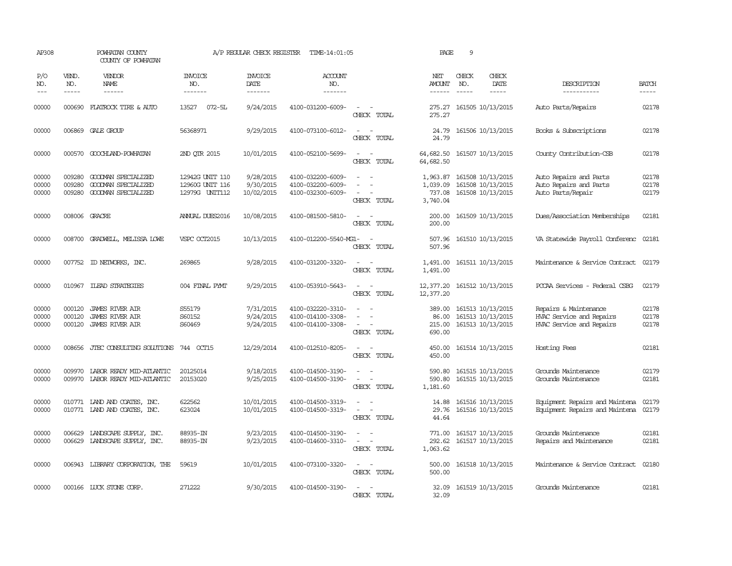| AP308                   |                             | POWHATAN COUNTY<br>COUNTY OF POWHATAN                               |                                                      | A/P REGULAR CHECK REGISTER           | TIME-14:01:05                                               |                                                                                                                             | PAGE                                       | 9                             |                                                             |                                                                               |                         |
|-------------------------|-----------------------------|---------------------------------------------------------------------|------------------------------------------------------|--------------------------------------|-------------------------------------------------------------|-----------------------------------------------------------------------------------------------------------------------------|--------------------------------------------|-------------------------------|-------------------------------------------------------------|-------------------------------------------------------------------------------|-------------------------|
| P/O<br>NO.<br>$---$     | VEND.<br>NO.<br>$- - - - -$ | <b>VENDOR</b><br>NAME<br>$- - - - - -$                              | <b>INVOICE</b><br>NO.<br>--------                    | <b>INVOICE</b><br>DATE<br>-------    | ACCOUNT<br>NO.<br>-------                                   |                                                                                                                             | NET<br><b>AMOUNT</b><br>$- - - - - -$      | CHECK<br>NO.<br>$\frac{1}{2}$ | CHECK<br>DATE<br>$- - - - -$                                | DESCRIPTION<br>-----------                                                    | <b>BATCH</b><br>-----   |
| 00000                   |                             | 000690 FLATROCK TIRE & AUTO                                         | 13527<br>072-5L                                      | 9/24/2015                            | 4100-031200-6009-                                           | $\sim$<br>CHECK TOTAL                                                                                                       | 275.27<br>275.27                           |                               | 161505 10/13/2015                                           | Auto Parts/Repairs                                                            | 02178                   |
| 00000                   |                             | 006869 GALE GROUP                                                   | 56368971                                             | 9/29/2015                            | 4100-073100-6012-                                           | CHECK TOTAL                                                                                                                 | 24.79<br>24.79                             |                               | 161506 10/13/2015                                           | Books & Subscriptions                                                         | 02178                   |
| 00000                   |                             | 000570 GOOCHLAND-POWHATAN                                           | 2ND OTR 2015                                         | 10/01/2015                           | 4100-052100-5699-                                           | $\sim$<br>$\sim$<br>CHECK TOTAL                                                                                             | 64,682.50<br>64,682.50                     |                               | 161507 10/13/2015                                           | County Contribution-CSB                                                       | 02178                   |
| 00000<br>00000<br>00000 | 009280<br>009280<br>009280  | GOODMAN SPECIALIZED<br>GOODMAN SPECIALIZED<br>GOODMAN SPECIALIZED   | 12942G UNIT 110<br>12960G UNIT 116<br>12979G UNIT112 | 9/28/2015<br>9/30/2015<br>10/02/2015 | 4100-032200-6009-<br>4100-032200-6009-<br>4100-032300-6009- | $\sim$<br>$\sim$<br>$\equiv$<br>$\sim$<br>CHECK TOTAL                                                                       | 1,963.87<br>1,039.09<br>737.08<br>3,740.04 |                               | 161508 10/13/2015<br>161508 10/13/2015<br>161508 10/13/2015 | Auto Repairs and Parts<br>Auto Repairs and Parts<br>Auto Parts/Repair         | 02178<br>02178<br>02179 |
| 00000                   | 008006 GRACRE               |                                                                     | <b>ANNIAL DUES2016</b>                               | 10/08/2015                           | 4100-081500-5810-                                           | $\sim$ 10 $\pm$<br>CHECK TOTAL                                                                                              | 200.00<br>200.00                           |                               | 161509 10/13/2015                                           | Dues/Association Memberships                                                  | 02181                   |
| 00000                   |                             | 008700 GRADWELL, MELISSA LOWE                                       | VSPC OCT2015                                         | 10/13/2015                           | 4100-012200-5540-MG1-                                       | CHECK TOTAL                                                                                                                 | 507.96<br>507.96                           |                               | 161510 10/13/2015                                           | VA Statewide Payroll Conferenc 02181                                          |                         |
| 00000                   |                             | 007752 ID NEIWORKS, INC.                                            | 269865                                               | 9/28/2015                            | 4100-031200-3320-                                           | $\sim$ $\sim$<br>CHECK TOTAL                                                                                                | 1,491.00<br>1,491.00                       |                               | 161511 10/13/2015                                           | Maintenance & Service Contract 02179                                          |                         |
| 00000                   | 010967                      | <b>ILEAD STRATEGIES</b>                                             | 004 FINAL PYMT                                       | 9/29/2015                            | 4100-053910-5643-                                           | $\frac{1}{2} \left( \frac{1}{2} \right) \left( \frac{1}{2} \right) = \frac{1}{2} \left( \frac{1}{2} \right)$<br>CHECK TOTAL | 12,377.20 161512 10/13/2015<br>12,377.20   |                               |                                                             | PCCAA Services - Federal CSBG                                                 | 02179                   |
| 00000<br>00000<br>00000 | 000120<br>000120            | JAMES RIVER AIR<br><b>JAMES RIVER AIR</b><br>000120 JAMES RIVER AIR | S55179<br>S60152<br>S60469                           | 7/31/2015<br>9/24/2015<br>9/24/2015  | 4100-032220-3310-<br>4100-014100-3308-<br>4100-014100-3308- | $\sim$<br>CHECK TOTAL                                                                                                       | 389.00<br>86.00<br>215.00<br>690.00        |                               | 161513 10/13/2015<br>161513 10/13/2015<br>161513 10/13/2015 | Repairs & Maintenance<br>HVAC Service and Repairs<br>HVAC Service and Repairs | 02178<br>02178<br>02178 |
| 00000                   |                             | 008656 JTEC CONSULTING SOLUTIONS 744 OCT15                          |                                                      | 12/29/2014                           | 4100-012510-8205-                                           | $ -$<br>CHECK TOTAL                                                                                                         | 450.00<br>450.00                           |                               | 161514 10/13/2015                                           | Hosting Fees                                                                  | 02181                   |
| 00000<br>00000          | 009970                      | LABOR READY MID-ATLANTIC<br>009970 LABOR READY MID-ATLANTIC         | 20125014<br>20153020                                 | 9/18/2015<br>9/25/2015               | 4100-014500-3190-<br>4100-014500-3190-                      | $\sim$<br>- 11<br>$\sim$<br>CHECK TOTAL                                                                                     | 590.80<br>590.80<br>1,181.60               |                               | 161515 10/13/2015<br>161515 10/13/2015                      | Grounds Maintenance<br>Grounds Maintenance                                    | 02179<br>02181          |
| 00000<br>00000          | 010771                      | LAND AND COATES, INC.<br>010771 LAND AND COATES, INC.               | 622562<br>623024                                     | 10/01/2015<br>10/01/2015             | 4100-014500-3319-<br>4100-014500-3319-                      | $\equiv$<br>$\sim$<br>$\sim$<br>CHECK TOTAL                                                                                 | 14.88<br>29.76<br>44.64                    |                               | 161516 10/13/2015<br>161516 10/13/2015                      | Equipment Repairs and Maintena<br>Equipment Repairs and Maintena              | 02179<br>02179          |
| 00000<br>00000          | 006629                      | LANDSCAPE SUPPLY, INC.<br>006629 LANDSCAPE SUPPLY, INC.             | 88935-IN<br>88935-IN                                 | 9/23/2015<br>9/23/2015               | 4100-014500-3190-<br>4100-014600-3310-                      | CHECK TOTAL                                                                                                                 | 771.00<br>292.62<br>1,063.62               |                               | 161517 10/13/2015<br>161517 10/13/2015                      | Grounds Maintenance<br>Repairs and Maintenance                                | 02181<br>02181          |
| 00000                   |                             | 006943 LIBRARY CORPORATION, THE                                     | 59619                                                | 10/01/2015                           | 4100-073100-3320-                                           | $\sim$ $\sim$<br>CHECK TOTAL                                                                                                | 500.00<br>500.00                           |                               | 161518 10/13/2015                                           | Maintenance & Service Contract                                                | 02180                   |
| 00000                   |                             | 000166 LUCK STONE CORP.                                             | 271222                                               | 9/30/2015                            | 4100-014500-3190-                                           | $\sim$ 100 $\mu$<br>CHECK TOTAL                                                                                             | 32.09<br>32.09                             |                               | 161519 10/13/2015                                           | Grounds Maintenance                                                           | 02181                   |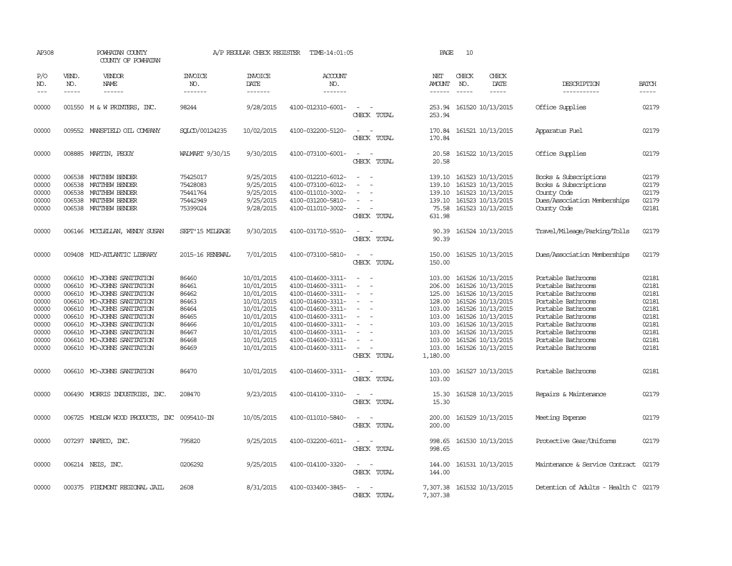| AP308                                                                                  |                                      | POWHATAN COUNTY<br>COUNTY OF POWHATAN                                                                                                                                                                                                                                                                    |                                                                                        | A/P REGULAR CHECK REGISTER                                                                                                               | TIME-14:01:05                                                                                                                                                                                                  |                                                     | PAGE                                                                                                         | 10                            |                                                                                                                                                                                                                |                                                                                                                                                                                                                          |                                                                                        |
|----------------------------------------------------------------------------------------|--------------------------------------|----------------------------------------------------------------------------------------------------------------------------------------------------------------------------------------------------------------------------------------------------------------------------------------------------------|----------------------------------------------------------------------------------------|------------------------------------------------------------------------------------------------------------------------------------------|----------------------------------------------------------------------------------------------------------------------------------------------------------------------------------------------------------------|-----------------------------------------------------|--------------------------------------------------------------------------------------------------------------|-------------------------------|----------------------------------------------------------------------------------------------------------------------------------------------------------------------------------------------------------------|--------------------------------------------------------------------------------------------------------------------------------------------------------------------------------------------------------------------------|----------------------------------------------------------------------------------------|
| P/O<br>NO.<br>$---$                                                                    | VEND.<br>NO.<br>$\frac{1}{2}$        | <b>VENDOR</b><br>NAME<br>$\frac{1}{2}$                                                                                                                                                                                                                                                                   | <b>INVOICE</b><br>NO.<br>-------                                                       | <b>INVOICE</b><br>DATE<br>-------                                                                                                        | <b>ACCOUNT</b><br>NO.<br>-------                                                                                                                                                                               |                                                     | NET<br>AMOUNT<br>$- - - - - -$                                                                               | CHECK<br>NO.<br>$\frac{1}{2}$ | CHECK<br>DATE<br>-----                                                                                                                                                                                         | DESCRIPTION<br>-----------                                                                                                                                                                                               | <b>BATCH</b><br>-----                                                                  |
| 00000                                                                                  |                                      | 001550 M & W PRINTERS, INC.                                                                                                                                                                                                                                                                              | 98244                                                                                  | 9/28/2015                                                                                                                                | 4100-012310-6001-                                                                                                                                                                                              | $\sim$<br>CHECK TOTAL                               | 253.94                                                                                                       |                               | 253.94 161520 10/13/2015                                                                                                                                                                                       | Office Supplies                                                                                                                                                                                                          | 02179                                                                                  |
| 00000                                                                                  |                                      | 009552 MANSFIELD OIL COMPANY                                                                                                                                                                                                                                                                             | SOLCD/00124235                                                                         | 10/02/2015                                                                                                                               | 4100-032200-5120-                                                                                                                                                                                              | CHECK TOTAL                                         | 170.84                                                                                                       |                               | 170.84 161521 10/13/2015                                                                                                                                                                                       | Apparatus Fuel                                                                                                                                                                                                           | 02179                                                                                  |
| 00000                                                                                  |                                      | 008885 MARTIN, PEGGY                                                                                                                                                                                                                                                                                     | WALMART 9/30/15                                                                        | 9/30/2015                                                                                                                                | 4100-073100-6001-                                                                                                                                                                                              | $\sim$ $\sim$<br>CHECK TOTAL                        | 20.58<br>20.58                                                                                               |                               | 161522 10/13/2015                                                                                                                                                                                              | Office Supplies                                                                                                                                                                                                          | 02179                                                                                  |
| 00000<br>00000<br>00000<br>00000<br>00000                                              | 006538<br>006538<br>006538<br>006538 | MATTHEW BENDER<br>MATTHEW BENDER<br>MATTHEW BENDER<br>MATTHEW BENDER<br>006538 MATTHEW BENDER                                                                                                                                                                                                            | 75425017<br>75428083<br>75441764<br>75442949<br>75399024                               | 9/25/2015<br>9/25/2015<br>9/25/2015<br>9/25/2015<br>9/28/2015                                                                            | 4100-012210-6012-<br>4100-073100-6012-<br>4100-011010-3002-<br>4100-031200-5810-<br>4100-011010-3002-                                                                                                          | CHECK TOTAL                                         | 139.10<br>139.10<br>139.10<br>139.10<br>75.58<br>631.98                                                      |                               | 161523 10/13/2015<br>161523 10/13/2015<br>161523 10/13/2015<br>161523 10/13/2015<br>161523 10/13/2015                                                                                                          | Books & Subscriptions<br>Books & Subscriptions<br>County Code<br>Dues/Association Memberships<br>County Code                                                                                                             | 02179<br>02179<br>02179<br>02179<br>02181                                              |
| 00000                                                                                  |                                      | 006146 MCCLELLAN, WENDY SUSAN                                                                                                                                                                                                                                                                            | SEPT'15 MILEAGE                                                                        | 9/30/2015                                                                                                                                | 4100-031710-5510-                                                                                                                                                                                              | CHECK TOTAL                                         | 90.39<br>90.39                                                                                               |                               | 161524 10/13/2015                                                                                                                                                                                              | Travel/Mileage/Parking/Tolls                                                                                                                                                                                             | 02179                                                                                  |
| 00000                                                                                  | 009408                               | MID-ATLANTIC LIBRARY                                                                                                                                                                                                                                                                                     | 2015-16 RENEWAL                                                                        | 7/01/2015                                                                                                                                | 4100-073100-5810-                                                                                                                                                                                              | CHECK TOTAL                                         | 150.00<br>150.00                                                                                             |                               | 161525 10/13/2015                                                                                                                                                                                              | Dues/Association Memberships                                                                                                                                                                                             | 02179                                                                                  |
| 00000<br>00000<br>00000<br>00000<br>00000<br>00000<br>00000<br>00000<br>00000<br>00000 |                                      | 006610 MO-JOHNS SANITATION<br>006610 MO-JOHNS SANITATION<br>006610 MO-JOHNS SANITATION<br>006610 MO-JOHNS SANITATION<br>006610 MO-JOHNS SANITATION<br>006610 MO-JOHNS SANITATION<br>006610 MO-JOHNS SANITATION<br>006610 MO-JOHNS SANITATION<br>006610 MO-JOHNS SANITATION<br>006610 MO-JOHNS SANITATION | 86460<br>86461<br>86462<br>86463<br>86464<br>86465<br>86466<br>86467<br>86468<br>86469 | 10/01/2015<br>10/01/2015<br>10/01/2015<br>10/01/2015<br>10/01/2015<br>10/01/2015<br>10/01/2015<br>10/01/2015<br>10/01/2015<br>10/01/2015 | 4100-014600-3311-<br>4100-014600-3311-<br>4100-014600-3311-<br>4100-014600-3311-<br>4100-014600-3311-<br>4100-014600-3311-<br>4100-014600-3311-<br>4100-014600-3311-<br>4100-014600-3311-<br>4100-014600-3311- | $\overline{a}$<br>$\equiv$<br>$\sim$<br>CHECK TOTAL | 103.00<br>206.00<br>125.00<br>128.00<br>103.00<br>103.00<br>103.00<br>103.00<br>103.00<br>103.00<br>1,180.00 |                               | 161526 10/13/2015<br>161526 10/13/2015<br>161526 10/13/2015<br>161526 10/13/2015<br>161526 10/13/2015<br>161526 10/13/2015<br>161526 10/13/2015<br>161526 10/13/2015<br>161526 10/13/2015<br>161526 10/13/2015 | Portable Bathrooms<br>Portable Bathrooms<br>Portable Bathrooms<br>Portable Bathrooms<br>Portable Bathrooms<br>Portable Bathrooms<br>Portable Bathrooms<br>Portable Bathrooms<br>Portable Bathrooms<br>Portable Bathrooms | 02181<br>02181<br>02181<br>02181<br>02181<br>02181<br>02181<br>02181<br>02181<br>02181 |
| 00000                                                                                  |                                      | 006610 MO-JOHNS SANITATION                                                                                                                                                                                                                                                                               | 86470                                                                                  | 10/01/2015                                                                                                                               | 4100-014600-3311-                                                                                                                                                                                              | $\sim$ $\sim$<br>CHECK TOTAL                        | 103.00<br>103.00                                                                                             |                               | 161527 10/13/2015                                                                                                                                                                                              | Portable Bathrooms                                                                                                                                                                                                       | 02181                                                                                  |
| 00000                                                                                  |                                      | 006490 MORRIS INDUSTRIES, INC.                                                                                                                                                                                                                                                                           | 208470                                                                                 | 9/23/2015                                                                                                                                | 4100-014100-3310-                                                                                                                                                                                              | $\equiv$<br>CHECK TOTAL                             | 15.30<br>15.30                                                                                               |                               | 161528 10/13/2015                                                                                                                                                                                              | Repairs & Maintenance                                                                                                                                                                                                    | 02179                                                                                  |
| 00000                                                                                  |                                      | 006725 MOSLOW WOOD PRODUCTS, INC                                                                                                                                                                                                                                                                         | 0095410-IN                                                                             | 10/05/2015                                                                                                                               | 4100-011010-5840-                                                                                                                                                                                              | $\overline{\phantom{a}}$<br>$\sim$<br>CHECK TOTAL   | 200.00<br>200.00                                                                                             |                               | 161529 10/13/2015                                                                                                                                                                                              | Meeting Expense                                                                                                                                                                                                          | 02179                                                                                  |
| 00000                                                                                  |                                      | 007297 NAFECO, INC.                                                                                                                                                                                                                                                                                      | 795820                                                                                 | 9/25/2015                                                                                                                                | 4100-032200-6011-                                                                                                                                                                                              | CHECK TOTAL                                         | 998.65<br>998.65                                                                                             |                               | 161530 10/13/2015                                                                                                                                                                                              | Protective Gear/Uniforms                                                                                                                                                                                                 | 02179                                                                                  |
| 00000                                                                                  |                                      | 006214 NEIS, INC.                                                                                                                                                                                                                                                                                        | 0206292                                                                                | 9/25/2015                                                                                                                                | 4100-014100-3320-                                                                                                                                                                                              | $\sim$<br>CHECK TOTAL                               | 144.00<br>144.00                                                                                             |                               | 161531 10/13/2015                                                                                                                                                                                              | Maintenance & Service Contract                                                                                                                                                                                           | 02179                                                                                  |
| 00000                                                                                  |                                      | 000375 PIEDMONT REGIONAL JAIL                                                                                                                                                                                                                                                                            | 2608                                                                                   | 8/31/2015                                                                                                                                | 4100-033400-3845-                                                                                                                                                                                              | CHECK TOTAL                                         | 7,307.38<br>7,307.38                                                                                         |                               | 161532 10/13/2015                                                                                                                                                                                              | Detention of Adults - Health C 02179                                                                                                                                                                                     |                                                                                        |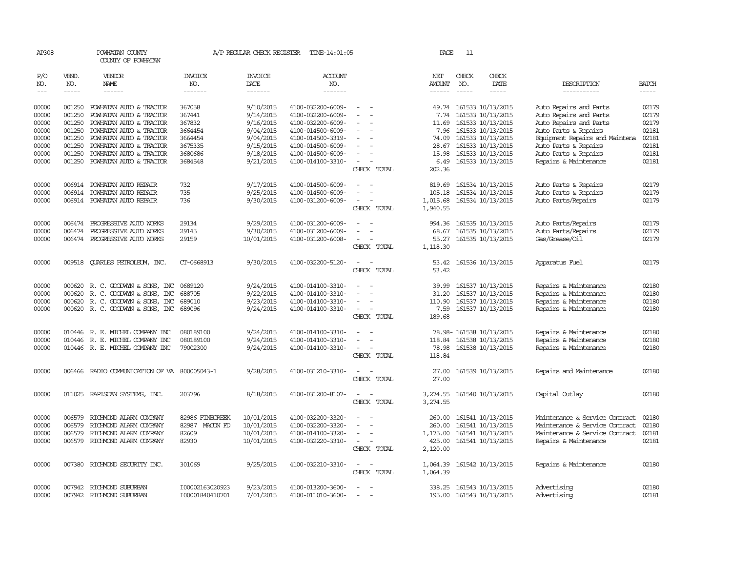| AP308          |                  | POWHATAN COUNTY<br>COUNTY OF POWHATAN              |                       | A/P REGULAR CHECK REGISTER    | TIME-14:01:05                          |                                                                                                                             | PAGE               | 11           |                                              |                                                  |                |
|----------------|------------------|----------------------------------------------------|-----------------------|-------------------------------|----------------------------------------|-----------------------------------------------------------------------------------------------------------------------------|--------------------|--------------|----------------------------------------------|--------------------------------------------------|----------------|
| P/O<br>NO.     | VEND.<br>NO.     | VENDOR<br><b>NAME</b>                              | <b>INVOICE</b><br>NO. | <b>INVOICE</b><br><b>DATE</b> | <b>ACCOUNT</b><br>NO.                  |                                                                                                                             | NET<br>AMOUNT      | CHECK<br>NO. | CHECK<br><b>DATE</b>                         | DESCRIPTION                                      | <b>BATCH</b>   |
| $\frac{1}{2}$  | $- - - - -$      | ------                                             | -------               | -------                       | -------                                |                                                                                                                             | $- - - - - -$      | $- - - - -$  | -----                                        | -----------                                      | -----          |
| 00000<br>00000 | 001250<br>001250 | POWHATAN AUTO & TRACTOR                            | 367058<br>367441      | 9/10/2015<br>9/14/2015        | 4100-032200-6009-<br>4100-032200-6009- | $\sim$                                                                                                                      |                    |              | 49.74 161533 10/13/2015<br>161533 10/13/2015 | Auto Repairs and Parts                           | 02179<br>02179 |
| 00000          | 001250           | POWHATAN AUTO & TRACTOR<br>POWHATAN AUTO & TRACTOR | 367832                | 9/16/2015                     | 4100-032200-6009-                      |                                                                                                                             | 7.74<br>11.69      |              | 161533 10/13/2015                            | Auto Repairs and Parts<br>Auto Repairs and Parts | 02179          |
| 00000          | 001250           | POWHATAN AUTO & TRACTOR                            | 3664454               | 9/04/2015                     | 4100-014500-6009-                      | $\equiv$                                                                                                                    | 7.96               |              | 161533 10/13/2015                            | Auto Parts & Repairs                             | 02181          |
| 00000          | 001250           | POWHATAN AUTO & TRACTOR                            | 3664454               | 9/04/2015                     | 4100-014500-3319-                      |                                                                                                                             | 74.09              |              | 161533 10/13/2015                            | Equipment Repairs and Maintena                   | 02181          |
| 00000          | 001250           | POWHATAN AUTO & TRACTOR                            | 3675335               | 9/15/2015                     | 4100-014500-6009-                      |                                                                                                                             | 28.67              |              | 161533 10/13/2015                            | Auto Parts & Repairs                             | 02181          |
| 00000          | 001250           | POWHATAN AUTO & TRACTOR                            | 3680686               | 9/18/2015                     | 4100-014500-6009-                      |                                                                                                                             | 15.98              |              | 161533 10/13/2015                            | Auto Parts & Repairs                             | 02181          |
| 00000          | 001250           | POWHATAN AUTO & TRACTOR                            | 3684548               | 9/21/2015                     | 4100-014100-3310-                      | $\sim$                                                                                                                      | 6.49               |              | 161533 10/13/2015                            | Repairs & Maintenance                            | 02181          |
|                |                  |                                                    |                       |                               |                                        | CHECK TOTAL                                                                                                                 | 202.36             |              |                                              |                                                  |                |
| 00000          | 006914           | POWHATAN AUTO REPAIR                               | 732                   | 9/17/2015                     | 4100-014500-6009-                      | $\overline{\phantom{a}}$                                                                                                    | 819.69             |              | 161534 10/13/2015                            | Auto Parts & Repairs                             | 02179          |
| 00000          | 006914           | POWHATAN AUTO REPAIR                               | 735                   | 9/25/2015                     | 4100-014500-6009-                      |                                                                                                                             | 105.18             |              | 161534 10/13/2015                            | Auto Parts & Repairs                             | 02179          |
| 00000          |                  | 006914 POWHATAN AUTO REPAIR                        | 736                   | 9/30/2015                     | 4100-031200-6009-                      | $\sim$<br>$\overline{\phantom{a}}$                                                                                          | 1,015.68           |              | 161534 10/13/2015                            | Auto Parts/Repairs                               | 02179          |
|                |                  |                                                    |                       |                               |                                        | CHECK TOTAL                                                                                                                 | 1,940.55           |              |                                              |                                                  |                |
| 00000          | 006474           | PROGRESSIVE AUTO WORKS                             | 29134                 | 9/29/2015                     | 4100-031200-6009-                      |                                                                                                                             | 994.36             |              | 161535 10/13/2015                            | Auto Parts/Repairs                               | 02179          |
| 00000          | 006474           | PROGRESSIVE AUTO WORKS                             | 29145                 | 9/30/2015                     | 4100-031200-6009-                      |                                                                                                                             | 68.67              |              | 161535 10/13/2015                            | Auto Parts/Repairs                               | 02179          |
| 00000          |                  | 006474 PROGRESSIVE AUTO WORKS                      | 29159                 | 10/01/2015                    | 4100-031200-6008-                      | $\overline{\phantom{a}}$                                                                                                    | 55.27              |              | 161535 10/13/2015                            | Gas/Grease/Oil                                   | 02179          |
|                |                  |                                                    |                       |                               |                                        | CHECK TOTAL                                                                                                                 | 1,118.30           |              |                                              |                                                  |                |
| 00000          |                  | 009518 QUARLES PETROLEUM, INC.                     | CT-0668913            | 9/30/2015                     | 4100-032200-5120-                      | $\sim$<br>$\sim$                                                                                                            | 53.42              |              | 161536 10/13/2015                            | Apparatus Fuel                                   | 02179          |
|                |                  |                                                    |                       |                               |                                        | CHECK TOTAL                                                                                                                 | 53.42              |              |                                              |                                                  |                |
| 00000          |                  | 000620 R. C. GOODWYN & SONS, INC                   | 0689120               | 9/24/2015                     | 4100-014100-3310-                      |                                                                                                                             | 39.99              |              | 161537 10/13/2015                            | Repairs & Maintenance                            | 02180          |
| 00000          | 000620           | R. C. GOODWYN & SONS, INC                          | 688705                | 9/22/2015                     | 4100-014100-3310-                      | $\overline{\phantom{a}}$<br>$\overline{\phantom{a}}$                                                                        | 31.20              |              | 161537 10/13/2015                            | Repairs & Maintenance                            | 02180          |
| 00000          |                  | 000620 R. C. GOODWYN & SONS, INC                   | 689010                | 9/23/2015                     | 4100-014100-3310-                      | $\equiv$                                                                                                                    | 110.90             |              | 161537 10/13/2015                            | Repairs & Maintenance                            | 02180          |
| 00000          |                  | 000620 R.C. GOODWYN & SONS, INC                    | 689096                | 9/24/2015                     | 4100-014100-3310-                      | $\sim$ 10 $\sim$ $\sim$                                                                                                     |                    |              | 7.59 161537 10/13/2015                       | Repairs & Maintenance                            | 02180          |
|                |                  |                                                    |                       |                               |                                        | CHECK TOTAL                                                                                                                 | 189.68             |              |                                              |                                                  |                |
| 00000          |                  | 010446 R. E. MICHEL COMPANY INC                    | 080189100             | 9/24/2015                     | 4100-014100-3310-                      |                                                                                                                             |                    |              | 78.98-161538 10/13/2015                      | Repairs & Maintenance                            | 02180          |
| 00000          | 010446           | R. E. MICHEL COMPANY INC                           | 080189100             | 9/24/2015                     | 4100-014100-3310-                      |                                                                                                                             | 118.84             |              | 161538 10/13/2015                            | Repairs & Maintenance                            | 02180          |
| 00000          |                  | 010446 R. E. MICHEL COMPANY INC                    | 79002300              | 9/24/2015                     | 4100-014100-3310-                      |                                                                                                                             | 78.98              |              | 161538 10/13/2015                            | Repairs & Maintenance                            | 02180          |
|                |                  |                                                    |                       |                               |                                        | CHECK TOTAL                                                                                                                 | 118.84             |              |                                              |                                                  |                |
| 00000          |                  | 006466 RADIO COMMUNICATION OF VA 800005043-1       |                       | 9/28/2015                     | 4100-031210-3310-                      | $\sim$                                                                                                                      | 27.00              |              | 161539 10/13/2015                            | Repairs and Maintenance                          | 02180          |
|                |                  |                                                    |                       |                               |                                        | CHECK TOTAL                                                                                                                 | 27.00              |              |                                              |                                                  |                |
| 00000          |                  | 011025 RAPISCAN SYSTEMS, INC.                      | 203796                | 8/18/2015                     | 4100-031200-8107-                      | $\equiv$                                                                                                                    | 3,274.55           |              | 161540 10/13/2015                            | Capital Outlay                                   | 02180          |
|                |                  |                                                    |                       |                               |                                        | CHECK TOTAL                                                                                                                 | 3,274.55           |              |                                              |                                                  |                |
| 00000          | 006579           | RICHMOND ALARM COMPANY                             | 82986 FINECREEK       | 10/01/2015                    | 4100-032200-3320-                      |                                                                                                                             | 260.00             |              | 161541 10/13/2015                            | Maintenance & Service Contract                   | 02180          |
| 00000          | 006579           | RICHMOND ALARM COMPANY                             | 82987 MACON FD        | 10/01/2015                    | 4100-032200-3320-                      |                                                                                                                             | 260.00             |              | 161541 10/13/2015                            | Maintenance & Service Contract                   | 02180          |
| 00000          |                  | 006579 RICHMOND ALARM COMPANY                      | 82609                 | 10/01/2015                    | 4100-014100-3320-                      | $\overline{\phantom{a}}$                                                                                                    | 1,175.00           |              | 161541 10/13/2015                            | Maintenance & Service Contract                   | 02181          |
| 00000          |                  | 006579 RICHMOND ALARM COMPANY                      | 82930                 | 10/01/2015                    | 4100-032220-3310-                      | $\frac{1}{2} \left( \frac{1}{2} \right) \left( \frac{1}{2} \right) = \frac{1}{2} \left( \frac{1}{2} \right)$<br>CHECK TOTAL | 425.00<br>2,120.00 |              | 161541 10/13/2015                            | Repairs & Maintenance                            | 02181          |
| 00000          |                  | 007380 RICHMOND SECURITY INC.                      | 301069                | 9/25/2015                     | 4100-032210-3310-                      | $\frac{1}{2} \left( \frac{1}{2} \right) \left( \frac{1}{2} \right) = \frac{1}{2} \left( \frac{1}{2} \right)$                |                    |              | 1,064.39 161542 10/13/2015                   | Repairs & Maintenance                            | 02180          |
|                |                  |                                                    |                       |                               |                                        | CHECK TOTAL                                                                                                                 | 1,064.39           |              |                                              |                                                  |                |
| 00000          |                  | 007942 RICHMOND SUBURBAN                           | I00002163020923       | 9/23/2015                     | 4100-013200-3600-                      | $\overline{\phantom{a}}$                                                                                                    |                    |              | 338.25 161543 10/13/2015                     | Advertising                                      | 02180          |
| 00000          | 007942           | RICHMOND SUBURBAN                                  | I00001840410701       | 7/01/2015                     | 4100-011010-3600-                      |                                                                                                                             |                    |              | 195.00 161543 10/13/2015                     | Advertising                                      | 02181          |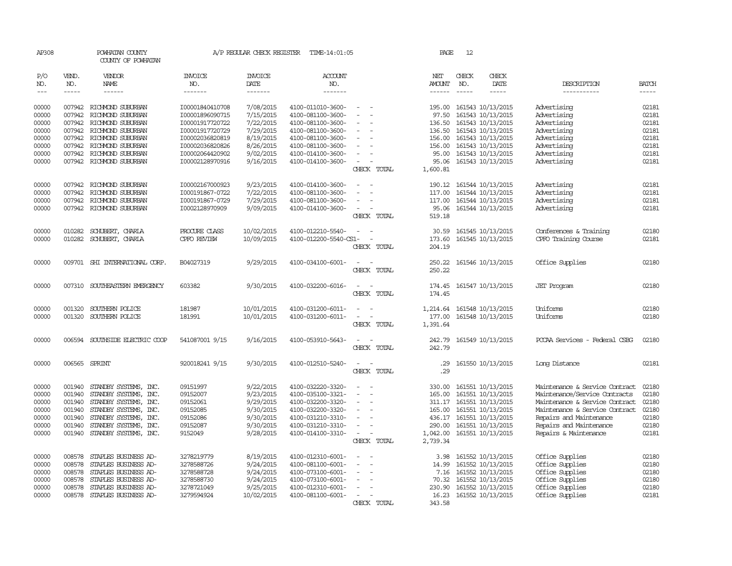| AP308          |              | POWHATAN COUNTY<br>COUNTY OF POWHATAN         |                                    | A/P REGULAR CHECK REGISTER | TIME-14:01:05                          |                                                                | PAGE                                                                                                                                                                                                                                                                                                                                                                                                                                                                                                  | 12                                                                                                                                                                                                                                                                |                                                                                                                                                                                                                                                                                                                                                                                                                                                                                     |                                |                |
|----------------|--------------|-----------------------------------------------|------------------------------------|----------------------------|----------------------------------------|----------------------------------------------------------------|-------------------------------------------------------------------------------------------------------------------------------------------------------------------------------------------------------------------------------------------------------------------------------------------------------------------------------------------------------------------------------------------------------------------------------------------------------------------------------------------------------|-------------------------------------------------------------------------------------------------------------------------------------------------------------------------------------------------------------------------------------------------------------------|-------------------------------------------------------------------------------------------------------------------------------------------------------------------------------------------------------------------------------------------------------------------------------------------------------------------------------------------------------------------------------------------------------------------------------------------------------------------------------------|--------------------------------|----------------|
| P/O<br>NO.     | VEND.<br>NO. | <b>VENDOR</b><br><b>NAME</b>                  | <b>INVOICE</b><br>NO.              | <b>INVOICE</b><br>DATE     | <b>ACCOUNT</b><br>NO.                  |                                                                | NET<br>AMOUNT                                                                                                                                                                                                                                                                                                                                                                                                                                                                                         | CHECK<br>NO.                                                                                                                                                                                                                                                      | CHECK<br>DATE                                                                                                                                                                                                                                                                                                                                                                                                                                                                       | DESCRIPTION                    | <b>BATCH</b>   |
| $---$          | -----        | ------                                        | -------                            | -------                    | -------                                |                                                                | $\begin{tabular}{ccccc} \multicolumn{2}{c }{\multicolumn{2}{c }{\multicolumn{2}{c }{\multicolumn{2}{c}}}{\multicolumn{2}{c}}{\multicolumn{2}{c}}{\multicolumn{2}{c}}{\multicolumn{2}{c}}{\multicolumn{2}{c}}{\multicolumn{2}{c}}{\multicolumn{2}{c}}{\multicolumn{2}{c}}{\multicolumn{2}{c}}{\multicolumn{2}{c}}{\multicolumn{2}{c}}{\multicolumn{2}{c}}{\multicolumn{2}{c}}{\multicolumn{2}{c}}{\multicolumn{2}{c}}{\multicolumn{2}{c}}{\multicolumn{2}{c}}{\multicolumn{2}{c}}{\multicolumn{2}{c}}$ | $\begin{tabular}{ccccc} \multicolumn{2}{c }{\multicolumn{2}{c }{\multicolumn{2}{c }{\multicolumn{2}{c}}}{\multicolumn{2}{c }{\multicolumn{2}{c}}}{\multicolumn{2}{c }{\multicolumn{2}{c}}}{\multicolumn{2}{c }{\multicolumn{2}{c}}}{\end{tabular}} \end{tabular}$ | $\begin{tabular}{ccccc} \multicolumn{2}{c}{} & \multicolumn{2}{c}{} & \multicolumn{2}{c}{} & \multicolumn{2}{c}{} & \multicolumn{2}{c}{} & \multicolumn{2}{c}{} & \multicolumn{2}{c}{} & \multicolumn{2}{c}{} & \multicolumn{2}{c}{} & \multicolumn{2}{c}{} & \multicolumn{2}{c}{} & \multicolumn{2}{c}{} & \multicolumn{2}{c}{} & \multicolumn{2}{c}{} & \multicolumn{2}{c}{} & \multicolumn{2}{c}{} & \multicolumn{2}{c}{} & \multicolumn{2}{c}{} & \multicolumn{2}{c}{} & \mult$ | -----------                    | $\cdots$       |
| 00000<br>00000 | 007942       | 007942 RICHMOND SUBURBAN<br>RICHMOND SUBURBAN | I00001840410708<br>I00001896090715 | 7/08/2015<br>7/15/2015     | 4100-011010-3600-<br>4100-081100-3600- | $\sim$<br>$\overline{\phantom{a}}$<br>$\overline{\phantom{a}}$ | 97.50                                                                                                                                                                                                                                                                                                                                                                                                                                                                                                 |                                                                                                                                                                                                                                                                   | 195.00 161543 10/13/2015<br>161543 10/13/2015                                                                                                                                                                                                                                                                                                                                                                                                                                       | Advertising<br>Advertising     | 02181<br>02181 |
| 00000          |              | 007942 RICHMOND SUBURBAN                      | I00001917720722                    | 7/22/2015                  | 4100-081100-3600-                      |                                                                | 136.50                                                                                                                                                                                                                                                                                                                                                                                                                                                                                                |                                                                                                                                                                                                                                                                   | 161543 10/13/2015                                                                                                                                                                                                                                                                                                                                                                                                                                                                   | Advertising                    | 02181          |
| 00000          |              | 007942 RICHMOND SUBURBAN                      | I00001917720729                    | 7/29/2015                  | 4100-081100-3600-                      |                                                                | 136.50                                                                                                                                                                                                                                                                                                                                                                                                                                                                                                |                                                                                                                                                                                                                                                                   | 161543 10/13/2015                                                                                                                                                                                                                                                                                                                                                                                                                                                                   | Advertising                    | 02181          |
| 00000          |              | 007942 RICHMOND SUBURBAN                      | I00002036820819                    | 8/19/2015                  | 4100-081100-3600-                      | $\overline{\phantom{a}}$                                       |                                                                                                                                                                                                                                                                                                                                                                                                                                                                                                       |                                                                                                                                                                                                                                                                   | 156.00 161543 10/13/2015                                                                                                                                                                                                                                                                                                                                                                                                                                                            | Advertising                    | 02181          |
| 00000          |              | 007942 RICHMOND SUBURBAN                      | I00002036820826                    | 8/26/2015                  | 4100-081100-3600-                      |                                                                | 156.00                                                                                                                                                                                                                                                                                                                                                                                                                                                                                                |                                                                                                                                                                                                                                                                   | 161543 10/13/2015                                                                                                                                                                                                                                                                                                                                                                                                                                                                   | Advertising                    | 02181          |
| 00000          |              | 007942 RICHMOND SUBURBAN                      | I00002064420902                    | 9/02/2015                  | 4100-014100-3600-                      |                                                                |                                                                                                                                                                                                                                                                                                                                                                                                                                                                                                       |                                                                                                                                                                                                                                                                   | 95.00 161543 10/13/2015                                                                                                                                                                                                                                                                                                                                                                                                                                                             | Advertising                    | 02181          |
| 00000          |              | 007942 RICHMOND SUBURBAN                      | I00002128970916                    | 9/16/2015                  | 4100-014100-3600-                      | $\overline{\phantom{a}}$                                       | 95.06                                                                                                                                                                                                                                                                                                                                                                                                                                                                                                 |                                                                                                                                                                                                                                                                   | 161543 10/13/2015                                                                                                                                                                                                                                                                                                                                                                                                                                                                   | Advertising                    | 02181          |
|                |              |                                               |                                    |                            |                                        | CHECK TOTAL                                                    | 1,600.81                                                                                                                                                                                                                                                                                                                                                                                                                                                                                              |                                                                                                                                                                                                                                                                   |                                                                                                                                                                                                                                                                                                                                                                                                                                                                                     |                                |                |
| 00000          | 007942       | RICHMOND SUBURBAN                             | I00002167000923                    | 9/23/2015                  | 4100-014100-3600-                      |                                                                | 190.12                                                                                                                                                                                                                                                                                                                                                                                                                                                                                                |                                                                                                                                                                                                                                                                   | 161544 10/13/2015                                                                                                                                                                                                                                                                                                                                                                                                                                                                   | Advertising                    | 02181          |
| 00000          | 007942       | RICHMOND SUBURBAN                             | I000191867-0722                    | 7/22/2015                  | 4100-081100-3600-                      | $\equiv$<br>$\overline{\phantom{a}}$                           | 117.00                                                                                                                                                                                                                                                                                                                                                                                                                                                                                                |                                                                                                                                                                                                                                                                   | 161544 10/13/2015                                                                                                                                                                                                                                                                                                                                                                                                                                                                   | Advertising                    | 02181          |
| 00000          |              | 007942 RICHMOND SUBURBAN                      | I000191867-0729                    | 7/29/2015                  | 4100-081100-3600-                      | $\sim$<br>$\sim$                                               | 117.00                                                                                                                                                                                                                                                                                                                                                                                                                                                                                                |                                                                                                                                                                                                                                                                   | 161544 10/13/2015                                                                                                                                                                                                                                                                                                                                                                                                                                                                   | Advertising                    | 02181          |
| 00000          |              | 007942 RICHMOND SUBURBAN                      | I0002128970909                     | 9/09/2015                  | 4100-014100-3600-                      | CHECK TOTAL                                                    | 95.06<br>519.18                                                                                                                                                                                                                                                                                                                                                                                                                                                                                       |                                                                                                                                                                                                                                                                   | 161544 10/13/2015                                                                                                                                                                                                                                                                                                                                                                                                                                                                   | Advertising                    | 02181          |
| 00000          | 010282       | SCHUBERT, CHARLA                              | PROCURE CLASS                      | 10/02/2015                 | 4100-012210-5540-                      | $\overline{\phantom{a}}$<br>$\overline{\phantom{a}}$           | 30.59                                                                                                                                                                                                                                                                                                                                                                                                                                                                                                 |                                                                                                                                                                                                                                                                   | 161545 10/13/2015                                                                                                                                                                                                                                                                                                                                                                                                                                                                   | Conferences & Training         | 02180          |
| 00000          |              | 010282 SCHUBERT, CHARLA                       | CPFO REVIEW                        | 10/09/2015                 | 4100-012200-5540-CS1-                  | $\overline{\phantom{a}}$                                       | 173.60                                                                                                                                                                                                                                                                                                                                                                                                                                                                                                |                                                                                                                                                                                                                                                                   | 161545 10/13/2015                                                                                                                                                                                                                                                                                                                                                                                                                                                                   | CPFO Training Course           | 02181          |
|                |              |                                               |                                    |                            |                                        | CHECK TOTAL                                                    | 204.19                                                                                                                                                                                                                                                                                                                                                                                                                                                                                                |                                                                                                                                                                                                                                                                   |                                                                                                                                                                                                                                                                                                                                                                                                                                                                                     |                                |                |
| 00000          |              | 009701 SHI INTERNATIONAL CORP.                | B04027319                          | 9/29/2015                  | 4100-034100-6001-                      | $\overline{\phantom{a}}$<br>CHECK TOTAL                        | 250.22<br>250.22                                                                                                                                                                                                                                                                                                                                                                                                                                                                                      |                                                                                                                                                                                                                                                                   | 161546 10/13/2015                                                                                                                                                                                                                                                                                                                                                                                                                                                                   | Office Supplies                | 02180          |
| 00000          |              | 007310 SOUTHEASTERN EMERGENCY                 | 603382                             | 9/30/2015                  | 4100-032200-6016-                      | $\sim$<br>CHECK TOTAL                                          | 174.45<br>174.45                                                                                                                                                                                                                                                                                                                                                                                                                                                                                      |                                                                                                                                                                                                                                                                   | 161547 10/13/2015                                                                                                                                                                                                                                                                                                                                                                                                                                                                   | <b>JET</b> Program             | 02180          |
| 00000          | 001320       | SOUTHERN POLICE                               | 181987                             | 10/01/2015                 | 4100-031200-6011-                      | $\overline{\phantom{a}}$                                       | 1,214.64                                                                                                                                                                                                                                                                                                                                                                                                                                                                                              |                                                                                                                                                                                                                                                                   | 161548 10/13/2015                                                                                                                                                                                                                                                                                                                                                                                                                                                                   | Uniforms                       | 02180          |
| 00000          | 001320       | SOUTHERN POLICE                               | 181991                             | 10/01/2015                 | 4100-031200-6011-                      | $\sim$                                                         | 177.00                                                                                                                                                                                                                                                                                                                                                                                                                                                                                                |                                                                                                                                                                                                                                                                   | 161548 10/13/2015                                                                                                                                                                                                                                                                                                                                                                                                                                                                   | Uniforms                       | 02180          |
|                |              |                                               |                                    |                            |                                        | CHECK TOTAL                                                    | 1,391.64                                                                                                                                                                                                                                                                                                                                                                                                                                                                                              |                                                                                                                                                                                                                                                                   |                                                                                                                                                                                                                                                                                                                                                                                                                                                                                     |                                |                |
| 00000          |              | 006594 SOUTHSIDE ELECTRIC COOP                | 541087001 9/15                     | 9/16/2015                  | 4100-053910-5643-                      | CHECK TOTAL                                                    | 242.79<br>242.79                                                                                                                                                                                                                                                                                                                                                                                                                                                                                      |                                                                                                                                                                                                                                                                   | 161549 10/13/2015                                                                                                                                                                                                                                                                                                                                                                                                                                                                   | PCCAA Services - Federal CSBG  | 02180          |
| 00000          |              | 006565 SPRINT                                 | 920018241 9/15                     | 9/30/2015                  | 4100-012510-5240-                      | $\equiv$                                                       | .29                                                                                                                                                                                                                                                                                                                                                                                                                                                                                                   |                                                                                                                                                                                                                                                                   | 161550 10/13/2015                                                                                                                                                                                                                                                                                                                                                                                                                                                                   | Long Distance                  | 02181          |
|                |              |                                               |                                    |                            |                                        | CHECK TOTAL                                                    | .29                                                                                                                                                                                                                                                                                                                                                                                                                                                                                                   |                                                                                                                                                                                                                                                                   |                                                                                                                                                                                                                                                                                                                                                                                                                                                                                     |                                |                |
| 00000          | 001940       | STANDBY SYSTEMS, INC.                         | 09151997                           | 9/22/2015                  | 4100-032220-3320-                      | $\overline{\phantom{a}}$                                       | 330.00                                                                                                                                                                                                                                                                                                                                                                                                                                                                                                |                                                                                                                                                                                                                                                                   | 161551 10/13/2015                                                                                                                                                                                                                                                                                                                                                                                                                                                                   | Maintenance & Service Contract | 02180          |
| 00000          | 001940       | STANDBY SYSTEMS, INC.                         | 09152007                           | 9/23/2015                  | 4100-035100-3321-                      | $\sim$<br>$\overline{\phantom{a}}$                             | 165.00                                                                                                                                                                                                                                                                                                                                                                                                                                                                                                |                                                                                                                                                                                                                                                                   | 161551 10/13/2015                                                                                                                                                                                                                                                                                                                                                                                                                                                                   | Maintenance/Service Contracts  | 02180          |
| 00000          | 001940       | STANDBY SYSTEMS, INC.                         | 09152061                           | 9/29/2015                  | 4100-032200-3320-                      | $\overline{\phantom{a}}$                                       | 311.17                                                                                                                                                                                                                                                                                                                                                                                                                                                                                                |                                                                                                                                                                                                                                                                   | 161551 10/13/2015                                                                                                                                                                                                                                                                                                                                                                                                                                                                   | Maintenance & Service Contract | 02180          |
| 00000          |              | 001940 STANDBY SYSTEMS, INC.                  | 09152085                           | 9/30/2015                  | 4100-032200-3320-                      |                                                                | 165.00                                                                                                                                                                                                                                                                                                                                                                                                                                                                                                |                                                                                                                                                                                                                                                                   | 161551 10/13/2015                                                                                                                                                                                                                                                                                                                                                                                                                                                                   | Maintenance & Service Contract | 02180          |
| 00000          |              | 001940 STANDBY SYSTEMS, INC.                  | 09152086                           | 9/30/2015                  | 4100-031210-3310-                      | $\equiv$                                                       |                                                                                                                                                                                                                                                                                                                                                                                                                                                                                                       |                                                                                                                                                                                                                                                                   | 436.17 161551 10/13/2015                                                                                                                                                                                                                                                                                                                                                                                                                                                            | Repairs and Maintenance        | 02180          |
| 00000          | 001940       | STANDBY SYSTEMS, INC.                         | 09152087                           | 9/30/2015                  | 4100-031210-3310-                      | $\sim$                                                         | 290.00                                                                                                                                                                                                                                                                                                                                                                                                                                                                                                |                                                                                                                                                                                                                                                                   | 161551 10/13/2015                                                                                                                                                                                                                                                                                                                                                                                                                                                                   | Repairs and Maintenance        | 02180          |
| 00000          |              | 001940 STANDBY SYSTEMS, INC.                  | 9152049                            | 9/28/2015                  | 4100-014100-3310-                      | $\sim$<br>$\sim$<br>CHECK TOTAL                                | 2,739.34                                                                                                                                                                                                                                                                                                                                                                                                                                                                                              |                                                                                                                                                                                                                                                                   | 1,042.00 161551 10/13/2015                                                                                                                                                                                                                                                                                                                                                                                                                                                          | Repairs & Maintenance          | 02181          |
| 00000          | 008578       | STAPLES BUSINESS AD-                          | 3278219779                         | 8/19/2015                  | 4100-012310-6001-                      | $\overline{\phantom{a}}$                                       | 3.98                                                                                                                                                                                                                                                                                                                                                                                                                                                                                                  |                                                                                                                                                                                                                                                                   | 161552 10/13/2015                                                                                                                                                                                                                                                                                                                                                                                                                                                                   | Office Supplies                | 02180          |
| 00000          | 008578       | STAPLES BUSINESS AD-                          | 3278588726                         | 9/24/2015                  | 4100-081100-6001-                      |                                                                |                                                                                                                                                                                                                                                                                                                                                                                                                                                                                                       |                                                                                                                                                                                                                                                                   | 14.99 161552 10/13/2015                                                                                                                                                                                                                                                                                                                                                                                                                                                             | Office Supplies                | 02180          |
| 00000          | 008578       | STAPLES BUSINESS AD-                          | 3278588728                         | 9/24/2015                  | 4100-073100-6001-                      | $\overline{\phantom{a}}$                                       |                                                                                                                                                                                                                                                                                                                                                                                                                                                                                                       |                                                                                                                                                                                                                                                                   | 7.16 161552 10/13/2015                                                                                                                                                                                                                                                                                                                                                                                                                                                              | Office Supplies                | 02180          |
| 00000          | 008578       | STAPLES BUSINESS AD-                          | 3278588730                         | 9/24/2015                  | 4100-073100-6001-                      | $\overline{\phantom{a}}$                                       |                                                                                                                                                                                                                                                                                                                                                                                                                                                                                                       |                                                                                                                                                                                                                                                                   | 70.32 161552 10/13/2015                                                                                                                                                                                                                                                                                                                                                                                                                                                             | Office Supplies                | 02180          |
| 00000          | 008578       | STAPLES BUSINESS AD-                          | 3278721049                         | 9/25/2015                  | 4100-012310-6001-                      |                                                                | 230.90                                                                                                                                                                                                                                                                                                                                                                                                                                                                                                |                                                                                                                                                                                                                                                                   | 161552 10/13/2015                                                                                                                                                                                                                                                                                                                                                                                                                                                                   | Office Supplies                | 02180          |
| 00000          |              | 008578 STAPLES BUSINESS AD-                   | 3279594924                         | 10/02/2015                 | 4100-081100-6001-                      |                                                                | 16.23                                                                                                                                                                                                                                                                                                                                                                                                                                                                                                 |                                                                                                                                                                                                                                                                   | 161552 10/13/2015                                                                                                                                                                                                                                                                                                                                                                                                                                                                   | Office Supplies                | 02181          |
|                |              |                                               |                                    |                            |                                        | CHECK TOTAL                                                    | 343.58                                                                                                                                                                                                                                                                                                                                                                                                                                                                                                |                                                                                                                                                                                                                                                                   |                                                                                                                                                                                                                                                                                                                                                                                                                                                                                     |                                |                |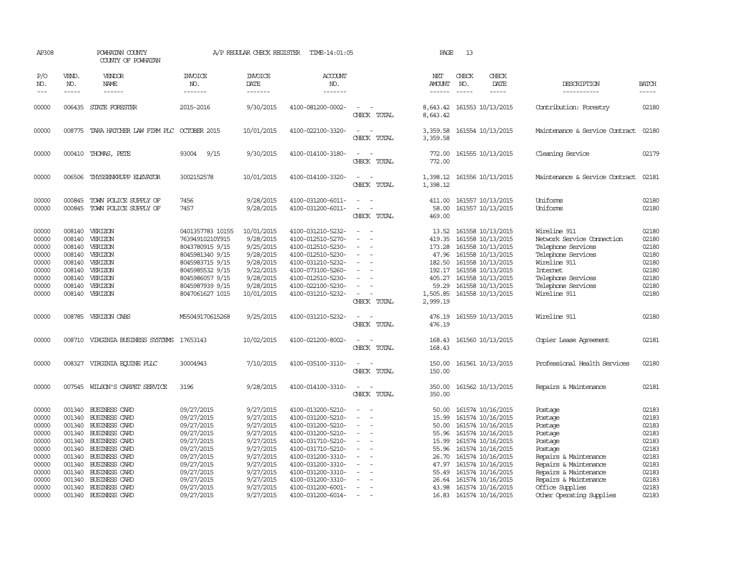| AP308                                                                |                                                | POWHATAN COUNTY<br>COUNTY OF POWHATAN                                                                                                        |                                                                                                                                                       | A/P REGULAR CHECK REGISTER                                                                            | TIME-14:01:05                                                                                                                                                        |                                                                            | PAGE                                                   | 13                            |                                                                                                                                                                                   |                                                                                                                                                                |                                                                      |
|----------------------------------------------------------------------|------------------------------------------------|----------------------------------------------------------------------------------------------------------------------------------------------|-------------------------------------------------------------------------------------------------------------------------------------------------------|-------------------------------------------------------------------------------------------------------|----------------------------------------------------------------------------------------------------------------------------------------------------------------------|----------------------------------------------------------------------------|--------------------------------------------------------|-------------------------------|-----------------------------------------------------------------------------------------------------------------------------------------------------------------------------------|----------------------------------------------------------------------------------------------------------------------------------------------------------------|----------------------------------------------------------------------|
| P/O<br>NO.<br>$- - -$                                                | VEND.<br>NO.<br>$\frac{1}{2}$                  | VENDOR<br>NAME<br>------                                                                                                                     | <b>INVOICE</b><br>NO.<br>--------                                                                                                                     | <b>INVOICE</b><br>DATE<br>-------                                                                     | ACCOUNT<br>NO.<br>-------                                                                                                                                            |                                                                            | NET<br>AMOUNT<br>------                                | CHECK<br>NO.<br>$\frac{1}{2}$ | CHECK<br>DATE<br>$- - - - -$                                                                                                                                                      | DESCRIPTION<br>-----------                                                                                                                                     | <b>BATCH</b><br>$- - - - -$                                          |
| 00000                                                                |                                                | 006435 STATE FORESTER                                                                                                                        | 2015-2016                                                                                                                                             | 9/30/2015                                                                                             | 4100-081200-0002-                                                                                                                                                    | $\equiv$<br>CHECK TOTAL                                                    | 8,643.42<br>8,643.42                                   |                               | 161553 10/13/2015                                                                                                                                                                 | Contribution: Forestry                                                                                                                                         | 02180                                                                |
| 00000                                                                |                                                | 008775 TARA HATCHER LAW FIRM PLC OCTOBER 2015                                                                                                |                                                                                                                                                       | 10/01/2015                                                                                            | 4100-022100-3320-                                                                                                                                                    | $\sim$<br>CHECK TOTAL                                                      | 3,359.58<br>3,359.58                                   |                               | 161554 10/13/2015                                                                                                                                                                 | Maintenance & Service Contract                                                                                                                                 | 02180                                                                |
| 00000                                                                |                                                | 000410 THOMAS, PETE                                                                                                                          | 9/15<br>93004                                                                                                                                         | 9/30/2015                                                                                             | 4100-014100-3180-                                                                                                                                                    | $\equiv$<br>CHECK TOTAL                                                    | 772.00<br>772.00                                       |                               | 161555 10/13/2015                                                                                                                                                                 | Cleaning Service                                                                                                                                               | 02179                                                                |
| 00000                                                                |                                                | 006506 THYSSENKRUPP ELEVATOR                                                                                                                 | 3002152578                                                                                                                                            | 10/01/2015                                                                                            | 4100-014100-3320-                                                                                                                                                    | $ -$<br>CHECK TOTAL                                                        | 1,398.12                                               |                               | 1,398.12 161556 10/13/2015                                                                                                                                                        | Maintenance & Service Contract                                                                                                                                 | 02181                                                                |
| 00000<br>00000                                                       | 000845<br>000845                               | TOWN POLICE SUPPLY OF<br>TOWN POLICE SUPPLY OF                                                                                               | 7456<br>7457                                                                                                                                          | 9/28/2015<br>9/28/2015                                                                                | 4100-031200-6011-<br>4100-031200-6011-                                                                                                                               | $\equiv$<br>$\equiv$<br>CHECK TOTAL                                        | 411.00<br>58.00<br>469.00                              |                               | 161557 10/13/2015<br>161557 10/13/2015                                                                                                                                            | <b>Iniforms</b><br>Uniforms                                                                                                                                    | 02180<br>02180                                                       |
| 00000<br>00000<br>00000<br>00000<br>00000<br>00000<br>00000<br>00000 | 008140<br>008140<br>008140<br>008140<br>008140 | VERIZON<br>VERIZON<br>VERIZON<br>008140 VERIZON<br>008140 VERIZON<br>008140 VERIZON<br>VERIZON<br>VERIZON                                    | 0401357783 10155<br>76394910210Y915<br>8043780915 9/15<br>8045981340 9/15<br>8045983715 9/15<br>8045985532 9/15<br>8045986057 9/15<br>8045987939 9/15 | 10/01/2015<br>9/28/2015<br>9/25/2015<br>9/28/2015<br>9/28/2015<br>9/22/2015<br>9/28/2015<br>9/28/2015 | 4100-031210-5232-<br>4100-012510-5270-<br>4100-012510-5230-<br>4100-012510-5230-<br>4100-031210-5232-<br>4100-073100-5260-<br>4100-012510-5230-<br>4100-022100-5230- | $\equiv$<br>$\overline{\phantom{a}}$<br>$\equiv$<br>$\sim$                 | 13.52<br>419.35<br>173.28<br>192.17<br>405.27<br>59.29 |                               | 161558 10/13/2015<br>161558 10/13/2015<br>161558 10/13/2015<br>47.96 161558 10/13/2015<br>182.50 161558 10/13/2015<br>161558 10/13/2015<br>161558 10/13/2015<br>161558 10/13/2015 | Wireline 911<br>Network Service Connection<br>Telephone Services<br>Telephone Services<br>Wireline 911<br>Internet<br>Telephone Services<br>Telephone Services | 02180<br>02180<br>02180<br>02180<br>02180<br>02180<br>02180<br>02180 |
| 00000                                                                |                                                | 008140 VERIZON                                                                                                                               | 8047061627 1015                                                                                                                                       | 10/01/2015                                                                                            | 4100-031210-5232-                                                                                                                                                    | $\overline{\phantom{a}}$<br>CHECK TOTAL                                    | 1,505.85<br>2,999.19                                   |                               | 161558 10/13/2015                                                                                                                                                                 | Wireline 911                                                                                                                                                   | 02180                                                                |
| 00000                                                                |                                                | 008785 VERIZON CABS                                                                                                                          | M55049170615268                                                                                                                                       | 9/25/2015                                                                                             | 4100-031210-5232-                                                                                                                                                    | $\sim$<br>CHECK TOTAL                                                      | 476.19<br>476.19                                       |                               | 161559 10/13/2015                                                                                                                                                                 | Wireline 911                                                                                                                                                   | 02180                                                                |
| 00000                                                                |                                                | 008710 VIRGINIA BUSINESS SYSTEMS 17653143                                                                                                    |                                                                                                                                                       | 10/02/2015                                                                                            | 4100-021200-8002-                                                                                                                                                    | $\sim$<br>CHECK TOTAL                                                      | 168.43<br>168.43                                       |                               | 161560 10/13/2015                                                                                                                                                                 | Copier Lease Agreement                                                                                                                                         | 02181                                                                |
| 00000                                                                | 008327                                         | VIRGINIA EQUINE PLLC                                                                                                                         | 30004943                                                                                                                                              | 7/10/2015                                                                                             | 4100-035100-3110-                                                                                                                                                    | $\sim$ 100 $\mu$<br>CHECK TOTAL                                            | 150.00<br>150.00                                       |                               | 161561 10/13/2015                                                                                                                                                                 | Professional Health Services                                                                                                                                   | 02180                                                                |
| 00000                                                                |                                                | 007545 WILSON'S CARPET SERVICE                                                                                                               | 3196                                                                                                                                                  | 9/28/2015                                                                                             | 4100-014100-3310-                                                                                                                                                    | $\sim$ 10 $\sim$ 10 $\sim$<br>CHECK TOTAL                                  | 350.00<br>350.00                                       |                               | 161562 10/13/2015                                                                                                                                                                 | Repairs & Maintenance                                                                                                                                          | 02181                                                                |
| 00000<br>00000<br>00000<br>00000<br>00000                            | 001340<br>001340                               | 001340 BUSINESS CARD<br><b>BUSINESS CARD</b><br>001340 BUSINESS CARD<br><b>BUSINESS CARD</b><br>001340 BUSINESS CARD                         | 09/27/2015<br>09/27/2015<br>09/27/2015<br>09/27/2015<br>09/27/2015                                                                                    | 9/27/2015<br>9/27/2015<br>9/27/2015<br>9/27/2015<br>9/27/2015                                         | 4100-013200-5210-<br>4100-031200-5210-<br>4100-031200-5210-<br>4100-031200-5210-<br>4100-031710-5210-                                                                | $\sim$<br>$\overline{\phantom{a}}$<br>$\equiv$<br>$\overline{\phantom{a}}$ | 50.00<br>15.99<br>50.00<br>15.99                       |                               | 161574 10/16/2015<br>161574 10/16/2015<br>161574 10/16/2015<br>55.96 161574 10/16/2015<br>161574 10/16/2015                                                                       | Postage<br>Postage<br>Postage<br>Postage<br>Postage                                                                                                            | 02183<br>02183<br>02183<br>02183<br>02183                            |
| 00000<br>00000<br>00000<br>00000<br>00000<br>00000                   | 001340<br>001340<br>001340<br>001340<br>001340 | 001340 BUSINESS CARD<br><b>BUSINESS CARD</b><br><b>BUSINESS CARD</b><br><b>BUSINESS CARD</b><br><b>BUSINESS CARD</b><br><b>BUSINESS CARD</b> | 09/27/2015<br>09/27/2015<br>09/27/2015<br>09/27/2015<br>09/27/2015<br>09/27/2015                                                                      | 9/27/2015<br>9/27/2015<br>9/27/2015<br>9/27/2015<br>9/27/2015<br>9/27/2015                            | 4100-031710-5210-<br>4100-031200-3310-<br>4100-031200-3310-<br>4100-031200-3310-<br>4100-031200-3310-<br>4100-031200-6001-                                           | $\overline{\phantom{a}}$<br>$\equiv$<br>$\overline{\phantom{a}}$<br>$\sim$ | 55.96<br>26.70<br>55.49<br>26.64                       |                               | 161574 10/16/2015<br>161574 10/16/2015<br>47.97 161574 10/16/2015<br>161574 10/16/2015<br>161574 10/16/2015<br>43.98 161574 10/16/2015                                            | Postage<br>Repairs & Maintenance<br>Repairs & Maintenance<br>Repairs & Maintenance<br>Repairs & Maintenance<br>Office Supplies                                 | 02183<br>02183<br>02183<br>02183<br>02183<br>02183                   |
| 00000                                                                | 001340                                         | <b>BUSINESS CARD</b>                                                                                                                         | 09/27/2015                                                                                                                                            | 9/27/2015                                                                                             | 4100-031200-6014-                                                                                                                                                    | $\sim$                                                                     |                                                        |                               | 16.83 161574 10/16/2015                                                                                                                                                           | Other Operating Supplies                                                                                                                                       | 02183                                                                |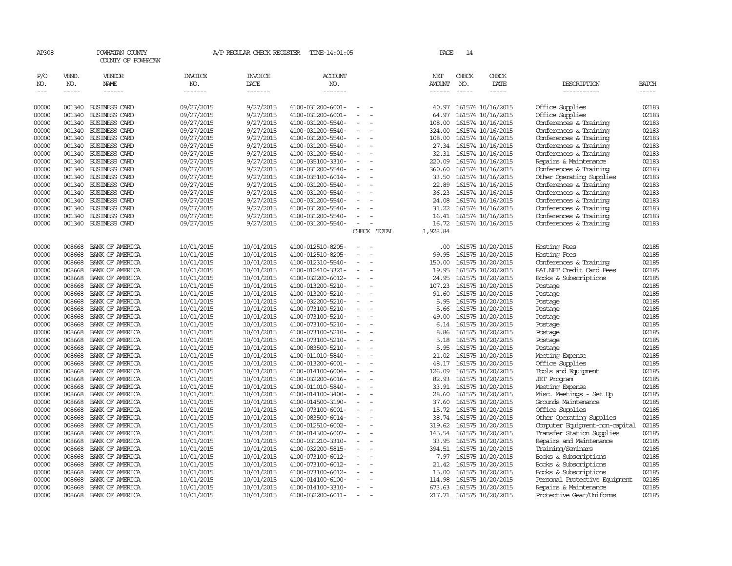| AP308          |                  | POWHATAN COUNTY<br>COUNTY OF POWHATAN                                                                                                                                                                                                                                                                                                                                                                                                                                      |                          | A/P REGULAR CHECK REGISTER | TIME-14:01:05                          |                                                      |             | PAGE           | 14           |                                        |                                                |                |
|----------------|------------------|----------------------------------------------------------------------------------------------------------------------------------------------------------------------------------------------------------------------------------------------------------------------------------------------------------------------------------------------------------------------------------------------------------------------------------------------------------------------------|--------------------------|----------------------------|----------------------------------------|------------------------------------------------------|-------------|----------------|--------------|----------------------------------------|------------------------------------------------|----------------|
| P/O<br>NO.     | VEND.<br>NO.     | VENDOR<br>NAME                                                                                                                                                                                                                                                                                                                                                                                                                                                             | INVOICE<br>NO.           | INVOICE<br>DATE            | <b>ACCOUNT</b><br>NO.                  |                                                      |             | NET<br>AMOUNT  | CHECK<br>NO. | CHECK<br>DATE                          | DESCRIPTION                                    | <b>BATCH</b>   |
| $---$          | $\frac{1}{2}$    | $\frac{1}{2} \left( \frac{1}{2} \right) \left( \frac{1}{2} \right) \left( \frac{1}{2} \right) \left( \frac{1}{2} \right) \left( \frac{1}{2} \right) \left( \frac{1}{2} \right) \left( \frac{1}{2} \right) \left( \frac{1}{2} \right) \left( \frac{1}{2} \right) \left( \frac{1}{2} \right) \left( \frac{1}{2} \right) \left( \frac{1}{2} \right) \left( \frac{1}{2} \right) \left( \frac{1}{2} \right) \left( \frac{1}{2} \right) \left( \frac{1}{2} \right) \left( \frac$ | -------                  | -------                    | -------                                |                                                      |             | $- - - - - -$  | $- - - - -$  | -----                                  | -----------                                    | $\cdots$       |
|                |                  |                                                                                                                                                                                                                                                                                                                                                                                                                                                                            |                          |                            |                                        |                                                      |             |                |              |                                        |                                                |                |
| 00000<br>00000 | 001340<br>001340 | <b>BUSINESS CARD</b><br><b>BUSINESS CARD</b>                                                                                                                                                                                                                                                                                                                                                                                                                               | 09/27/2015<br>09/27/2015 | 9/27/2015<br>9/27/2015     | 4100-031200-6001-<br>4100-031200-6001- | $\overline{\phantom{a}}$<br>$\overline{\phantom{a}}$ |             | 40.97<br>64.97 |              | 161574 10/16/2015<br>161574 10/16/2015 | Office Supplies<br>Office Supplies             | 02183<br>02183 |
| 00000          |                  | 001340 BUSINESS CARD                                                                                                                                                                                                                                                                                                                                                                                                                                                       | 09/27/2015               | 9/27/2015                  | 4100-031200-5540-                      |                                                      |             | 108.00         |              | 161574 10/16/2015                      | Conferences & Training                         | 02183          |
| 00000          |                  | 001340 BUSINESS CARD                                                                                                                                                                                                                                                                                                                                                                                                                                                       | 09/27/2015               | 9/27/2015                  | 4100-031200-5540-                      | $\overline{\phantom{a}}$                             |             | 324.00         |              | 161574 10/16/2015                      | Conferences & Training                         | 02183          |
| 00000          |                  | 001340 BUSINESS CARD                                                                                                                                                                                                                                                                                                                                                                                                                                                       | 09/27/2015               | 9/27/2015                  | 4100-031200-5540-                      | $\overline{\phantom{a}}$                             |             | 108.00         |              | 161574 10/16/2015                      | Conferences & Training                         | 02183          |
| 00000          |                  | 001340 BUSINESS CARD                                                                                                                                                                                                                                                                                                                                                                                                                                                       | 09/27/2015               | 9/27/2015                  | 4100-031200-5540-                      | $\overline{\phantom{a}}$                             |             |                |              | 27.34 161574 10/16/2015                | Conferences & Training                         | 02183          |
| 00000          |                  | 001340 BUSINESS CARD                                                                                                                                                                                                                                                                                                                                                                                                                                                       | 09/27/2015               | 9/27/2015                  | 4100-031200-5540-                      | $\overline{\phantom{a}}$                             |             |                |              | 32.31 161574 10/16/2015                | Conferences & Training                         | 02183          |
| 00000          |                  | 001340 BUSINESS CARD                                                                                                                                                                                                                                                                                                                                                                                                                                                       | 09/27/2015               | 9/27/2015                  | 4100-035100-3310-                      | $\sim$                                               |             | 220.09         |              | 161574 10/16/2015                      | Repairs & Maintenance                          | 02183          |
| 00000          |                  | 001340 BUSINESS CARD                                                                                                                                                                                                                                                                                                                                                                                                                                                       | 09/27/2015               | 9/27/2015                  | 4100-031200-5540-                      | $\overline{\phantom{a}}$                             |             | 360.60         |              | 161574 10/16/2015                      | Conferences & Training                         | 02183          |
| 00000          |                  | 001340 BUSINESS CARD                                                                                                                                                                                                                                                                                                                                                                                                                                                       | 09/27/2015               | 9/27/2015                  | 4100-035100-6014-                      | $\overline{\phantom{a}}$                             |             |                |              | 33.50 161574 10/16/2015                | Other Operating Supplies                       | 02183          |
| 00000          |                  | 001340 BUSINESS CARD                                                                                                                                                                                                                                                                                                                                                                                                                                                       | 09/27/2015               | 9/27/2015                  | 4100-031200-5540-                      | $\overline{\phantom{a}}$                             |             | 22.89          |              | 161574 10/16/2015                      | Conferences & Training                         | 02183          |
| 00000          |                  | 001340 BUSINESS CARD                                                                                                                                                                                                                                                                                                                                                                                                                                                       | 09/27/2015               | 9/27/2015                  | 4100-031200-5540-                      | $\overline{\phantom{a}}$                             |             | 36.23          |              | 161574 10/16/2015                      | Conferences & Training                         | 02183          |
| 00000          |                  | 001340 BUSINESS CARD                                                                                                                                                                                                                                                                                                                                                                                                                                                       | 09/27/2015               | 9/27/2015                  | 4100-031200-5540-                      | $\overline{\phantom{a}}$                             |             | 24.08          |              | 161574 10/16/2015                      | Conferences & Training                         | 02183          |
| 00000          |                  | 001340 BUSINESS CARD                                                                                                                                                                                                                                                                                                                                                                                                                                                       | 09/27/2015               | 9/27/2015                  | 4100-031200-5540-                      |                                                      |             | 31.22          |              | 161574 10/16/2015                      | Conferences & Training                         | 02183          |
| 00000          |                  | 001340 BUSINESS CARD                                                                                                                                                                                                                                                                                                                                                                                                                                                       | 09/27/2015               | 9/27/2015                  | 4100-031200-5540-                      | $\overline{\phantom{a}}$                             |             |                |              | 16.41 161574 10/16/2015                | Conferences & Training                         | 02183          |
| 00000          |                  | 001340 BUSINESS CARD                                                                                                                                                                                                                                                                                                                                                                                                                                                       | 09/27/2015               | 9/27/2015                  | 4100-031200-5540-                      | $\sim$                                               |             | 16.72          |              | 161574 10/16/2015                      | Conferences & Training                         | 02183          |
|                |                  |                                                                                                                                                                                                                                                                                                                                                                                                                                                                            |                          |                            |                                        |                                                      | CHECK TOTAL | 1,928.84       |              |                                        |                                                |                |
| 00000          | 008668           | BANK OF AMERICA                                                                                                                                                                                                                                                                                                                                                                                                                                                            | 10/01/2015               | 10/01/2015                 | 4100-012510-8205-                      | $\overline{\phantom{a}}$                             |             | .00.           |              | 161575 10/20/2015                      | Hosting Fees                                   | 02185          |
| 00000          | 008668           | BANK OF AMERICA                                                                                                                                                                                                                                                                                                                                                                                                                                                            | 10/01/2015               | 10/01/2015                 | 4100-012510-8205-                      |                                                      |             | 99.95          |              | 161575 10/20/2015                      | Hosting Fees                                   | 02185          |
| 00000          | 008668           | BANK OF AMERICA                                                                                                                                                                                                                                                                                                                                                                                                                                                            | 10/01/2015               | 10/01/2015                 | 4100-012310-5540-                      | $\overline{\phantom{a}}$                             |             | 150.00         |              | 161575 10/20/2015                      | Conferences & Training                         | 02185          |
| 00000          | 008668           | BANK OF AMERICA                                                                                                                                                                                                                                                                                                                                                                                                                                                            | 10/01/2015               | 10/01/2015                 | 4100-012410-3321-                      | $\overline{\phantom{a}}$                             |             | 19.95          |              | 161575 10/20/2015                      | BAI.NET Credit Card Fees                       | 02185          |
| 00000          | 008668           | BANK OF AMERICA                                                                                                                                                                                                                                                                                                                                                                                                                                                            | 10/01/2015               | 10/01/2015                 | 4100-032200-6012-                      | $\overline{\phantom{a}}$                             |             | 24.95          |              | 161575 10/20/2015                      | Books & Subscriptions                          | 02185          |
| 00000          | 008668           | BANK OF AMERICA                                                                                                                                                                                                                                                                                                                                                                                                                                                            | 10/01/2015               | 10/01/2015                 | 4100-013200-5210-                      | $\overline{\phantom{a}}$                             |             | 107.23         |              | 161575 10/20/2015                      | Postage                                        | 02185          |
| 00000          | 008668           | BANK OF AMERICA                                                                                                                                                                                                                                                                                                                                                                                                                                                            | 10/01/2015               | 10/01/2015                 | 4100-013200-5210-                      |                                                      |             | 91.60          |              | 161575 10/20/2015                      | Postage                                        | 02185          |
| 00000          | 008668           | BANK OF AMERICA                                                                                                                                                                                                                                                                                                                                                                                                                                                            | 10/01/2015               | 10/01/2015                 | 4100-032200-5210-                      | $\sim$                                               |             | 5.95           |              | 161575 10/20/2015                      | Postage                                        | 02185          |
| 00000          | 008668           | BANK OF AMERICA                                                                                                                                                                                                                                                                                                                                                                                                                                                            | 10/01/2015               | 10/01/2015                 | 4100-073100-5210-                      | $\sim$                                               |             | 5.66           |              | 161575 10/20/2015                      | Postage                                        | 02185          |
| 00000          | 008668           | BANK OF AMERICA                                                                                                                                                                                                                                                                                                                                                                                                                                                            | 10/01/2015               | 10/01/2015                 | 4100-073100-5210-                      | $\overline{\phantom{a}}$                             |             | 49.00          |              | 161575 10/20/2015                      | Postage                                        | 02185          |
| 00000          | 008668           | BANK OF AMERICA                                                                                                                                                                                                                                                                                                                                                                                                                                                            | 10/01/2015               | 10/01/2015                 | 4100-073100-5210-                      | $\overline{\phantom{a}}$                             |             |                |              | 6.14 161575 10/20/2015                 | Postage                                        | 02185          |
| 00000          | 008668           | BANK OF AMERICA                                                                                                                                                                                                                                                                                                                                                                                                                                                            | 10/01/2015               | 10/01/2015                 | 4100-073100-5210-                      | $\overline{\phantom{a}}$                             |             |                |              | 8.86 161575 10/20/2015                 | Postage                                        | 02185          |
| 00000          | 008668           | BANK OF AMERICA                                                                                                                                                                                                                                                                                                                                                                                                                                                            | 10/01/2015               | 10/01/2015                 | 4100-073100-5210-                      | $\overline{\phantom{a}}$                             |             | 5.18           |              | 161575 10/20/2015                      | Postage                                        | 02185          |
| 00000          | 008668           | BANK OF AMERICA                                                                                                                                                                                                                                                                                                                                                                                                                                                            | 10/01/2015               | 10/01/2015                 | 4100-083500-5210-                      | $\overline{\phantom{a}}$                             |             | 5.95           |              | 161575 10/20/2015                      | Postage                                        | 02185          |
| 00000          | 008668           | BANK OF AMERICA                                                                                                                                                                                                                                                                                                                                                                                                                                                            | 10/01/2015               | 10/01/2015                 | 4100-011010-5840-                      | $\sim$                                               |             | 21.02          |              | 161575 10/20/2015                      | Meeting Expense                                | 02185          |
| 00000          | 008668           | BANK OF AMERICA                                                                                                                                                                                                                                                                                                                                                                                                                                                            | 10/01/2015               | 10/01/2015                 | 4100-013200-6001-                      | $\equiv$                                             |             | 48.17          |              | 161575 10/20/2015                      | Office Supplies                                | 02185          |
| 00000          | 008668           | BANK OF AMERICA                                                                                                                                                                                                                                                                                                                                                                                                                                                            | 10/01/2015               | 10/01/2015                 | 4100-014100-6004-                      | $\equiv$                                             |             | 126.09         |              | 161575 10/20/2015                      | Tools and Equipment                            | 02185          |
| 00000          | 008668           | BANK OF AMERICA                                                                                                                                                                                                                                                                                                                                                                                                                                                            | 10/01/2015               | 10/01/2015                 | 4100-032200-6016-                      |                                                      |             | 82.93          |              | 161575 10/20/2015                      | <b>JET</b> Program                             | 02185          |
| 00000          | 008668           | BANK OF AMERICA                                                                                                                                                                                                                                                                                                                                                                                                                                                            | 10/01/2015               | 10/01/2015                 | 4100-011010-5840-                      | $\sim$                                               |             |                |              | 33.91 161575 10/20/2015                | Meeting Expense                                | 02185          |
| 00000<br>00000 | 008668<br>008668 | BANK OF AMERICA<br>BANK OF AMERICA                                                                                                                                                                                                                                                                                                                                                                                                                                         | 10/01/2015<br>10/01/2015 | 10/01/2015<br>10/01/2015   | 4100-014100-3400-                      | $\overline{\phantom{a}}$<br>$\overline{\phantom{a}}$ |             | 28.60<br>37.60 |              | 161575 10/20/2015<br>161575 10/20/2015 | Misc. Meetings - Set Up<br>Grounds Maintenance | 02185<br>02185 |
| 00000          | 008668           | BANK OF AMERICA                                                                                                                                                                                                                                                                                                                                                                                                                                                            | 10/01/2015               | 10/01/2015                 | 4100-014500-3190-<br>4100-073100-6001- | $\overline{\phantom{a}}$                             |             | 15.72          |              | 161575 10/20/2015                      | Office Supplies                                | 02185          |
| 00000          | 008668           | BANK OF AMERICA                                                                                                                                                                                                                                                                                                                                                                                                                                                            | 10/01/2015               | 10/01/2015                 | 4100-083500-6014-                      | $\overline{\phantom{a}}$                             |             |                |              | 38.74 161575 10/20/2015                | Other Operating Supplies                       | 02185          |
| 00000          | 008668           | BANK OF AMERICA                                                                                                                                                                                                                                                                                                                                                                                                                                                            | 10/01/2015               | 10/01/2015                 | 4100-012510-6002-                      |                                                      |             | 319.62         |              | 161575 10/20/2015                      | Computer Equipment-non-capital                 | 02185          |
| 00000          | 008668           | BANK OF AMERICA                                                                                                                                                                                                                                                                                                                                                                                                                                                            | 10/01/2015               | 10/01/2015                 | 4100-014300-6007-                      | $\equiv$                                             |             | 145.54         |              | 161575 10/20/2015                      | Transfer Station Supplies                      | 02185          |
| 00000          | 008668           | BANK OF AMERICA                                                                                                                                                                                                                                                                                                                                                                                                                                                            | 10/01/2015               | 10/01/2015                 | 4100-031210-3310-                      | $\sim$                                               |             | 33.95          |              | 161575 10/20/2015                      | Repairs and Maintenance                        | 02185          |
| 00000          | 008668           | BANK OF AMERICA                                                                                                                                                                                                                                                                                                                                                                                                                                                            | 10/01/2015               | 10/01/2015                 | 4100-032200-5815-                      | $\overline{\phantom{a}}$                             |             |                |              | 394.51 161575 10/20/2015               | Training/Seminars                              | 02185          |
| 00000          | 008668           | BANK OF AMERICA                                                                                                                                                                                                                                                                                                                                                                                                                                                            | 10/01/2015               | 10/01/2015                 | 4100-073100-6012-                      | $\equiv$                                             |             |                |              | 7.97 161575 10/20/2015                 | Books & Subscriptions                          | 02185          |
| 00000          | 008668           | BANK OF AMERICA                                                                                                                                                                                                                                                                                                                                                                                                                                                            | 10/01/2015               | 10/01/2015                 | 4100-073100-6012-                      |                                                      |             |                |              | 21.42 161575 10/20/2015                | Books & Subscriptions                          | 02185          |
| 00000          | 008668           | BANK OF AMERICA                                                                                                                                                                                                                                                                                                                                                                                                                                                            | 10/01/2015               | 10/01/2015                 | 4100-073100-6012-                      | $\overline{\phantom{a}}$                             |             | 15.00          |              | 161575 10/20/2015                      | Books & Subscriptions                          | 02185          |
| 00000          | 008668           | BANK OF AMERICA                                                                                                                                                                                                                                                                                                                                                                                                                                                            | 10/01/2015               | 10/01/2015                 | 4100-014100-6100-                      | $\overline{\phantom{a}}$                             |             | 114.98         |              | 161575 10/20/2015                      | Personal Protective Equipment                  | 02185          |
| 00000          |                  | 008668 BANK OF AMERICA                                                                                                                                                                                                                                                                                                                                                                                                                                                     | 10/01/2015               | 10/01/2015                 | 4100-014100-3310-                      | $\overline{\phantom{a}}$                             |             |                |              | 673.63 161575 10/20/2015               | Repairs & Maintenance                          | 02185          |
| 00000          | 008668           | BANK OF AMERICA                                                                                                                                                                                                                                                                                                                                                                                                                                                            | 10/01/2015               | 10/01/2015                 | 4100-032200-6011-                      | $\overline{\phantom{a}}$                             |             |                |              | 217.71 161575 10/20/2015               | Protective Gear/Uniforms                       | 02185          |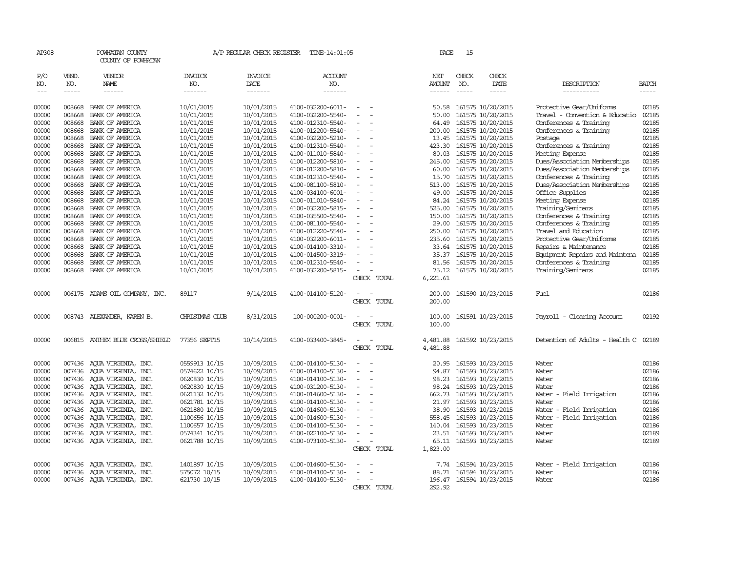| AP308               |                             | POWHATAN COUNTY<br>COUNTY OF POWHATAN |                                  | A/P REGULAR CHECK REGISTER         | TIME-14:01:05                          |                                                      |             | PAGE                           | 15                            |                                        |                                                            |                             |
|---------------------|-----------------------------|---------------------------------------|----------------------------------|------------------------------------|----------------------------------------|------------------------------------------------------|-------------|--------------------------------|-------------------------------|----------------------------------------|------------------------------------------------------------|-----------------------------|
| P/O<br>NO.<br>$---$ | VEND.<br>NO.<br>$- - - - -$ | VENDOR<br>NAME<br>$- - - - - -$       | <b>INVOICE</b><br>NO.<br>------- | <b>INVOICE</b><br>DATE<br>-------- | <b>ACCOUNT</b><br>NO.<br>-------       |                                                      |             | NET<br>AMOUNT<br>$- - - - - -$ | CHECK<br>NO.<br>$\frac{1}{2}$ | CHECK<br>DATE<br>$- - - - -$           | DESCRIPTION<br>-----------                                 | <b>BATCH</b><br>$- - - - -$ |
|                     |                             |                                       |                                  |                                    |                                        |                                                      |             |                                |                               |                                        |                                                            |                             |
| 00000<br>00000      | 008668<br>008668            | BANK OF AMERICA<br>BANK OF AMERICA    | 10/01/2015<br>10/01/2015         | 10/01/2015<br>10/01/2015           | 4100-032200-6011-<br>4100-032200-5540- | $\overline{\phantom{a}}$<br>$\overline{\phantom{a}}$ |             | 50.58<br>50.00                 |                               | 161575 10/20/2015<br>161575 10/20/2015 | Protective Gear/Uniforms<br>Travel - Convention & Educatio | 02185<br>02185              |
| 00000               | 008668                      | BANK OF AMERICA                       | 10/01/2015                       | 10/01/2015                         | 4100-012310-5540-                      |                                                      |             | 64.49                          |                               | 161575 10/20/2015                      | Conferences & Training                                     | 02185                       |
| 00000               | 008668                      | BANK OF AMERICA                       | 10/01/2015                       | 10/01/2015                         | 4100-012200-5540-                      | $\sim$                                               |             | 200.00                         |                               | 161575 10/20/2015                      | Conferences & Training                                     | 02185                       |
| 00000               | 008668                      | BANK OF AMERICA                       | 10/01/2015                       | 10/01/2015                         | 4100-032200-5210-                      | $\overline{\phantom{a}}$                             |             | 13.45                          |                               | 161575 10/20/2015                      | Postage                                                    | 02185                       |
| 00000               | 008668                      | BANK OF AMERICA                       | 10/01/2015                       | 10/01/2015                         | 4100-012310-5540-                      |                                                      |             |                                |                               | 423.30 161575 10/20/2015               | Conferences & Training                                     | 02185                       |
| 00000               | 008668                      | BANK OF AMERICA                       | 10/01/2015                       | 10/01/2015                         | 4100-011010-5840-                      | $\overline{\phantom{a}}$                             |             |                                |                               | 80.03 161575 10/20/2015                | Meeting Expense                                            | 02185                       |
| 00000               | 008668                      | BANK OF AMERICA                       | 10/01/2015                       | 10/01/2015                         | 4100-012200-5810-                      | $\overline{\phantom{a}}$                             |             | 245.00                         |                               | 161575 10/20/2015                      | Dues/Association Memberships                               | 02185                       |
| 00000               | 008668                      | BANK OF AMERICA                       | 10/01/2015                       | 10/01/2015                         | 4100-012200-5810-                      | $\overline{\phantom{a}}$                             |             | 60.00                          |                               | 161575 10/20/2015                      | Dues/Association Memberships                               | 02185                       |
| 00000               | 008668                      | BANK OF AMERICA                       | 10/01/2015                       | 10/01/2015                         | 4100-012310-5540-                      | $\equiv$                                             |             | 15.70                          |                               | 161575 10/20/2015                      | Conferences & Training                                     | 02185                       |
| 00000               | 008668                      | BANK OF AMERICA                       | 10/01/2015                       | 10/01/2015                         | 4100-081100-5810-                      | $\sim$                                               |             |                                |                               | 513.00 161575 10/20/2015               | Dues/Association Memberships                               | 02185                       |
| 00000               | 008668                      | BANK OF AMERICA                       | 10/01/2015                       | 10/01/2015                         | 4100-034100-6001-                      | $\overline{\phantom{a}}$                             |             | 49.00                          |                               | 161575 10/20/2015                      | Office Supplies                                            | 02185                       |
| 00000               | 008668                      | BANK OF AMERICA                       | 10/01/2015                       | 10/01/2015                         | 4100-011010-5840-                      |                                                      |             | 84.24                          |                               | 161575 10/20/2015                      | Meeting Expense                                            | 02185                       |
| 00000               | 008668                      | BANK OF AMERICA                       | 10/01/2015                       | 10/01/2015                         | 4100-032200-5815-                      | $\equiv$                                             |             |                                |                               | 525.00 161575 10/20/2015               | Training/Seminars                                          | 02185                       |
| 00000               | 008668                      | BANK OF AMERICA                       | 10/01/2015                       | 10/01/2015                         | 4100-035500-5540-                      | $\overline{\phantom{a}}$                             |             | 150.00                         |                               | 161575 10/20/2015                      | Conferences & Training                                     | 02185                       |
| 00000               | 008668                      | BANK OF AMERICA                       | 10/01/2015                       | 10/01/2015                         | 4100-081100-5540-                      | $\sim$                                               |             |                                |                               | 29.00 161575 10/20/2015                | Conferences & Training                                     | 02185                       |
| 00000               | 008668                      | BANK OF AMERICA                       | 10/01/2015                       | 10/01/2015                         | 4100-012220-5540-                      | $\overline{\phantom{a}}$                             |             | 250.00                         |                               | 161575 10/20/2015                      | Travel and Education                                       | 02185                       |
| 00000               | 008668                      | BANK OF AMERICA                       | 10/01/2015                       | 10/01/2015                         | 4100-032200-6011-                      | $\overline{\phantom{a}}$                             |             | 235.60                         |                               | 161575 10/20/2015                      | Protective Gear/Uniforms                                   | 02185                       |
| 00000               | 008668                      | BANK OF AMERICA                       | 10/01/2015                       | 10/01/2015                         | 4100-014100-3310-                      | $\overline{\phantom{a}}$                             |             | 33.64                          |                               | 161575 10/20/2015                      | Repairs & Maintenance                                      | 02185                       |
| 00000               | 008668                      | BANK OF AMERICA                       | 10/01/2015                       | 10/01/2015                         | 4100-014500-3319-                      |                                                      |             |                                |                               | 35.37 161575 10/20/2015                | Equipment Repairs and Maintena                             | 02185                       |
| 00000               | 008668                      | BANK OF AMERICA                       | 10/01/2015                       | 10/01/2015                         | 4100-012310-5540-                      | $\equiv$                                             |             |                                |                               | 81.56 161575 10/20/2015                | Conferences & Training                                     | 02185                       |
| 00000               | 008668                      | BANK OF AMERICA                       | 10/01/2015                       | 10/01/2015                         | 4100-032200-5815-                      | $\equiv$                                             |             | 75.12                          |                               | 161575 10/20/2015                      | Training/Seminars                                          | 02185                       |
|                     |                             |                                       |                                  |                                    |                                        |                                                      | CHECK TOTAL | 6,221.61                       |                               |                                        |                                                            |                             |
| 00000               |                             | 006175 ADAMS OIL COMPANY, INC.        | 89117                            | 9/14/2015                          | 4100-014100-5120-                      | $\overline{\phantom{a}}$                             | CHECK TOTAL | 200.00<br>200.00               |                               | 161590 10/23/2015                      | Fuel                                                       | 02186                       |
|                     |                             |                                       |                                  |                                    |                                        |                                                      |             |                                |                               |                                        |                                                            |                             |
| 00000               |                             | 008743 ALEXANDER, KAREN B.            | CHRISTMAS CIUB                   | 8/31/2015                          | 100-000200-0001-                       | $\sim$                                               | CHECK TOTAL | 100.00<br>100.00               |                               | 161591 10/23/2015                      | Payroll - Clearing Account                                 | 02192                       |
| 00000               |                             | 006815 ANTHEM BLUE CROSS/SHIELD       | 77356 SEPT15                     | 10/14/2015                         | 4100-033400-3845-                      | $\sim$                                               |             | 4,481.88                       |                               | 161592 10/23/2015                      | Detention of Adults - Health C                             | 02189                       |
|                     |                             |                                       |                                  |                                    |                                        |                                                      | CHECK TOTAL | 4,481.88                       |                               |                                        |                                                            |                             |
| 00000               |                             | 007436 AOUA VIRGINIA, INC.            | 0559913 10/15                    | 10/09/2015                         | 4100-014100-5130-                      | $\overline{\phantom{a}}$                             |             | 20.95                          |                               | 161593 10/23/2015                      | Water                                                      | 02186                       |
| 00000               |                             | 007436 AQUA VIRGINIA, INC.            | 0574622 10/15                    | 10/09/2015                         | 4100-014100-5130-                      | $\sim$<br>$\overline{\phantom{a}}$                   |             | 94.87                          |                               | 161593 10/23/2015                      | Water                                                      | 02186                       |
| 00000               |                             | 007436 AOUA VIRGINIA, INC.            | 0620830 10/15                    | 10/09/2015                         | 4100-014100-5130-                      | $\equiv$                                             |             | 98.23                          |                               | 161593 10/23/2015                      | Water                                                      | 02186                       |
| 00000               |                             | 007436 AQUA VIRGINIA, INC.            | 0620830 10/15                    | 10/09/2015                         | 4100-031200-5130-                      | $\equiv$                                             |             | 98.24                          |                               | 161593 10/23/2015                      | Water                                                      | 02186                       |
| 00000               |                             | 007436 AQUA VIRGINIA, INC.            | 0621132 10/15                    | 10/09/2015                         | 4100-014600-5130-                      | $\sim$                                               |             |                                |                               | 662.73 161593 10/23/2015               | Water - Field Irrigation                                   | 02186                       |
| 00000               |                             | 007436 AOUA VIRGINIA, INC.            | 0621781 10/15                    | 10/09/2015                         | 4100-014100-5130-                      | $\overline{\phantom{a}}$                             |             | 21.97                          |                               | 161593 10/23/2015                      | Water                                                      | 02186                       |
| 00000               |                             | 007436 AQUA VIRGINIA, INC.            | 0621880 10/15                    | 10/09/2015                         | 4100-014600-5130-                      | $\equiv$                                             |             | 38.90                          |                               | 161593 10/23/2015                      | Water - Field Irrigation                                   | 02186                       |
| 00000               |                             | 007436 AQUA VIRGINIA, INC.            | 1100656 10/15                    | 10/09/2015                         | 4100-014600-5130-                      | $\overline{\phantom{a}}$                             |             | 558.45                         |                               | 161593 10/23/2015                      | - Field Irrigation<br>Water                                | 02186                       |
| 00000               |                             | 007436 AQUA VIRGINIA, INC.            | 1100657 10/15                    | 10/09/2015                         | 4100-014100-5130-                      | $\equiv$                                             |             | 140.04                         |                               | 161593 10/23/2015                      | Water                                                      | 02186                       |
| 00000               |                             | 007436 AOUA VIRGINIA, INC.            | 0574341 10/15                    | 10/09/2015                         | 4100-022100-5130-                      | $\equiv$                                             |             |                                |                               | 23.51 161593 10/23/2015                | Water                                                      | 02189                       |
| 00000               |                             | 007436 AQUA VIRGINIA, INC.            | 0621788 10/15                    | 10/09/2015                         | 4100-073100-5130-                      | $\overline{\phantom{a}}$                             |             |                                |                               | 65.11 161593 10/23/2015                | Water                                                      | 02189                       |
|                     |                             |                                       |                                  |                                    |                                        |                                                      | CHECK TOTAL | 1,823.00                       |                               |                                        |                                                            |                             |
| 00000               |                             | 007436 AQUA VIRGINIA, INC.            | 1401897 10/15                    | 10/09/2015                         | 4100-014600-5130-                      |                                                      |             | 7.74                           |                               | 161594 10/23/2015                      | Water - Field Irrigation                                   | 02186                       |
| 00000               |                             | 007436 AQUA VIRGINIA, INC.            | 575072 10/15                     | 10/09/2015                         | 4100-014100-5130-                      | $\sim$                                               |             | 88.71                          |                               | 161594 10/23/2015                      | Water                                                      | 02186                       |
| 00000               |                             | 007436 AQUA VIRGINIA, INC.            | 621730 10/15                     | 10/09/2015                         | 4100-014100-5130-                      | $\equiv$                                             |             |                                |                               | 196.47 161594 10/23/2015               | Water                                                      | 02186                       |
|                     |                             |                                       |                                  |                                    |                                        |                                                      | CHECK TOTAL | 292.92                         |                               |                                        |                                                            |                             |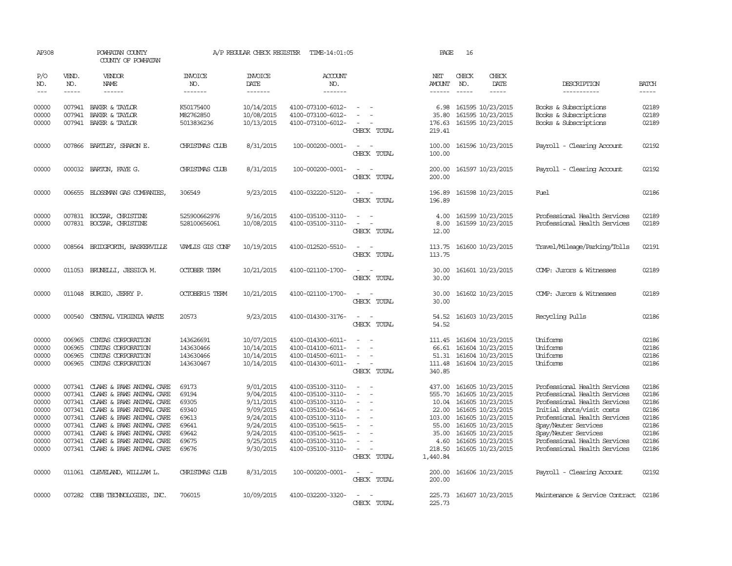| AP308                                                                                                                                                                                                                                                                                                                                                                                                      |                                      | POWHATAN COUNTY<br>COUNTY OF POWHATAN                                                                                                                                                                                                                                                                                   |                                                                               | A/P REGULAR CHECK REGISTER                                                                                        | TIME-14:01:05                                                                                                                                                                             |                                                                                                             | PAGE                                                                                | 16                            |                                                                                                                                                                                                 |                                                                                                                                                                                                                                                                           |                                                                               |
|------------------------------------------------------------------------------------------------------------------------------------------------------------------------------------------------------------------------------------------------------------------------------------------------------------------------------------------------------------------------------------------------------------|--------------------------------------|-------------------------------------------------------------------------------------------------------------------------------------------------------------------------------------------------------------------------------------------------------------------------------------------------------------------------|-------------------------------------------------------------------------------|-------------------------------------------------------------------------------------------------------------------|-------------------------------------------------------------------------------------------------------------------------------------------------------------------------------------------|-------------------------------------------------------------------------------------------------------------|-------------------------------------------------------------------------------------|-------------------------------|-------------------------------------------------------------------------------------------------------------------------------------------------------------------------------------------------|---------------------------------------------------------------------------------------------------------------------------------------------------------------------------------------------------------------------------------------------------------------------------|-------------------------------------------------------------------------------|
| P/O<br>NO.<br>$\frac{1}{2} \frac{1}{2} \frac{1}{2} \frac{1}{2} \frac{1}{2} \frac{1}{2} \frac{1}{2} \frac{1}{2} \frac{1}{2} \frac{1}{2} \frac{1}{2} \frac{1}{2} \frac{1}{2} \frac{1}{2} \frac{1}{2} \frac{1}{2} \frac{1}{2} \frac{1}{2} \frac{1}{2} \frac{1}{2} \frac{1}{2} \frac{1}{2} \frac{1}{2} \frac{1}{2} \frac{1}{2} \frac{1}{2} \frac{1}{2} \frac{1}{2} \frac{1}{2} \frac{1}{2} \frac{1}{2} \frac{$ | VEND.<br>NO.<br>$- - - - -$          | <b>VENDOR</b><br>NAME<br>$- - - - - -$                                                                                                                                                                                                                                                                                  | <b>INVOICE</b><br>NO.<br>-------                                              | <b>INVOICE</b><br>DATE<br>-------                                                                                 | <b>ACCOUNT</b><br>NO.<br>-------                                                                                                                                                          |                                                                                                             | NET<br><b>AMOUNT</b><br>------                                                      | CHECK<br>NO.<br>$\frac{1}{2}$ | CHECK<br>DATE<br>-----                                                                                                                                                                          | DESCRIPTION<br>-----------                                                                                                                                                                                                                                                | <b>BATCH</b><br>-----                                                         |
| 00000<br>00000<br>00000                                                                                                                                                                                                                                                                                                                                                                                    |                                      | 007941 BAKER & TAYLOR<br>007941 BAKER & TAYLOR<br>007941 BAKER & TAYLOR                                                                                                                                                                                                                                                 | K50175400<br>M82762850<br>5013836236                                          | 10/14/2015<br>10/08/2015<br>10/13/2015                                                                            | 4100-073100-6012-<br>4100-073100-6012-<br>4100-073100-6012-                                                                                                                               | $\overline{\phantom{a}}$<br>CHECK TOTAL                                                                     | 6.98<br>35.80<br>176.63<br>219.41                                                   |                               | 161595 10/23/2015<br>161595 10/23/2015<br>161595 10/23/2015                                                                                                                                     | Books & Subscriptions<br>Books & Subscriptions<br>Books & Subscriptions                                                                                                                                                                                                   | 02189<br>02189<br>02189                                                       |
| 00000                                                                                                                                                                                                                                                                                                                                                                                                      |                                      | 007866 BARTLEY, SHARON E.                                                                                                                                                                                                                                                                                               | CHRISTMAS CLUB                                                                | 8/31/2015                                                                                                         | 100-000200-0001-                                                                                                                                                                          | $\sim$<br>CHECK TOTAL                                                                                       | 100.00<br>100.00                                                                    |                               | 161596 10/23/2015                                                                                                                                                                               | Payroll - Clearing Account                                                                                                                                                                                                                                                | 02192                                                                         |
| 00000                                                                                                                                                                                                                                                                                                                                                                                                      |                                      | 000032 BARTON, FAYE G.                                                                                                                                                                                                                                                                                                  | CHRISTMAS CLUB                                                                | 8/31/2015                                                                                                         | 100-000200-0001-                                                                                                                                                                          | $\equiv$<br>CHECK TOTAL                                                                                     | 200.00<br>200.00                                                                    |                               | 161597 10/23/2015                                                                                                                                                                               | Payroll - Clearing Account                                                                                                                                                                                                                                                | 02192                                                                         |
| 00000                                                                                                                                                                                                                                                                                                                                                                                                      |                                      | 006655 BLOSSMAN GAS COMPANIES,                                                                                                                                                                                                                                                                                          | 306549                                                                        | 9/23/2015                                                                                                         | 4100-032220-5120-                                                                                                                                                                         | $\equiv$<br>CHECK TOTAL                                                                                     | 196.89<br>196.89                                                                    |                               | 161598 10/23/2015                                                                                                                                                                               | Fuel                                                                                                                                                                                                                                                                      | 02186                                                                         |
| 00000<br>00000                                                                                                                                                                                                                                                                                                                                                                                             |                                      | 007831 BOCZAR, CHRISTINE<br>007831 BOCZAR, CHRISTINE                                                                                                                                                                                                                                                                    | 525900662976<br>528100656061                                                  | 9/16/2015<br>10/08/2015                                                                                           | 4100-035100-3110-<br>4100-035100-3110-                                                                                                                                                    | $\sim$<br>$\equiv$<br>CHECK TOTAL                                                                           | 4.00<br>8.00<br>12.00                                                               |                               | 161599 10/23/2015<br>161599 10/23/2015                                                                                                                                                          | Professional Health Services<br>Professional Health Services                                                                                                                                                                                                              | 02189<br>02189                                                                |
| 00000                                                                                                                                                                                                                                                                                                                                                                                                      |                                      | 008564 BRIDGFORTH, BASKERVILLE                                                                                                                                                                                                                                                                                          | VAMLIS GIS CONF                                                               | 10/19/2015                                                                                                        | 4100-012520-5510-                                                                                                                                                                         | $\sim$ 100 $\mu$<br>$\sim$<br>CHECK TOTAL                                                                   | 113.75<br>113.75                                                                    |                               | 161600 10/23/2015                                                                                                                                                                               | Travel/Mileage/Parking/Tolls                                                                                                                                                                                                                                              | 02191                                                                         |
| 00000                                                                                                                                                                                                                                                                                                                                                                                                      |                                      | 011053 BRUNELLI, JESSICA M.                                                                                                                                                                                                                                                                                             | <b>OCTOBER TERM</b>                                                           | 10/21/2015                                                                                                        | 4100-021100-1700-                                                                                                                                                                         | $\equiv$<br>CHECK TOTAL                                                                                     | 30.00<br>30.00                                                                      |                               | 161601 10/23/2015                                                                                                                                                                               | COMP: Jurors & Witnesses                                                                                                                                                                                                                                                  | 02189                                                                         |
| 00000                                                                                                                                                                                                                                                                                                                                                                                                      |                                      | 011048 BURGIO, JERRY P.                                                                                                                                                                                                                                                                                                 | <b>OCTOBER15 TERM</b>                                                         | 10/21/2015                                                                                                        | 4100-021100-1700-                                                                                                                                                                         | $\omega_{\rm{max}}$ , $\omega_{\rm{max}}$<br>CHECK TOTAL                                                    | 30.00<br>30.00                                                                      |                               | 161602 10/23/2015                                                                                                                                                                               | COMP: Jurors & Witnesses                                                                                                                                                                                                                                                  | 02189                                                                         |
| 00000                                                                                                                                                                                                                                                                                                                                                                                                      | 000540                               | CENTRAL VIRGINIA WASTE                                                                                                                                                                                                                                                                                                  | 20573                                                                         | 9/23/2015                                                                                                         | 4100-014300-3176-                                                                                                                                                                         | $\sim$<br>CHECK TOTAL                                                                                       | 54.52                                                                               |                               | 54.52 161603 10/23/2015                                                                                                                                                                         | Recycling Pulls                                                                                                                                                                                                                                                           | 02186                                                                         |
| 00000<br>00000<br>00000<br>00000                                                                                                                                                                                                                                                                                                                                                                           | 006965<br>006965<br>006965<br>006965 | CINIAS CORPORATION<br>CINIAS CORPORATION<br>CINIAS CORPORATION<br>CINIAS CORPORATION                                                                                                                                                                                                                                    | 143626691<br>143630466<br>143630466<br>143630467                              | 10/07/2015<br>10/14/2015<br>10/14/2015<br>10/14/2015                                                              | 4100-014300-6011-<br>4100-014100-6011-<br>4100-014500-6011-<br>4100-014300-6011-                                                                                                          | $\overline{\phantom{a}}$<br>$\sim$<br>CHECK TOTAL                                                           | 111.45<br>66.61<br>111.48<br>340.85                                                 |                               | 161604 10/23/2015<br>161604 10/23/2015<br>51.31 161604 10/23/2015<br>161604 10/23/2015                                                                                                          | Uniforms<br>Uniforms<br>Uniforms<br>Uniforms                                                                                                                                                                                                                              | 02186<br>02186<br>02186<br>02186                                              |
| 00000<br>00000<br>00000<br>00000<br>00000<br>00000<br>00000<br>00000<br>00000                                                                                                                                                                                                                                                                                                                              |                                      | 007341 CLAWS & PAWS ANIMAL CARE<br>007341 CLAWS & PAWS ANIMAL CARE<br>007341 CLAWS & PAWS ANIMAL CARE<br>007341 CLAWS & PAWS ANIMAL CARE<br>007341 CLAWS & PAWS ANIMAL CARE<br>007341 CLAWS & PAWS ANIMAL CARE<br>007341 CLAWS & PAWS ANIMAL CARE<br>007341 CLAWS & PAWS ANIMAL CARE<br>007341 CLAWS & PAWS ANIMAL CARE | 69173<br>69194<br>69305<br>69340<br>69613<br>69641<br>69642<br>69675<br>69676 | 9/01/2015<br>9/04/2015<br>9/11/2015<br>9/09/2015<br>9/24/2015<br>9/24/2015<br>9/24/2015<br>9/25/2015<br>9/30/2015 | 4100-035100-3110-<br>4100-035100-3110-<br>4100-035100-3110-<br>4100-035100-5614-<br>4100-035100-3110-<br>4100-035100-5615-<br>4100-035100-5615-<br>4100-035100-3110-<br>4100-035100-3110- | $\sim$<br>$\equiv$<br>$\equiv$<br>$\sim$<br>$\equiv$<br>$\equiv$<br>$\overline{\phantom{a}}$<br>CHECK TOTAL | 437.00<br>555.70<br>22.00<br>103.00<br>55.00<br>35.00<br>4.60<br>218.50<br>1,440.84 |                               | 161605 10/23/2015<br>161605 10/23/2015<br>10.04 161605 10/23/2015<br>161605 10/23/2015<br>161605 10/23/2015<br>161605 10/23/2015<br>161605 10/23/2015<br>161605 10/23/2015<br>161605 10/23/2015 | Professional Health Services<br>Professional Health Services<br>Professional Health Services<br>Initial shots/visit costs<br>Professional Health Services<br>Spay/Neuter Services<br>Spay/Neuter Services<br>Professional Health Services<br>Professional Health Services | 02186<br>02186<br>02186<br>02186<br>02186<br>02186<br>02186<br>02186<br>02186 |
| 00000                                                                                                                                                                                                                                                                                                                                                                                                      |                                      | 011061 CLEVELAND, WILLIAM L.                                                                                                                                                                                                                                                                                            | CHRISTMAS CLUB                                                                | 8/31/2015                                                                                                         | 100-000200-0001-                                                                                                                                                                          | $\sim$ 100 $\mu$<br>CHECK TOTAL                                                                             | 200.00<br>200.00                                                                    |                               | 161606 10/23/2015                                                                                                                                                                               | Payroll - Clearing Account                                                                                                                                                                                                                                                | 02192                                                                         |
| 00000                                                                                                                                                                                                                                                                                                                                                                                                      |                                      | 007282 COBB TECHNOLOGIES, INC.                                                                                                                                                                                                                                                                                          | 706015                                                                        | 10/09/2015                                                                                                        | 4100-032200-3320-                                                                                                                                                                         | $\sim$<br>CHRCK TOTAL                                                                                       | 225.73                                                                              |                               | 225.73 161607 10/23/2015                                                                                                                                                                        | Maintenance & Service Contract 02186                                                                                                                                                                                                                                      |                                                                               |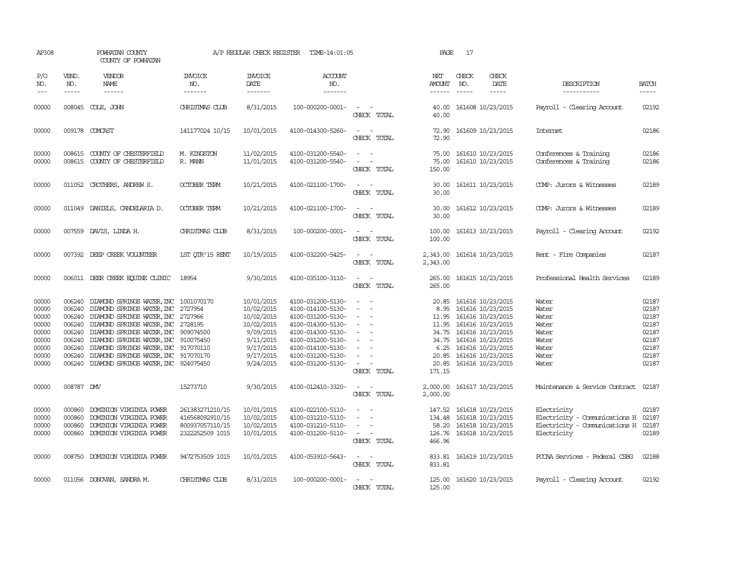| AP308                                                                         |                               | POWHATAN COUNTY<br>COUNTY OF POWHATAN                                                                                                                                                                                                                                                                                                                                                                                          |                                                                          | A/P REGULAR CHECK REGISTER                                                                                            | TIME-14:01:05                                                                                                                                                                             |                                                                                                                                                                             | PAGE                                                       | 17                            |                                                                                                                                                                                                             |                                                                                              |                                                                               |
|-------------------------------------------------------------------------------|-------------------------------|--------------------------------------------------------------------------------------------------------------------------------------------------------------------------------------------------------------------------------------------------------------------------------------------------------------------------------------------------------------------------------------------------------------------------------|--------------------------------------------------------------------------|-----------------------------------------------------------------------------------------------------------------------|-------------------------------------------------------------------------------------------------------------------------------------------------------------------------------------------|-----------------------------------------------------------------------------------------------------------------------------------------------------------------------------|------------------------------------------------------------|-------------------------------|-------------------------------------------------------------------------------------------------------------------------------------------------------------------------------------------------------------|----------------------------------------------------------------------------------------------|-------------------------------------------------------------------------------|
| P/O<br>NO.<br>$---$                                                           | VEND.<br>NO.<br>$\frac{1}{2}$ | <b>VENDOR</b><br>NAME<br>$- - - - - -$                                                                                                                                                                                                                                                                                                                                                                                         | INVOICE<br>NO.<br>$- - - - - - -$                                        | <b>INVOICE</b><br>DATE<br>-------                                                                                     | <b>ACCOUNT</b><br>NO.<br>-------                                                                                                                                                          |                                                                                                                                                                             | NET<br>AMOUNT<br>------                                    | CHECK<br>NO.<br>$\frac{1}{2}$ | CHECK<br>DATE                                                                                                                                                                                               | DESCRIPTION<br>-----------                                                                   | <b>BATCH</b><br>-----                                                         |
| 00000                                                                         |                               | 008045 COLE, JOHN                                                                                                                                                                                                                                                                                                                                                                                                              | CHRISTMAS CLUB                                                           | 8/31/2015                                                                                                             | 100-000200-0001-                                                                                                                                                                          | $\overline{\phantom{a}}$<br>CHECK TOTAL                                                                                                                                     | 40.00<br>40.00                                             |                               | 161608 10/23/2015                                                                                                                                                                                           | Payroll - Clearing Account                                                                   | 02192                                                                         |
| 00000                                                                         |                               | 009178 COMCAST                                                                                                                                                                                                                                                                                                                                                                                                                 | 141177024 10/15                                                          | 10/01/2015                                                                                                            | 4100-014300-5260-                                                                                                                                                                         | CHECK TOTAL                                                                                                                                                                 | 72.90<br>72.90                                             |                               | 161609 10/23/2015                                                                                                                                                                                           | <b>Internet</b>                                                                              | 02186                                                                         |
| 00000<br>00000                                                                |                               | 008615 COUNTY OF CHESTERFIELD<br>008615 COUNTY OF CHESTERFIELD                                                                                                                                                                                                                                                                                                                                                                 | M. KINGSTON<br>R. MANN                                                   | 11/02/2015<br>11/01/2015                                                                                              | 4100-031200-5540-<br>4100-031200-5540-                                                                                                                                                    | $\overline{\phantom{a}}$<br>$\sim$<br>CHECK TOTAL                                                                                                                           | 75.00<br>75.00<br>150.00                                   |                               | 161610 10/23/2015<br>161610 10/23/2015                                                                                                                                                                      | Conferences & Training<br>Conferences & Training                                             | 02186<br>02186                                                                |
| 00000                                                                         |                               | 011052 CROTHERS, ANDREW S.                                                                                                                                                                                                                                                                                                                                                                                                     | <b>OCTOBER TERM</b>                                                      | 10/21/2015                                                                                                            | 4100-021100-1700-                                                                                                                                                                         | $\sim$<br>$\sim$<br>CHECK TOTAL                                                                                                                                             | 30.00<br>30.00                                             |                               | 161611 10/23/2015                                                                                                                                                                                           | COMP: Jurors & Witnesses                                                                     | 02189                                                                         |
| 00000                                                                         |                               | 011049 DANIELS, CANDELARIA D.                                                                                                                                                                                                                                                                                                                                                                                                  | <b>OCTOBER TERM</b>                                                      | 10/21/2015                                                                                                            | 4100-021100-1700-                                                                                                                                                                         | $\sim$ 100 $\sim$<br>CHECK TOTAL                                                                                                                                            | 30.00<br>30.00                                             |                               | 161612 10/23/2015                                                                                                                                                                                           | COMP: Jurors & Witnesses                                                                     | 02189                                                                         |
| 00000                                                                         |                               | 007559 DAVIS, LINDA H.                                                                                                                                                                                                                                                                                                                                                                                                         | CHRISTMAS CLUB                                                           | 8/31/2015                                                                                                             | 100-000200-0001-                                                                                                                                                                          | $\frac{1}{2} \left( \frac{1}{2} \right) \left( \frac{1}{2} \right) = \frac{1}{2} \left( \frac{1}{2} \right)$<br>CHECK TOTAL                                                 | 100.00<br>100.00                                           |                               | 161613 10/23/2015                                                                                                                                                                                           | Payroll - Clearing Account                                                                   | 02192                                                                         |
| 00000                                                                         |                               | 007392 DEEP CREEK VOLUNTEER                                                                                                                                                                                                                                                                                                                                                                                                    | 1ST OTR'15 RENT                                                          | 10/19/2015                                                                                                            | 4100-032200-5425-                                                                                                                                                                         | $\sim$<br>CHECK TOTAL                                                                                                                                                       | 2,343.00<br>2,343.00                                       |                               | 161614 10/23/2015                                                                                                                                                                                           | Rent - Fire Companies                                                                        | 02187                                                                         |
| 00000                                                                         |                               | 006011 DEER CREEK EQUINE CLINIC                                                                                                                                                                                                                                                                                                                                                                                                | 18954                                                                    | 9/30/2015                                                                                                             | 4100-035100-3110-                                                                                                                                                                         | $\sim$ $ -$<br>CHECK TOTAL                                                                                                                                                  | 265.00<br>265.00                                           |                               | 161615 10/23/2015                                                                                                                                                                                           | Professional Health Services                                                                 | 02189                                                                         |
| 00000<br>00000<br>00000<br>00000<br>00000<br>00000<br>00000<br>00000<br>00000 |                               | 006240 DIAMOND SPRINGS WATER, INC 1001070170<br>006240 DIAMOND SPRINGS WATER, INC 2727954<br>006240 DIAMOND SPRINGS WATER, INC 2727966<br>006240 DIAMOND SPRINGS WATER, INC 2728195<br>006240 DIAMOND SPRINGS WATER, INC 909074500<br>006240 DIAMOND SPRINGS WATER, INC 910075450<br>006240 DIAMOND SPRINGS WATER, INC 917070110<br>006240 DIAMOND SPRINGS WATER, INC 917070170<br>006240 DIAMOND SPRINGS WATER, INC 924075450 |                                                                          | 10/01/2015<br>10/02/2015<br>10/02/2015<br>10/02/2015<br>9/09/2015<br>9/11/2015<br>9/17/2015<br>9/17/2015<br>9/24/2015 | 4100-031200-5130-<br>4100-014100-5130-<br>4100-031200-5130-<br>4100-014300-5130-<br>4100-014300-5130-<br>4100-031200-5130-<br>4100-014100-5130-<br>4100-031200-5130-<br>4100-031200-5130- | $\sim$<br>$\sim$<br>$\overline{\phantom{a}}$<br>$\sim$<br>$\overline{\phantom{a}}$<br>$\sim$<br>$\overline{\phantom{a}}$<br>$\sim$<br>CHECK TOTAL                           | 20.85<br>8.95<br>11.95<br>6.25<br>20.85<br>20.85<br>171.15 |                               | 161616 10/23/2015<br>161616 10/23/2015<br>11.95 161616 10/23/2015<br>161616 10/23/2015<br>34.75 161616 10/23/2015<br>34.75 161616 10/23/2015<br>161616 10/23/2015<br>161616 10/23/2015<br>161616 10/23/2015 | Water<br>Water<br>Water<br>Water<br>Water<br>Water<br>Water<br>Water<br>Water                | 02187<br>02187<br>02187<br>02187<br>02187<br>02187<br>02187<br>02187<br>02187 |
| 00000                                                                         | 008787 DMV                    |                                                                                                                                                                                                                                                                                                                                                                                                                                | 15273710                                                                 | 9/30/2015                                                                                                             | 4100-012410-3320-                                                                                                                                                                         | $\sim$<br>$\sim$<br>CHECK TOTAL                                                                                                                                             | 2,000.00<br>2,000.00                                       |                               | 161617 10/23/2015                                                                                                                                                                                           | Maintenance & Service Contract                                                               | 02187                                                                         |
| 00000<br>00000<br>00000<br>00000                                              | 000860<br>000860              | DOMINION VIRGINIA POWER<br>DOMINION VIRGINIA POWER<br>000860 DOMINION VIRGINIA POWER<br>000860 DOMINION VIRGINIA POWER                                                                                                                                                                                                                                                                                                         | 261383271210/15<br>416568092910/15<br>800937057110/15<br>2322252509 1015 | 10/01/2015<br>10/02/2015<br>10/02/2015<br>10/01/2015                                                                  | 4100-022100-5110-<br>4100-031210-5110-<br>4100-031210-5110-<br>4100-031200-5110-                                                                                                          | $\overline{\phantom{a}}$<br>$\overline{\phantom{a}}$<br>$\overline{\phantom{a}}$<br>$\overline{\phantom{a}}$<br>$\sim$ 100 $\mu$<br>$\overline{\phantom{a}}$<br>CHECK TOTAL | 147.52<br>134.48<br>58.20<br>126.76<br>466.96              |                               | 161618 10/23/2015<br>161618 10/23/2015<br>161618 10/23/2015<br>161618 10/23/2015                                                                                                                            | Electricity<br>Electricity - Comunications H<br>Electricity - Comunications H<br>Electricity | 02187<br>02187<br>02187<br>02189                                              |
| 00000                                                                         |                               | 008750 DOMINION VIRGINIA POWER                                                                                                                                                                                                                                                                                                                                                                                                 | 9472753509 1015                                                          | 10/01/2015                                                                                                            | 4100-053910-5643-                                                                                                                                                                         | $\sim$ 100 $\sim$<br>CHECK TOTAL                                                                                                                                            | 833.81                                                     |                               | 833.81 161619 10/23/2015                                                                                                                                                                                    | PCCAA Services - Federal CSBG                                                                | 02188                                                                         |
| 00000                                                                         |                               | 011056 DONOVAN, SANDRA M.                                                                                                                                                                                                                                                                                                                                                                                                      | CHRISTMAS CLUB                                                           | 8/31/2015                                                                                                             | 100-000200-0001-                                                                                                                                                                          | CHECK TOTAL                                                                                                                                                                 | 125.00                                                     |                               | 125.00 161620 10/23/2015                                                                                                                                                                                    | Payroll - Clearing Account                                                                   | 02192                                                                         |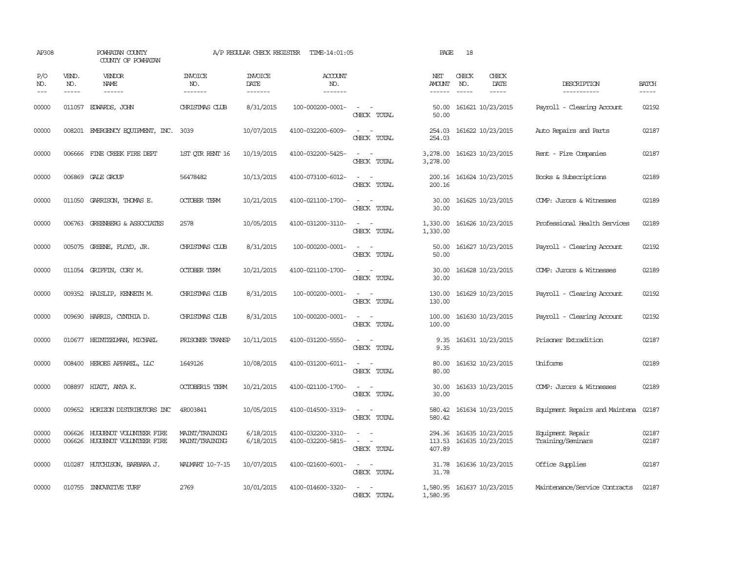| AP308               |                             | POWHATAN COUNTY<br>COUNTY OF POWHATAN                     |                                   | A/P REGULAR CHECK REGISTER               | TIME-14:01:05                          |                                                                     | PAGE                           | 18           |                                        |                                       |                       |
|---------------------|-----------------------------|-----------------------------------------------------------|-----------------------------------|------------------------------------------|----------------------------------------|---------------------------------------------------------------------|--------------------------------|--------------|----------------------------------------|---------------------------------------|-----------------------|
| P/O<br>NO.<br>$---$ | VEND.<br>NO.<br>$- - - - -$ | VENDOR<br>NAME<br>$- - - - - -$                           | <b>INVOICE</b><br>NO.<br>-------- | <b>INVOICE</b><br><b>DATE</b><br>------- | <b>ACCOUNT</b><br>NO.<br>-------       |                                                                     | NET<br>AMOUNT<br>$- - - - - -$ | CHECK<br>NO. | CHECK<br>DATE<br>$- - - - -$           | DESCRIPTION<br>-----------            | <b>BATCH</b><br>----- |
| 00000               | 011057                      | EDWARDS, JOHN                                             | CHRISTMAS CLUB                    | 8/31/2015                                | 100-000200-0001-                       | $\sim$<br>$\sim$<br>CHECK TOTAL                                     | 50.00<br>50.00                 |              | 161621 10/23/2015                      | Payroll - Clearing Account            | 02192                 |
| 00000               |                             | 008201 EMERGENCY EQUIPMENT, INC. 3039                     |                                   | 10/07/2015                               | 4100-032200-6009-                      | CHECK TOTAL                                                         | 254.03<br>254.03               |              | 161622 10/23/2015                      | Auto Repairs and Parts                | 02187                 |
| 00000               |                             | 006666 FINE CREEK FIRE DEPT                               | 1ST QTR RENT 16                   | 10/19/2015                               | 4100-032200-5425-                      | $\sim$ $\sim$<br>CHECK TOTAL                                        | 3,278.00<br>3,278.00           |              | 161623 10/23/2015                      | Rent - Fire Companies                 | 02187                 |
| 00000               |                             | 006869 GALE GROUP                                         | 56478482                          | 10/13/2015                               | 4100-073100-6012-                      | $\sim$<br>$\sim$<br>CHECK TOTAL                                     | 200.16<br>200.16               |              | 161624 10/23/2015                      | Books & Subscriptions                 | 02189                 |
| 00000               |                             | 011050 GARRISON, THOMAS E.                                | <b>OCTOBER TERM</b>               | 10/21/2015                               | 4100-021100-1700-                      | $\sim$<br>CHECK TOTAL                                               | 30.00<br>30.00                 |              | 161625 10/23/2015                      | COMP: Jurors & Witnesses              | 02189                 |
| 00000               | 006763                      | GREENBERG & ASSOCIATES                                    | 2578                              | 10/05/2015                               | 4100-031200-3110-                      | $\sim$<br>$\sim$<br>CHECK TOTAL                                     | 1,330.00<br>1,330.00           |              | 161626 10/23/2015                      | Professional Health Services          | 02189                 |
| 00000               |                             | 005075 GREENE, FLOYD, JR.                                 | CHRISTMAS CLUB                    | 8/31/2015                                | 100-000200-0001-                       | $\overline{\phantom{a}}$<br>$\overline{\phantom{a}}$<br>CHECK TOTAL | 50.00<br>50.00                 |              | 161627 10/23/2015                      | Payroll - Clearing Account            | 02192                 |
| 00000               |                             | 011054 GRIFFIN, CORY M.                                   | <b>OCTOBER TERM</b>               | 10/21/2015                               | 4100-021100-1700-                      | $\equiv$<br>CHECK TOTAL                                             | 30.00<br>30.00                 |              | 161628 10/23/2015                      | COMP: Jurors & Witnesses              | 02189                 |
| 00000               |                             | 009352 HAISLIP, KENNETH M.                                | CHRISTMAS CLUB                    | 8/31/2015                                | 100-000200-0001-                       | $ -$<br>CHECK TOTAL                                                 | 130.00<br>130.00               |              | 161629 10/23/2015                      | Payroll - Clearing Account            | 02192                 |
| 00000               |                             | 009690 HARRIS, CYNTHIA D.                                 | CHRISTMAS CLUB                    | 8/31/2015                                | 100-000200-0001-                       | CHECK TOTAL                                                         | 100.00<br>100.00               |              | 161630 10/23/2015                      | Payroll - Clearing Account            | 02192                 |
| 00000               | 010677                      | HEINTZEIMAN, MICHAEL                                      | PRISONER TRANSP                   | 10/11/2015                               | 4100-031200-5550-                      | CHECK TOTAL                                                         | 9.35<br>9.35                   |              | 161631 10/23/2015                      | Prisoner Extradition                  | 02187                 |
| 00000               | 008400                      | HEROES APPAREL, LLC                                       | 1649126                           | 10/08/2015                               | 4100-031200-6011-                      | $\overline{\phantom{a}}$<br>CHECK TOTAL                             | 80.00<br>80.00                 |              | 161632 10/23/2015                      | Uniforms                              | 02189                 |
| 00000               |                             | 008897 HIATT, ANYA K.                                     | <b>OCTOBER15 TERM</b>             | 10/21/2015                               | 4100-021100-1700-                      | $\overline{\phantom{a}}$<br>CHECK TOTAL                             | 30.00<br>30.00                 |              | 161633 10/23/2015                      | COMP: Jurors & Witnesses              | 02189                 |
| 00000               |                             | 009652 HORIZON DISTRIBUTORS INC                           | 4R003841                          | 10/05/2015                               | 4100-014500-3319-                      | $\sim$<br>CHECK TOTAL                                               | 580.42<br>580.42               |              | 161634 10/23/2015                      | Equipment Repairs and Maintena        | 02187                 |
| 00000<br>00000      | 006626                      | HUGUENOT VOLUNIEER FIRE<br>006626 HUGUENOT VOLUNTEER FIRE | MAINT/TRAINING<br>MAINT/TRAINING  | 6/18/2015<br>6/18/2015                   | 4100-032200-3310-<br>4100-032200-5815- | $\equiv$<br>$\equiv$<br>CHECK TOTAL                                 | 294.36<br>113.53<br>407.89     |              | 161635 10/23/2015<br>161635 10/23/2015 | Equipment Repair<br>Training/Seminars | 02187<br>02187        |
| 00000               |                             | 010287 HUTCHISON, BARBARA J.                              | WAIMART 10-7-15                   | 10/07/2015                               | 4100-021600-6001-                      | $\overline{\phantom{a}}$<br>CHECK TOTAL                             | 31.78<br>31.78                 |              | 161636 10/23/2015                      | Office Supplies                       | 02187                 |
| 00000               |                             | 010755 INNOVATIVE TURF                                    | 2769                              | 10/01/2015                               | 4100-014600-3320-                      | CHECK TOTAL                                                         | 1,580.95                       |              | 1,580.95 161637 10/23/2015             | Maintenance/Service Contracts         | 02187                 |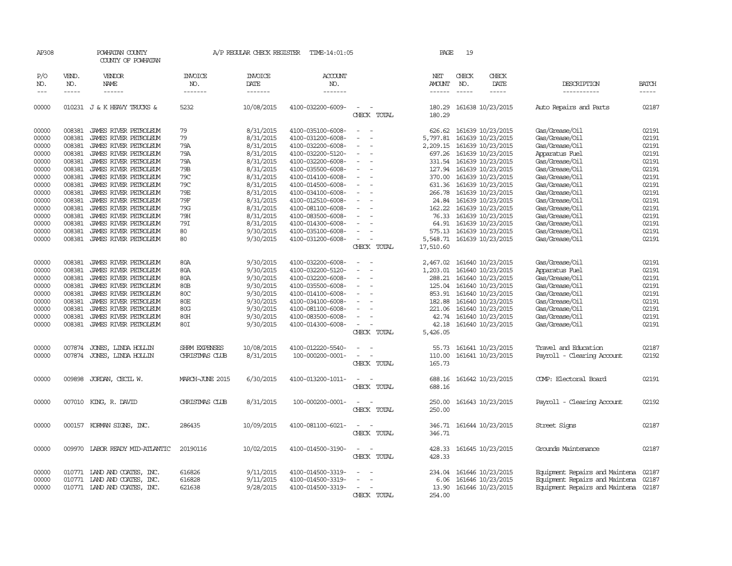| AP308      |                                                                                                                                                                                                                                                                                                                                                                                                                                                                            | POWHATAN COUNTY<br>COUNTY OF POWHATAN |                                  | A/P REGULAR CHECK REGISTER | TIME-14:01:05         |                                                      | PAGE             | 19            |                          |                                      |              |
|------------|----------------------------------------------------------------------------------------------------------------------------------------------------------------------------------------------------------------------------------------------------------------------------------------------------------------------------------------------------------------------------------------------------------------------------------------------------------------------------|---------------------------------------|----------------------------------|----------------------------|-----------------------|------------------------------------------------------|------------------|---------------|--------------------------|--------------------------------------|--------------|
| P/O<br>NO. | VEND.<br>NO.                                                                                                                                                                                                                                                                                                                                                                                                                                                               | VENDOR<br>NAME                        | <b>INVOICE</b><br>NO.<br>------- | <b>INVOICE</b><br>DATE     | <b>ACCOUNT</b><br>NO. |                                                      | NET<br>AMOUNT    | CHECK<br>NO.  | CHECK<br>DATE            | DESCRIPTION                          | <b>BATCH</b> |
| $---$      | $\frac{1}{2} \left( \frac{1}{2} \right) \left( \frac{1}{2} \right) \left( \frac{1}{2} \right) \left( \frac{1}{2} \right) \left( \frac{1}{2} \right) \left( \frac{1}{2} \right) \left( \frac{1}{2} \right) \left( \frac{1}{2} \right) \left( \frac{1}{2} \right) \left( \frac{1}{2} \right) \left( \frac{1}{2} \right) \left( \frac{1}{2} \right) \left( \frac{1}{2} \right) \left( \frac{1}{2} \right) \left( \frac{1}{2} \right) \left( \frac{1}{2} \right) \left( \frac$ |                                       |                                  | -------                    | -------               |                                                      | ------           | $\frac{1}{2}$ | -----                    | -----------                          | $- - - - -$  |
| 00000      |                                                                                                                                                                                                                                                                                                                                                                                                                                                                            | 010231 J & K HEAVY TRUCKS &           | 5232                             | 10/08/2015                 | 4100-032200-6009-     | $\sim$<br>CHECK TOTAL                                | 180.29<br>180.29 |               | 161638 10/23/2015        | Auto Repairs and Parts               | 02187        |
| 00000      |                                                                                                                                                                                                                                                                                                                                                                                                                                                                            | 008381 JAMES RIVER PETROLEUM          | 79                               | 8/31/2015                  | 4100-035100-6008-     | $\overline{\phantom{a}}$<br>$\overline{\phantom{a}}$ | 626.62           |               | 161639 10/23/2015        | Gas/Grease/Oil                       | 02191        |
| 00000      | 008381                                                                                                                                                                                                                                                                                                                                                                                                                                                                     | JAMES RIVER PETROLEUM                 | 79                               | 8/31/2015                  | 4100-031200-6008-     | $\equiv$                                             | 5,797.81         |               | 161639 10/23/2015        | Gas/Grease/Oil                       | 02191        |
| 00000      | 008381                                                                                                                                                                                                                                                                                                                                                                                                                                                                     | JAMES RIVER PEIROLEUM                 | 79A                              | 8/31/2015                  | 4100-032200-6008-     | $\overline{a}$                                       | 2,209.15         |               | 161639 10/23/2015        | Gas/Grease/Oil                       | 02191        |
| 00000      | 008381                                                                                                                                                                                                                                                                                                                                                                                                                                                                     | JAMES RIVER PEIROLEUM                 | 79A                              | 8/31/2015                  | 4100-032200-5120-     | $\overline{\phantom{a}}$                             | 697.26           |               | 161639 10/23/2015        | Apparatus Fuel                       | 02191        |
| 00000      | 008381                                                                                                                                                                                                                                                                                                                                                                                                                                                                     | JAMES RIVER PETROLEUM                 | 79A                              | 8/31/2015                  | 4100-032200-6008-     | $\overline{\phantom{a}}$                             |                  |               | 331.54 161639 10/23/2015 | Gas/Grease/Oil                       | 02191        |
| 00000      | 008381                                                                                                                                                                                                                                                                                                                                                                                                                                                                     | JAMES RIVER PETROLEUM                 | 79B                              | 8/31/2015                  | 4100-035500-6008-     | $\sim$                                               | 127.94           |               | 161639 10/23/2015        | Gas/Grease/Oil                       | 02191        |
| 00000      | 008381                                                                                                                                                                                                                                                                                                                                                                                                                                                                     | JAMES RIVER PETROLEUM                 | 79C                              | 8/31/2015                  | 4100-014100-6008-     |                                                      | 370.00           |               | 161639 10/23/2015        | Gas/Grease/Oil                       | 02191        |
| 00000      | 008381                                                                                                                                                                                                                                                                                                                                                                                                                                                                     | JAMES RIVER PEIROLEUM                 | 79C                              | 8/31/2015                  | 4100-014500-6008-     | $\sim$<br>$\overline{\phantom{a}}$                   | 631.36           |               | 161639 10/23/2015        | Gas/Grease/Oil                       | 02191        |
| 00000      | 008381                                                                                                                                                                                                                                                                                                                                                                                                                                                                     | JAMES RIVER PETROLEUM                 | 79E                              | 8/31/2015                  | 4100-034100-6008-     | $\sim$                                               | 266.78           |               | 161639 10/23/2015        | Gas/Grease/Oil                       | 02191        |
| 00000      | 008381                                                                                                                                                                                                                                                                                                                                                                                                                                                                     | JAMES RIVER PETROLEUM                 | 79F                              | 8/31/2015                  | 4100-012510-6008-     |                                                      | 24.84            |               | 161639 10/23/2015        | Gas/Grease/Oil                       | 02191        |
| 00000      | 008381                                                                                                                                                                                                                                                                                                                                                                                                                                                                     | JAMES RIVER PEIROLEUM                 | 79G                              | 8/31/2015                  | 4100-081100-6008-     | $\overline{\phantom{a}}$                             | 162.22           |               | 161639 10/23/2015        | Gas/Grease/Oil                       | 02191        |
| 00000      | 008381                                                                                                                                                                                                                                                                                                                                                                                                                                                                     | JAMES RIVER PETROLEUM                 | 79H                              | 8/31/2015                  | 4100-083500-6008-     | $\sim$                                               | 76.33            |               | 161639 10/23/2015        | Gas/Grease/Oil                       | 02191        |
| 00000      | 008381                                                                                                                                                                                                                                                                                                                                                                                                                                                                     | JAMES RIVER PEIROLEUM                 | 79I                              | 8/31/2015                  | 4100-014300-6008-     |                                                      | 64.91            |               | 161639 10/23/2015        | Gas/Grease/Oil                       | 02191        |
| 00000      | 008381                                                                                                                                                                                                                                                                                                                                                                                                                                                                     | JAMES RIVER PEIROLEUM                 | 80                               | 9/30/2015                  | 4100-035100-6008-     |                                                      | 575.13           |               | 161639 10/23/2015        | Gas/Grease/Oil                       | 02191        |
| 00000      |                                                                                                                                                                                                                                                                                                                                                                                                                                                                            | 008381 JAMES RIVER PETROLEUM          | 80                               | 9/30/2015                  | 4100-031200-6008-     | $\overline{\phantom{a}}$                             | 5,548.71         |               | 161639 10/23/2015        | Gas/Grease/Oil                       | 02191        |
|            |                                                                                                                                                                                                                                                                                                                                                                                                                                                                            |                                       |                                  |                            |                       | CHECK TOTAL                                          | 17,510.60        |               |                          |                                      |              |
| 00000      | 008381                                                                                                                                                                                                                                                                                                                                                                                                                                                                     | JAMES RIVER PETROLEUM                 | 80A                              | 9/30/2015                  | 4100-032200-6008-     | $\overline{\phantom{a}}$<br>$\overline{\phantom{a}}$ | 2,467.02         |               | 161640 10/23/2015        | Gas/Grease/Oil                       | 02191        |
| 00000      | 008381                                                                                                                                                                                                                                                                                                                                                                                                                                                                     | JAMES RIVER PETROLEUM                 | 80A                              | 9/30/2015                  | 4100-032200-5120-     |                                                      | 1,203.01         |               | 161640 10/23/2015        | Apparatus Fuel                       | 02191        |
| 00000      | 008381                                                                                                                                                                                                                                                                                                                                                                                                                                                                     | JAMES RIVER PETROLEUM                 | 80A                              | 9/30/2015                  | 4100-032200-6008-     |                                                      | 288.21           |               | 161640 10/23/2015        | Gas/Grease/Oil                       | 02191        |
| 00000      | 008381                                                                                                                                                                                                                                                                                                                                                                                                                                                                     | JAMES RIVER PEIROLEUM                 | 80B                              | 9/30/2015                  | 4100-035500-6008-     | $\equiv$                                             | 125.04           |               | 161640 10/23/2015        | Gas/Grease/Oil                       | 02191        |
| 00000      | 008381                                                                                                                                                                                                                                                                                                                                                                                                                                                                     | JAMES RIVER PETROLEUM                 | 80C                              | 9/30/2015                  | 4100-014100-6008-     | $\overline{\phantom{0}}$                             | 853.91           |               | 161640 10/23/2015        | Gas/Grease/Oil                       | 02191        |
| 00000      | 008381                                                                                                                                                                                                                                                                                                                                                                                                                                                                     | JAMES RIVER PETROLEUM                 | 80E                              | 9/30/2015                  | 4100-034100-6008-     |                                                      | 182.88           |               | 161640 10/23/2015        | Gas/Grease/Oil                       | 02191        |
| 00000      | 008381                                                                                                                                                                                                                                                                                                                                                                                                                                                                     | JAMES RIVER PETROLEUM                 | 80G                              | 9/30/2015                  | 4100-081100-6008-     |                                                      | 221.06           |               | 161640 10/23/2015        | Gas/Grease/Oil                       | 02191        |
| 00000      |                                                                                                                                                                                                                                                                                                                                                                                                                                                                            | 008381 JAMES RIVER PEIROLEUM          | 80H                              | 9/30/2015                  | 4100-083500-6008-     | $\sim$                                               |                  |               | 42.74 161640 10/23/2015  | Gas/Grease/Oil                       | 02191        |
| 00000      | 008381                                                                                                                                                                                                                                                                                                                                                                                                                                                                     | JAMES RIVER PEIROLEUM                 | 80I                              | 9/30/2015                  | 4100-014300-6008-     | $\sim$                                               | 42.18            |               | 161640 10/23/2015        | Gas/Grease/Oil                       | 02191        |
|            |                                                                                                                                                                                                                                                                                                                                                                                                                                                                            |                                       |                                  |                            |                       | CHECK TOTAL                                          | 5,426.05         |               |                          |                                      |              |
| 00000      | 007874                                                                                                                                                                                                                                                                                                                                                                                                                                                                     | JONES, LINDA HOLLIN                   | SHRM EXPENSES                    | 10/08/2015                 | 4100-012220-5540-     | $\overline{\phantom{a}}$<br>$\overline{\phantom{a}}$ | 55.73            |               | 161641 10/23/2015        | Travel and Education                 | 02187        |
| 00000      |                                                                                                                                                                                                                                                                                                                                                                                                                                                                            | 007874 JONES, LINDA HOLLIN            | CHRISTMAS CLUB                   | 8/31/2015                  | 100-000200-0001-      | $\sim$<br>$\overline{\phantom{a}}$                   | 110.00           |               | 161641 10/23/2015        | Payroll - Clearing Account           | 02192        |
|            |                                                                                                                                                                                                                                                                                                                                                                                                                                                                            |                                       |                                  |                            |                       | CHECK TOTAL                                          | 165.73           |               |                          |                                      |              |
| 00000      |                                                                                                                                                                                                                                                                                                                                                                                                                                                                            | 009898 JORDAN, CECIL W.               | MARCH-JUNE 2015                  | 6/30/2015                  | 4100-013200-1011-     |                                                      | 688.16           |               | 161642 10/23/2015        | COMP: Electoral Board                | 02191        |
|            |                                                                                                                                                                                                                                                                                                                                                                                                                                                                            |                                       |                                  |                            |                       | CHECK TOTAL                                          | 688.16           |               |                          |                                      |              |
| 00000      |                                                                                                                                                                                                                                                                                                                                                                                                                                                                            | 007010 KING, R. DAVID                 | CHRISTMAS CLUB                   | 8/31/2015                  | 100-000200-0001-      | $\overline{\phantom{a}}$<br>$\sim$                   | 250.00           |               | 161643 10/23/2015        | Payroll - Clearing Account           | 02192        |
|            |                                                                                                                                                                                                                                                                                                                                                                                                                                                                            |                                       |                                  |                            |                       | CHECK TOTAL                                          | 250.00           |               |                          |                                      |              |
| 00000      |                                                                                                                                                                                                                                                                                                                                                                                                                                                                            | 000157 KORMAN SIGNS, INC.             | 286435                           | 10/09/2015                 | 4100-081100-6021-     |                                                      | 346.71           |               | 161644 10/23/2015        | Street Signs                         | 02187        |
|            |                                                                                                                                                                                                                                                                                                                                                                                                                                                                            |                                       |                                  |                            |                       | CHECK TOTAL                                          | 346.71           |               |                          |                                      |              |
|            |                                                                                                                                                                                                                                                                                                                                                                                                                                                                            |                                       |                                  |                            |                       |                                                      |                  |               |                          |                                      |              |
| 00000      |                                                                                                                                                                                                                                                                                                                                                                                                                                                                            | 009970 LABOR READY MID-ATLANTIC       | 20190116                         | 10/02/2015                 | 4100-014500-3190-     | $\overline{\phantom{a}}$<br>$\sim$                   | 428.33           |               | 161645 10/23/2015        | Grounds Maintenance                  | 02187        |
|            |                                                                                                                                                                                                                                                                                                                                                                                                                                                                            |                                       |                                  |                            |                       | CHECK TOTAL                                          | 428.33           |               |                          |                                      |              |
|            |                                                                                                                                                                                                                                                                                                                                                                                                                                                                            |                                       |                                  |                            |                       |                                                      |                  |               |                          |                                      |              |
| 00000      |                                                                                                                                                                                                                                                                                                                                                                                                                                                                            | 010771 LAND AND COATES, INC.          | 616826                           | 9/11/2015                  | 4100-014500-3319-     | $\overline{\phantom{a}}$<br>$\overline{\phantom{a}}$ |                  |               | 234.04 161646 10/23/2015 | Equipment Repairs and Maintena       | 02187        |
| 00000      |                                                                                                                                                                                                                                                                                                                                                                                                                                                                            | 010771 LAND AND COATES, INC.          | 616828                           | 9/11/2015                  | 4100-014500-3319-     | $\equiv$                                             | 6.06             |               | 161646 10/23/2015        | Equipment Repairs and Maintena       | 02187        |
| 00000      |                                                                                                                                                                                                                                                                                                                                                                                                                                                                            | 010771 LAND AND COATES, INC.          | 621638                           | 9/28/2015                  | 4100-014500-3319-     | $\overline{a}$                                       | 13.90            |               | 161646 10/23/2015        | Equipment Repairs and Maintena 02187 |              |
|            |                                                                                                                                                                                                                                                                                                                                                                                                                                                                            |                                       |                                  |                            |                       | CHECK TOTAL                                          | 254.00           |               |                          |                                      |              |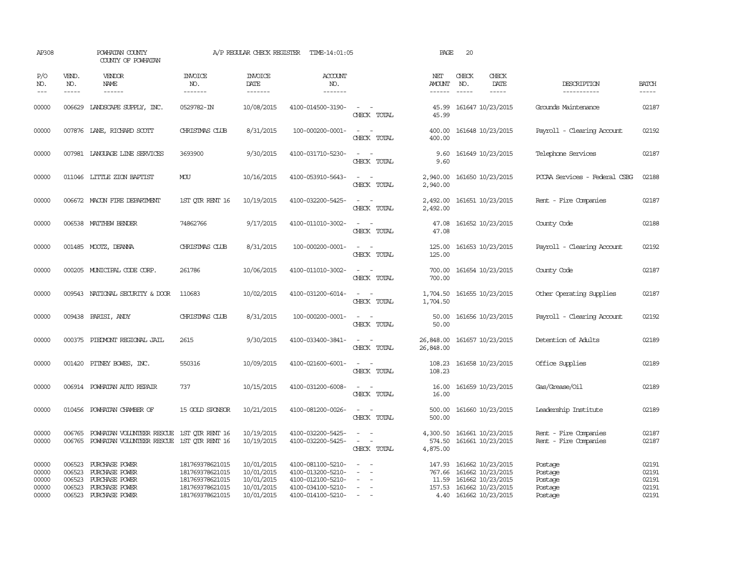| AP308                                     |                                      | POWHATAN COUNTY<br>COUNTY OF POWHATAN                                                         |                                                                                             | A/P REGULAR CHECK REGISTER                                         | TIME-14:01:05                                                                                         |                                                                                                                                                                   | PAGE                           | 20                                                                                                                             |                                                     |                                           |
|-------------------------------------------|--------------------------------------|-----------------------------------------------------------------------------------------------|---------------------------------------------------------------------------------------------|--------------------------------------------------------------------|-------------------------------------------------------------------------------------------------------|-------------------------------------------------------------------------------------------------------------------------------------------------------------------|--------------------------------|--------------------------------------------------------------------------------------------------------------------------------|-----------------------------------------------------|-------------------------------------------|
| P/O<br>NO.<br>$---$                       | VEND.<br>NO.                         | <b>VENDOR</b><br>NAME<br>------                                                               | <b>INVOICE</b><br>NO.<br>-------                                                            | <b>INVOICE</b><br>DATE<br>-------                                  | <b>ACCOUNT</b><br>NO.<br>-------                                                                      |                                                                                                                                                                   | NET<br><b>AMOUNT</b>           | CHECK<br>CHECK<br>DATE<br>NO.<br>$\frac{1}{2}$                                                                                 | DESCRIPTION<br>-----------                          | <b>BATCH</b><br>-----                     |
| 00000                                     |                                      | 006629 LANDSCAPE SUPPLY, INC.                                                                 | 0529782-IN                                                                                  | 10/08/2015                                                         | 4100-014500-3190-                                                                                     | $\sim$ $\sim$<br>CHECK TOTAL                                                                                                                                      | 45.99<br>45.99                 | 161647 10/23/2015                                                                                                              | Grounds Maintenance                                 | 02187                                     |
| 00000                                     |                                      | 007876 LANE, RICHARD SCOTT                                                                    | CHRISTMAS CLUB                                                                              | 8/31/2015                                                          | 100-000200-0001-                                                                                      | $\frac{1}{2} \left( \frac{1}{2} \right) \left( \frac{1}{2} \right) = \frac{1}{2} \left( \frac{1}{2} \right)$<br>CHECK TOTAL                                       | 400.00<br>400.00               | 161648 10/23/2015                                                                                                              | Payroll - Clearing Account                          | 02192                                     |
| 00000                                     |                                      | 007981 LANGUAGE LINE SERVICES                                                                 | 3693900                                                                                     | 9/30/2015                                                          | 4100-031710-5230-                                                                                     | $\sim$<br>$\sim$<br>CHECK TOTAL                                                                                                                                   | 9.60<br>9.60                   | 161649 10/23/2015                                                                                                              | Telephone Services                                  | 02187                                     |
| 00000                                     |                                      | 011046 LITTLE ZION BAPTIST                                                                    | MOU                                                                                         | 10/16/2015                                                         | 4100-053910-5643-                                                                                     | $\omega_{\rm{max}}$ and $\omega_{\rm{max}}$<br>CHECK TOTAL                                                                                                        | 2,940.00<br>2,940.00           | 161650 10/23/2015                                                                                                              | PCCAA Services - Federal CSBG                       | 02188                                     |
| 00000                                     |                                      | 006672 MACON FIRE DEPARTMENT                                                                  | 1ST QTR RENT 16                                                                             | 10/19/2015                                                         | 4100-032200-5425-                                                                                     | $\sim$ $ \sim$<br>CHECK TOTAL                                                                                                                                     | 2,492.00<br>2,492.00           | 161651 10/23/2015                                                                                                              | Rent - Fire Companies                               | 02187                                     |
| 00000                                     |                                      | 006538 MATTHEW BENDER                                                                         | 74862766                                                                                    | 9/17/2015                                                          | 4100-011010-3002-                                                                                     | $\frac{1}{2} \left( \frac{1}{2} \right) \left( \frac{1}{2} \right) = \frac{1}{2} \left( \frac{1}{2} \right)$<br>CHECK TOTAL                                       | 47.08<br>47.08                 | 161652 10/23/2015                                                                                                              | County Code                                         | 02188                                     |
| 00000                                     |                                      | 001485 MOOTZ, DEANNA                                                                          | CHRISTMAS CLUB                                                                              | 8/31/2015                                                          | 100-000200-0001-                                                                                      | $\overline{\phantom{a}}$<br>$\sim$<br>CHECK TOTAL                                                                                                                 | 125.00<br>125.00               | 161653 10/23/2015                                                                                                              | Payroll - Clearing Account                          | 02192                                     |
| 00000                                     |                                      | 000205 MUNICIPAL CODE CORP.                                                                   | 261786                                                                                      | 10/06/2015                                                         | 4100-011010-3002-                                                                                     | $\sim$ $ \sim$<br>CHECK TOTAL                                                                                                                                     | 700.00<br>700.00               | 161654 10/23/2015                                                                                                              | County Code                                         | 02187                                     |
| 00000                                     |                                      | 009543 NATIONAL SECURITY & DOOR                                                               | 110683                                                                                      | 10/02/2015                                                         | 4100-031200-6014-                                                                                     | $\frac{1}{2} \left( \frac{1}{2} \right) \left( \frac{1}{2} \right) = \frac{1}{2} \left( \frac{1}{2} \right)$<br>CHECK TOTAL                                       | 1,704.50<br>1,704.50           | 161655 10/23/2015                                                                                                              | Other Operating Supplies                            | 02187                                     |
| 00000                                     |                                      | 009438 PARISI, ANDY                                                                           | CHRISTMAS CLUB                                                                              | 8/31/2015                                                          | 100-000200-0001-                                                                                      | $\frac{1}{2} \left( \frac{1}{2} \right) \left( \frac{1}{2} \right) = \frac{1}{2} \left( \frac{1}{2} \right)$<br>CHECK TOTAL                                       | 50.00                          | 50.00 161656 10/23/2015                                                                                                        | Payroll - Clearing Account                          | 02192                                     |
| 00000                                     |                                      | 000375 PIEDMONT REGIONAL JAIL                                                                 | 2615                                                                                        | 9/30/2015                                                          | 4100-033400-3841-                                                                                     | $\frac{1}{2} \left( \frac{1}{2} \right) \left( \frac{1}{2} \right) = \frac{1}{2} \left( \frac{1}{2} \right)$<br>CHECK TOTAL                                       | 26,848.00<br>26,848.00         | 161657 10/23/2015                                                                                                              | Detention of Adults                                 | 02189                                     |
| 00000                                     |                                      | 001420 PITNEY BOWES, INC.                                                                     | 550316                                                                                      | 10/09/2015                                                         | 4100-021600-6001-                                                                                     | $\sim$ $ \sim$<br>CHECK TOTAL                                                                                                                                     | 108.23<br>108.23               | 161658 10/23/2015                                                                                                              | Office Supplies                                     | 02189                                     |
| 00000                                     |                                      | 006914 POWHATAN AUTO REPAIR                                                                   | 737                                                                                         | 10/15/2015                                                         | 4100-031200-6008-                                                                                     | $\sim$ $ \sim$<br>CHECK TOTAL                                                                                                                                     | 16.00<br>16.00                 | 161659 10/23/2015                                                                                                              | Gas/Grease/Oil                                      | 02189                                     |
| 00000                                     | 010456                               | POWHATAN CHAMBER OF                                                                           | 15 GOLD SPONSOR                                                                             | 10/21/2015                                                         | 4100-081200-0026-                                                                                     | CHECK TOTAL                                                                                                                                                       | 500.00<br>500.00               | 161660 10/23/2015                                                                                                              | Leadership Institute                                | 02189                                     |
| 00000<br>00000                            | 006765                               | POWHATAN VOLUNTEER RESCUE<br>006765 POWHATAN VOLUNTEER RESCUE 1ST QTR RENT 16                 | 1ST OTR RENT 16                                                                             | 10/19/2015<br>10/19/2015                                           | 4100-032200-5425-<br>4100-032200-5425-                                                                | $\sim$<br>$\overline{\phantom{a}}$<br>$\frac{1}{2} \left( \frac{1}{2} \right) \left( \frac{1}{2} \right) = \frac{1}{2} \left( \frac{1}{2} \right)$<br>CHECK TOTAL | 4,300.50<br>574.50<br>4,875.00 | 161661 10/23/2015<br>161661 10/23/2015                                                                                         | Rent - Fire Companies<br>Rent - Fire Companies      | 02187<br>02187                            |
| 00000<br>00000<br>00000<br>00000<br>00000 | 006523<br>006523<br>006523<br>006523 | 006523 PURCHASE POWER<br>PURCHASE POWER<br>PURCHASE POWER<br>PURCHASE POWER<br>PURCHASE POWER | 181769378621015<br>181769378621015<br>181769378621015<br>181769378621015<br>181769378621015 | 10/01/2015<br>10/01/2015<br>10/01/2015<br>10/01/2015<br>10/01/2015 | 4100-081100-5210-<br>4100-013200-5210-<br>4100-012100-5210-<br>4100-034100-5210-<br>4100-014100-5210- | $\overline{\phantom{a}}$<br>$\sim$                                                                                                                                | 767.66                         | 147.93 161662 10/23/2015<br>161662 10/23/2015<br>11.59 161662 10/23/2015<br>157.53 161662 10/23/2015<br>4.40 161662 10/23/2015 | Postage<br>Postage<br>Postage<br>Postage<br>Postage | 02191<br>02191<br>02191<br>02191<br>02191 |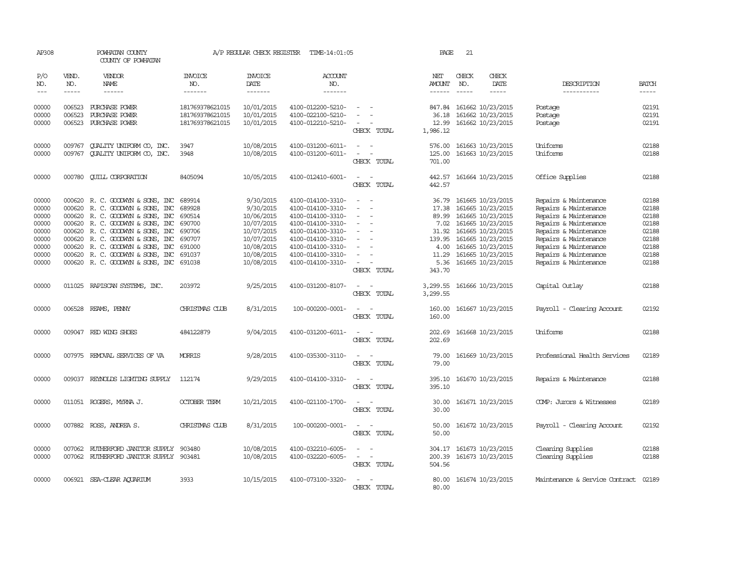| AP308                                                                         |                             | POWHATAN COUNTY<br>COUNTY OF POWHATAN                                                                                                                                                                                                                                                                      |                                                                                        | A/P REGULAR CHECK REGISTER                                                                                               | TIME-14:01:05                                                                                                                                                                             |                                                                | PAGE                                                                                  | 21                            |                                                                                                                                                                                           |                                                                                                                                                                                                                               |                                                                               |
|-------------------------------------------------------------------------------|-----------------------------|------------------------------------------------------------------------------------------------------------------------------------------------------------------------------------------------------------------------------------------------------------------------------------------------------------|----------------------------------------------------------------------------------------|--------------------------------------------------------------------------------------------------------------------------|-------------------------------------------------------------------------------------------------------------------------------------------------------------------------------------------|----------------------------------------------------------------|---------------------------------------------------------------------------------------|-------------------------------|-------------------------------------------------------------------------------------------------------------------------------------------------------------------------------------------|-------------------------------------------------------------------------------------------------------------------------------------------------------------------------------------------------------------------------------|-------------------------------------------------------------------------------|
| P/O<br>NO.<br>$\frac{1}{2}$                                                   | VEND.<br>NO.<br>$- - - - -$ | VENDOR<br><b>NAME</b><br>$- - - - - -$                                                                                                                                                                                                                                                                     | <b>INVOICE</b><br>NO.<br>-------                                                       | <b>INVOICE</b><br>DATE<br>$- - - - - - -$                                                                                | <b>ACCOUNT</b><br>NO.<br>$- - - - - - -$                                                                                                                                                  |                                                                | NET<br><b>AMOUNT</b>                                                                  | CHECK<br>NO.<br>$\frac{1}{2}$ | CHECK<br><b>DATE</b><br>-----                                                                                                                                                             | DESCRIPTION<br>-----------                                                                                                                                                                                                    | <b>BATCH</b><br>$- - - - -$                                                   |
| 00000<br>00000<br>00000                                                       | 006523<br>006523            | PURCHASE POWER<br>PURCHASE POWER<br>006523 PURCHASE POWER                                                                                                                                                                                                                                                  | 181769378621015<br>181769378621015<br>181769378621015                                  | 10/01/2015<br>10/01/2015<br>10/01/2015                                                                                   | 4100-012200-5210-<br>4100-022100-5210-<br>4100-012210-5210-                                                                                                                               | $\sim$<br>CHECK TOTAL                                          | 847.84<br>36.18<br>12.99<br>1,986.12                                                  |                               | 161662 10/23/2015<br>161662 10/23/2015<br>161662 10/23/2015                                                                                                                               | Postage<br>Postage<br>Postage                                                                                                                                                                                                 | 02191<br>02191<br>02191                                                       |
| 00000<br>00000                                                                | 009767<br>009767            | QUALITY UNIFORM CO, INC.<br><b>CUALITY UNIFORM CO, INC.</b>                                                                                                                                                                                                                                                | 3947<br>3948                                                                           | 10/08/2015<br>10/08/2015                                                                                                 | 4100-031200-6011-<br>4100-031200-6011-                                                                                                                                                    | CHECK TOTAL                                                    | 576.00<br>125.00<br>701.00                                                            |                               | 161663 10/23/2015<br>161663 10/23/2015                                                                                                                                                    | Uniforms<br>Uniforms                                                                                                                                                                                                          | 02188<br>02188                                                                |
| 00000                                                                         |                             | 000780 CUILL CORPORATION                                                                                                                                                                                                                                                                                   | 8405094                                                                                | 10/05/2015                                                                                                               | 4100-012410-6001-                                                                                                                                                                         | $\overline{\phantom{a}}$<br>CHECK TOTAL                        | 442.57<br>442.57                                                                      |                               | 161664 10/23/2015                                                                                                                                                                         | Office Supplies                                                                                                                                                                                                               | 02188                                                                         |
| 00000<br>00000<br>00000<br>00000<br>00000<br>00000<br>00000<br>00000<br>00000 | 000620<br>000620<br>000620  | 000620 R. C. GOODWYN & SONS, INC<br>R. C. GOODWYN & SONS, INC<br>000620 R. C. GOODWYN & SONS, INC<br>000620 R. C. GOODWYN & SONS, INC<br>R. C. GOODWYN & SONS, INC<br>000620 R. C. GOODWYN & SONS, INC<br>R. C. GOODWYN & SONS, INC<br>000620 R. C. GOODWYN & SONS, INC<br>000620 R.C. GOODWYN & SONS, INC | 689914<br>689928<br>690514<br>690700<br>690706<br>690707<br>691000<br>691037<br>691038 | 9/30/2015<br>9/30/2015<br>10/06/2015<br>10/07/2015<br>10/07/2015<br>10/07/2015<br>10/08/2015<br>10/08/2015<br>10/08/2015 | 4100-014100-3310-<br>4100-014100-3310-<br>4100-014100-3310-<br>4100-014100-3310-<br>4100-014100-3310-<br>4100-014100-3310-<br>4100-014100-3310-<br>4100-014100-3310-<br>4100-014100-3310- | $\sim$ $\sim$<br>$\sim$<br>$\equiv$<br>$\equiv$<br>CHECK TOTAL | 36.79<br>17.38<br>89.99<br>7.02<br>31.92<br>139.95<br>4.00<br>11.29<br>5.36<br>343.70 |                               | 161665 10/23/2015<br>161665 10/23/2015<br>161665 10/23/2015<br>161665 10/23/2015<br>161665 10/23/2015<br>161665 10/23/2015<br>161665 10/23/2015<br>161665 10/23/2015<br>161665 10/23/2015 | Repairs & Maintenance<br>Repairs & Maintenance<br>Repairs & Maintenance<br>Repairs & Maintenance<br>Repairs & Maintenance<br>Repairs & Maintenance<br>Repairs & Maintenance<br>Repairs & Maintenance<br>Repairs & Maintenance | 02188<br>02188<br>02188<br>02188<br>02188<br>02188<br>02188<br>02188<br>02188 |
| 00000                                                                         | 011025                      | RAPISCAN SYSTEMS, INC.                                                                                                                                                                                                                                                                                     | 203972                                                                                 | 9/25/2015                                                                                                                | 4100-031200-8107-                                                                                                                                                                         | CHECK TOTAL                                                    | 3,299.55<br>3,299.55                                                                  |                               | 161666 10/23/2015                                                                                                                                                                         | Capital Outlay                                                                                                                                                                                                                | 02188                                                                         |
| 00000                                                                         | 006528                      | REAMS, PENNY                                                                                                                                                                                                                                                                                               | CHRISTMAS CLUB                                                                         | 8/31/2015                                                                                                                | 100-000200-0001-                                                                                                                                                                          | $\sim$<br>CHECK TOTAL                                          | 160.00<br>160.00                                                                      |                               | 161667 10/23/2015                                                                                                                                                                         | Payroll - Clearing Account                                                                                                                                                                                                    | 02192                                                                         |
| 00000                                                                         |                             | 009047 RED WING SHOES                                                                                                                                                                                                                                                                                      | 484122879                                                                              | 9/04/2015                                                                                                                | 4100-031200-6011-                                                                                                                                                                         | $\equiv$<br>CHECK TOTAL                                        | 202.69<br>202.69                                                                      |                               | 161668 10/23/2015                                                                                                                                                                         | Uniforms                                                                                                                                                                                                                      | 02188                                                                         |
| 00000                                                                         |                             | 007975 REMOVAL SERVICES OF VA                                                                                                                                                                                                                                                                              | <b>MORRIS</b>                                                                          | 9/28/2015                                                                                                                | 4100-035300-3110-                                                                                                                                                                         | $\overline{\phantom{a}}$<br>CHECK TOTAL                        | 79.00<br>79.00                                                                        |                               | 161669 10/23/2015                                                                                                                                                                         | Professional Health Services                                                                                                                                                                                                  | 02189                                                                         |
| 00000                                                                         |                             | 009037 REYNOLDS LIGHTING SUPPLY                                                                                                                                                                                                                                                                            | 112174                                                                                 | 9/29/2015                                                                                                                | 4100-014100-3310-                                                                                                                                                                         | CHECK TOTAL                                                    | 395.10<br>395.10                                                                      |                               | 161670 10/23/2015                                                                                                                                                                         | Repairs & Maintenance                                                                                                                                                                                                         | 02188                                                                         |
| 00000                                                                         |                             | 011051 ROGERS, MYRNA J.                                                                                                                                                                                                                                                                                    | <b>OCTOBER TERM</b>                                                                    | 10/21/2015                                                                                                               | 4100-021100-1700-                                                                                                                                                                         | ٠.<br>$\overline{\phantom{a}}$<br>CHECK TOTAL                  | 30.00<br>30.00                                                                        |                               | 161671 10/23/2015                                                                                                                                                                         | COMP: Jurors & Witnesses                                                                                                                                                                                                      | 02189                                                                         |
| 00000                                                                         |                             | 007882 ROSS, ANDREA S.                                                                                                                                                                                                                                                                                     | CHRISTMAS CLUB                                                                         | 8/31/2015                                                                                                                | 100-000200-0001-                                                                                                                                                                          | $\sim$ $\sim$<br>CHECK TOTAL                                   | 50.00<br>50.00                                                                        |                               | 161672 10/23/2015                                                                                                                                                                         | Payroll - Clearing Account                                                                                                                                                                                                    | 02192                                                                         |
| 00000<br>00000                                                                | 007062                      | RUTHERFORD JANITOR SUPPLY<br>007062 RUIHERFORD JANITOR SUPPLY 903481                                                                                                                                                                                                                                       | 903480                                                                                 | 10/08/2015<br>10/08/2015                                                                                                 | 4100-032210-6005-<br>4100-032220-6005-                                                                                                                                                    | $\equiv$<br>CHECK TOTAL                                        | 304.17<br>200.39<br>504.56                                                            |                               | 161673 10/23/2015<br>161673 10/23/2015                                                                                                                                                    | Cleaning Supplies<br>Cleaning Supplies                                                                                                                                                                                        | 02188<br>02188                                                                |
| 00000                                                                         |                             | 006921 SEA-CLEAR AQUARIUM                                                                                                                                                                                                                                                                                  | 3933                                                                                   | 10/15/2015                                                                                                               | 4100-073100-3320-                                                                                                                                                                         | CHECK TOTAL                                                    | 80.00<br>80.00                                                                        |                               | 161674 10/23/2015                                                                                                                                                                         | Maintenance & Service Contract                                                                                                                                                                                                | 02189                                                                         |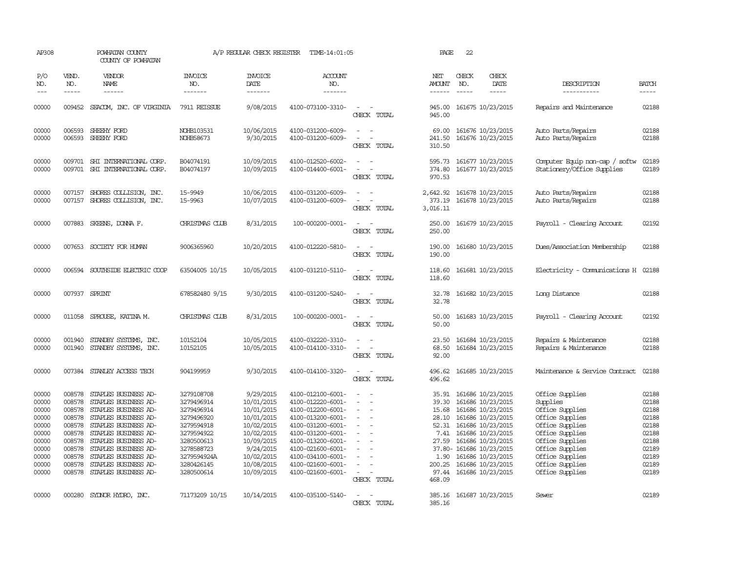| AP308                                                                                           |                                                                                                  | POWHATAN COUNTY<br>COUNTY OF POWHATAN                                                                                                                                                                                                                                       |                                                                                                                                                         | A/P REGULAR CHECK REGISTER                                                                                                                           | TIME-14:01:05                                                                                                                                                                                                                       |                                                                                                                         | PAGE                                                                                            | 22                          |                                                                                                                                                                                                                                            |                                                                                                                                                                                                        |                                                                                                 |
|-------------------------------------------------------------------------------------------------|--------------------------------------------------------------------------------------------------|-----------------------------------------------------------------------------------------------------------------------------------------------------------------------------------------------------------------------------------------------------------------------------|---------------------------------------------------------------------------------------------------------------------------------------------------------|------------------------------------------------------------------------------------------------------------------------------------------------------|-------------------------------------------------------------------------------------------------------------------------------------------------------------------------------------------------------------------------------------|-------------------------------------------------------------------------------------------------------------------------|-------------------------------------------------------------------------------------------------|-----------------------------|--------------------------------------------------------------------------------------------------------------------------------------------------------------------------------------------------------------------------------------------|--------------------------------------------------------------------------------------------------------------------------------------------------------------------------------------------------------|-------------------------------------------------------------------------------------------------|
| P/O<br>NO.<br>$---$                                                                             | VEND.<br>NO.<br>$- - - - -$                                                                      | VENDOR<br><b>NAME</b><br>$- - - - - -$                                                                                                                                                                                                                                      | <b>INVOICE</b><br>NO.<br>-------                                                                                                                        | <b>INVOICE</b><br>DATE<br>-------                                                                                                                    | ACCOUNT<br>NO.<br>-------                                                                                                                                                                                                           |                                                                                                                         | NET<br>AMOUNT<br>$- - - - - -$                                                                  | CHECK<br>NO.<br>$- - - - -$ | CHECK<br>DATE<br>-----                                                                                                                                                                                                                     | DESCRIPTION<br>-----------                                                                                                                                                                             | <b>BATCH</b><br>$- - - - -$                                                                     |
| 00000                                                                                           |                                                                                                  | 009452 SEACOM, INC. OF VIRGINIA                                                                                                                                                                                                                                             | 7911 REISSUE                                                                                                                                            | 9/08/2015                                                                                                                                            | 4100-073100-3310-                                                                                                                                                                                                                   | $\overline{\phantom{a}}$<br>$\sim$<br>CHECK TOTAL                                                                       | 945.00<br>945.00                                                                                |                             | 161675 10/23/2015                                                                                                                                                                                                                          | Repairs and Maintenance                                                                                                                                                                                | 02188                                                                                           |
| 00000<br>00000                                                                                  | 006593                                                                                           | SHEEHY FORD<br>006593 SHEEHY FORD                                                                                                                                                                                                                                           | NOHB103531<br>NOHB58673                                                                                                                                 | 10/06/2015<br>9/30/2015                                                                                                                              | 4100-031200-6009-<br>4100-031200-6009-                                                                                                                                                                                              | $\equiv$<br>CHECK TOTAL                                                                                                 | 69.00<br>241.50<br>310.50                                                                       |                             | 161676 10/23/2015<br>161676 10/23/2015                                                                                                                                                                                                     | Auto Parts/Repairs<br>Auto Parts/Repairs                                                                                                                                                               | 02188<br>02188                                                                                  |
| 00000<br>00000                                                                                  | 009701                                                                                           | SHI INTERNATIONAL CORP.<br>009701 SHI INTERNATIONAL CORP.                                                                                                                                                                                                                   | B04074191<br>B04074197                                                                                                                                  | 10/09/2015<br>10/09/2015                                                                                                                             | 4100-012520-6002-<br>4100-014400-6001-                                                                                                                                                                                              | $\sim$<br>$\overline{\phantom{a}}$<br>$\overline{\phantom{0}}$<br>CHECK TOTAL                                           | 595.73<br>374.80<br>970.53                                                                      |                             | 161677 10/23/2015<br>161677 10/23/2015                                                                                                                                                                                                     | Computer Equip non-cap / softw<br>Stationery/Office Supplies                                                                                                                                           | 02189<br>02189                                                                                  |
| 00000<br>00000                                                                                  | 007157<br>007157                                                                                 | SHORES COLLISION, INC.<br>SHORES COLLISION, INC.                                                                                                                                                                                                                            | 15-9949<br>15-9963                                                                                                                                      | 10/06/2015<br>10/07/2015                                                                                                                             | 4100-031200-6009-<br>4100-031200-6009-                                                                                                                                                                                              | $\sim$<br>$\sim$<br>CHECK TOTAL                                                                                         | 2,642.92<br>373.19<br>3,016.11                                                                  |                             | 161678 10/23/2015<br>161678 10/23/2015                                                                                                                                                                                                     | Auto Parts/Repairs<br>Auto Parts/Repairs                                                                                                                                                               | 02188<br>02188                                                                                  |
| 00000                                                                                           |                                                                                                  | 007883 SKEENS, DONNA F.                                                                                                                                                                                                                                                     | CHRISTMAS CIUB                                                                                                                                          | 8/31/2015                                                                                                                                            | 100-000200-0001-                                                                                                                                                                                                                    | CHECK TOTAL                                                                                                             | 250.00<br>250.00                                                                                |                             | 161679 10/23/2015                                                                                                                                                                                                                          | Payroll - Clearing Account                                                                                                                                                                             | 02192                                                                                           |
| 00000                                                                                           |                                                                                                  | 007653 SOCIETY FOR HUMAN                                                                                                                                                                                                                                                    | 9006365960                                                                                                                                              | 10/20/2015                                                                                                                                           | 4100-012220-5810-                                                                                                                                                                                                                   | CHECK TOTAL                                                                                                             | 190.00<br>190.00                                                                                |                             | 161680 10/23/2015                                                                                                                                                                                                                          | Dues/Association Membership                                                                                                                                                                            | 02188                                                                                           |
| 00000                                                                                           |                                                                                                  | 006594 SOUTHSIDE ELECTRIC COOP                                                                                                                                                                                                                                              | 63504005 10/15                                                                                                                                          | 10/05/2015                                                                                                                                           | 4100-031210-5110-                                                                                                                                                                                                                   | CHECK TOTAL                                                                                                             | 118.60<br>118.60                                                                                |                             | 161681 10/23/2015                                                                                                                                                                                                                          | Electricity - Comunications H                                                                                                                                                                          | 02188                                                                                           |
| 00000                                                                                           |                                                                                                  | 007937 SPRINT                                                                                                                                                                                                                                                               | 678582480 9/15                                                                                                                                          | 9/30/2015                                                                                                                                            | 4100-031200-5240-                                                                                                                                                                                                                   | CHECK TOTAL                                                                                                             | 32.78<br>32.78                                                                                  |                             | 161682 10/23/2015                                                                                                                                                                                                                          | Long Distance                                                                                                                                                                                          | 02188                                                                                           |
| 00000                                                                                           | 011058                                                                                           | SPROUSE, KATINA M.                                                                                                                                                                                                                                                          | CHRISTMAS CLUB                                                                                                                                          | 8/31/2015                                                                                                                                            | 100-000200-0001-                                                                                                                                                                                                                    | $\overline{\phantom{a}}$<br>$\overline{\phantom{a}}$<br>CHECK TOTAL                                                     | 50.00<br>50.00                                                                                  |                             | 161683 10/23/2015                                                                                                                                                                                                                          | Payroll - Clearing Account                                                                                                                                                                             | 02192                                                                                           |
| 00000<br>00000                                                                                  | 001940<br>001940                                                                                 | STANDBY SYSTEMS, INC.<br>STANDBY SYSTEMS, INC.                                                                                                                                                                                                                              | 10152104<br>10152105                                                                                                                                    | 10/05/2015<br>10/05/2015                                                                                                                             | 4100-032220-3310-<br>4100-014100-3310-                                                                                                                                                                                              | $\equiv$<br>$\overline{\phantom{a}}$<br>÷,<br>CHECK TOTAL                                                               | 23.50<br>68.50<br>92.00                                                                         |                             | 161684 10/23/2015<br>161684 10/23/2015                                                                                                                                                                                                     | Repairs & Maintenance<br>Repairs & Maintenance                                                                                                                                                         | 02188<br>02188                                                                                  |
| 00000                                                                                           |                                                                                                  | 007384 STANLEY ACCESS TECH                                                                                                                                                                                                                                                  | 904199959                                                                                                                                               | 9/30/2015                                                                                                                                            | 4100-014100-3320-                                                                                                                                                                                                                   | CHECK TOTAL                                                                                                             | 496.62<br>496.62                                                                                |                             | 161685 10/23/2015                                                                                                                                                                                                                          | Maintenance & Service Contract                                                                                                                                                                         | 02188                                                                                           |
| 00000<br>00000<br>00000<br>00000<br>00000<br>00000<br>00000<br>00000<br>00000<br>00000<br>00000 | 008578<br>008578<br>008578<br>008578<br>008578<br>008578<br>008578<br>008578<br>008578<br>008578 | STAPLES BUSINESS AD-<br>STAPLES BUSINESS AD-<br>STAPLES BUSINESS AD-<br>STAPLES BUSINESS AD-<br>STAPLES BUSINESS AD-<br>STAPLES BUSINESS AD-<br>STAPLES BUSINESS AD-<br>008578 STAPLES BUSINESS AD-<br>STAPLES BUSINESS AD-<br>STAPLES BUSINESS AD-<br>STAPLES BUSINESS AD- | 3279108708<br>3279496914<br>3279496914<br>3279496920<br>3279594918<br>3279594922<br>3280500613<br>3278588723<br>3279594924A<br>3280426145<br>3280500614 | 9/29/2015<br>10/01/2015<br>10/01/2015<br>10/01/2015<br>10/02/2015<br>10/02/2015<br>10/09/2015<br>9/24/2015<br>10/02/2015<br>10/08/2015<br>10/09/2015 | 4100-012100-6001-<br>4100-012220-6001-<br>4100-012200-6001-<br>4100-013200-6001-<br>4100-031200-6001-<br>4100-031200-6001-<br>4100-013200-6001-<br>4100-021600-6001-<br>4100-034100-6001-<br>4100-021600-6001-<br>4100-021600-6001- | $\equiv$<br>$\overline{\phantom{a}}$<br>$\overline{\phantom{a}}$<br>$\equiv$<br>$\overline{\phantom{a}}$<br>CHECK TOTAL | 35.91<br>39.30<br>15.68<br>28.10<br>52.31<br>7.41<br>27.59<br>1.90<br>200.25<br>97.44<br>468.09 |                             | 161686 10/23/2015<br>161686 10/23/2015<br>161686 10/23/2015<br>161686 10/23/2015<br>161686 10/23/2015<br>161686 10/23/2015<br>161686 10/23/2015<br>37.80- 161686 10/23/2015<br>161686 10/23/2015<br>161686 10/23/2015<br>161686 10/23/2015 | Office Supplies<br>Supplies<br>Office Supplies<br>Office Supplies<br>Office Supplies<br>Office Supplies<br>Office Supplies<br>Office Supplies<br>Office Supplies<br>Office Supplies<br>Office Supplies | 02188<br>02188<br>02188<br>02188<br>02188<br>02188<br>02188<br>02189<br>02189<br>02189<br>02189 |
| 00000                                                                                           |                                                                                                  | 000280 SYLNOR HYDRO, INC.                                                                                                                                                                                                                                                   | 71173209 10/15                                                                                                                                          | 10/14/2015                                                                                                                                           | 4100-035100-5140-                                                                                                                                                                                                                   | $\equiv$<br>CHECK TOTAL                                                                                                 | 385.16<br>385.16                                                                                |                             | 161687 10/23/2015                                                                                                                                                                                                                          | Sewer                                                                                                                                                                                                  | 02189                                                                                           |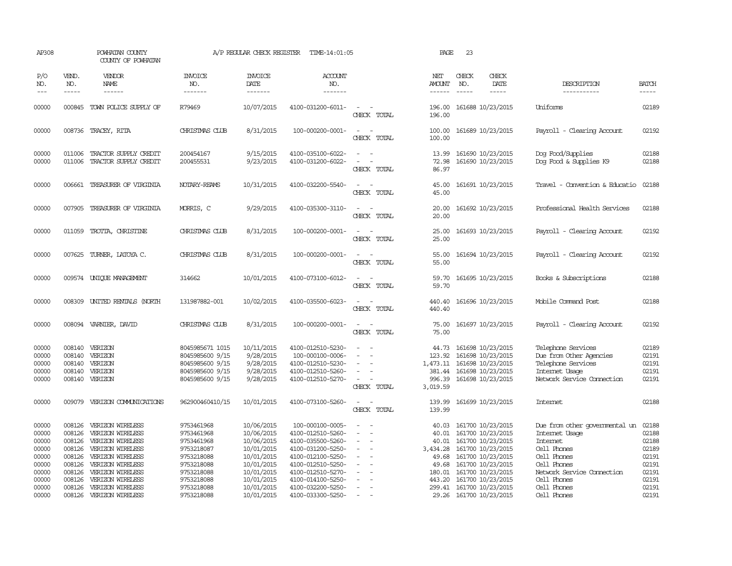| AP308                                                       |                                                                    | POWHATAN COUNTY<br>COUNTY OF POWHATAN                                                                                                    |                                                                                                | A/P REGULAR CHECK REGISTER                                                                     | TIME-14:01:05                                                                                                                                  |                                                   | PAGE                                                            | 23                          |                                                                                                                                                 |                                                                                                                                                |                                                             |
|-------------------------------------------------------------|--------------------------------------------------------------------|------------------------------------------------------------------------------------------------------------------------------------------|------------------------------------------------------------------------------------------------|------------------------------------------------------------------------------------------------|------------------------------------------------------------------------------------------------------------------------------------------------|---------------------------------------------------|-----------------------------------------------------------------|-----------------------------|-------------------------------------------------------------------------------------------------------------------------------------------------|------------------------------------------------------------------------------------------------------------------------------------------------|-------------------------------------------------------------|
| P/O<br>NO.<br>$---$                                         | VEND.<br>NO.<br>-----                                              | <b>VENDOR</b><br>NAME<br>------                                                                                                          | <b>INVOICE</b><br>NO.<br>-------                                                               | <b>INVOICE</b><br>DATE<br>-------                                                              | <b>ACCOUNT</b><br>NO.<br>-------                                                                                                               |                                                   | NET<br>AMOUNT                                                   | CHECK<br>NO.<br>$- - - - -$ | CHECK<br>DATE<br>-----                                                                                                                          | DESCRIPTION<br>-----------                                                                                                                     | <b>BATCH</b><br>-----                                       |
| 00000                                                       |                                                                    | 000845 TOWN POLICE SUPPLY OF                                                                                                             | R79469                                                                                         | 10/07/2015                                                                                     | 4100-031200-6011-                                                                                                                              | $\sim$<br>CHECK TOTAL                             | 196.00<br>196.00                                                |                             | 161688 10/23/2015                                                                                                                               | Uniforms                                                                                                                                       | 02189                                                       |
| 00000                                                       |                                                                    | 008736 TRACEY, RITA                                                                                                                      | CHRISTMAS CLUB                                                                                 | 8/31/2015                                                                                      | 100-000200-0001-                                                                                                                               | $\sim$<br>$\overline{\phantom{a}}$<br>CHECK TOTAL | 100.00<br>100.00                                                |                             | 161689 10/23/2015                                                                                                                               | Payroll - Clearing Account                                                                                                                     | 02192                                                       |
| 00000<br>00000                                              | 011006<br>011006                                                   | TRACTOR SUPPLY CREDIT<br>TRACTOR SUPPLY CREDIT                                                                                           | 200454167<br>200455531                                                                         | 9/15/2015<br>9/23/2015                                                                         | 4100-035100-6022-<br>4100-031200-6022-                                                                                                         | $\sim$<br>CHECK TOTAL                             | 13.99<br>72.98<br>86.97                                         |                             | 161690 10/23/2015<br>161690 10/23/2015                                                                                                          | Dog Food/Supplies<br>Dog Food & Supplies K9                                                                                                    | 02188<br>02188                                              |
| 00000                                                       | 006661                                                             | TREASURER OF VIRGINIA                                                                                                                    | NOTARY-REAMS                                                                                   | 10/31/2015                                                                                     | 4100-032200-5540-                                                                                                                              | $\sim$<br>. —<br>CHECK TOTAL                      | 45.00<br>45.00                                                  |                             | 161691 10/23/2015                                                                                                                               | Travel - Convention & Educatio                                                                                                                 | 02188                                                       |
| 00000                                                       | 007905                                                             | TREASURER OF VIRGINIA                                                                                                                    | MORRIS, C                                                                                      | 9/29/2015                                                                                      | 4100-035300-3110-                                                                                                                              | $\sim$<br>CHECK TOTAL                             | 20.00<br>20.00                                                  |                             | 161692 10/23/2015                                                                                                                               | Professional Health Services                                                                                                                   | 02188                                                       |
| 00000                                                       | 011059                                                             | TROTTA, CHRISTINE                                                                                                                        | CHRISTMAS CLUB                                                                                 | 8/31/2015                                                                                      | 100-000200-0001-                                                                                                                               | $\overline{\phantom{a}}$<br>$\sim$<br>CHECK TOTAL | 25.00<br>25.00                                                  |                             | 161693 10/23/2015                                                                                                                               | Payroll - Clearing Account                                                                                                                     | 02192                                                       |
| 00000                                                       |                                                                    | 007625 TURNER, LATOYA C.                                                                                                                 | CHRISTMAS CLUB                                                                                 | 8/31/2015                                                                                      | 100-000200-0001-                                                                                                                               | CHECK TOTAL                                       | 55.00<br>55.00                                                  |                             | 161694 10/23/2015                                                                                                                               | Payroll - Clearing Account                                                                                                                     | 02192                                                       |
| 00000                                                       |                                                                    | 009574 UNIQUE MANAGEMENT                                                                                                                 | 314662                                                                                         | 10/01/2015                                                                                     | 4100-073100-6012-                                                                                                                              | . —<br>CHECK TOTAL                                | 59.70<br>59.70                                                  |                             | 161695 10/23/2015                                                                                                                               | Books & Subscriptions                                                                                                                          | 02188                                                       |
| 00000                                                       | 008309                                                             | UNITED RENTALS (NORTH                                                                                                                    | 131987882-001                                                                                  | 10/02/2015                                                                                     | 4100-035500-6023-                                                                                                                              | CHECK TOTAL                                       | 440.40<br>440.40                                                |                             | 161696 10/23/2015                                                                                                                               | Mobile Command Post                                                                                                                            | 02188                                                       |
| 00000                                                       | 008094                                                             | VARNIER, DAVID                                                                                                                           | CHRISTMAS CLUB                                                                                 | 8/31/2015                                                                                      | 100-000200-0001-                                                                                                                               | CHECK TOTAL                                       | 75.00<br>75.00                                                  |                             | 161697 10/23/2015                                                                                                                               | Payroll - Clearing Account                                                                                                                     | 02192                                                       |
| 00000<br>00000<br>00000<br>00000<br>00000                   | 008140<br>008140<br>008140<br>008140<br>008140                     | VERIZON<br>VERIZON<br>VERIZON<br>VERIZON<br>VERIZON                                                                                      | 8045985671 1015<br>8045985600 9/15<br>8045985600 9/15<br>8045985600 9/15<br>8045985600 9/15    | 10/11/2015<br>9/28/2015<br>9/28/2015<br>9/28/2015<br>9/28/2015                                 | 4100-012510-5230-<br>100-000100-0006-<br>4100-012510-5230-<br>4100-012510-5260-<br>4100-012510-5270-                                           | CHECK TOTAL                                       | 44.73<br>123.92<br>1,473.11<br>381.44<br>996.39<br>3,019.59     |                             | 161698 10/23/2015<br>161698 10/23/2015<br>161698 10/23/2015<br>161698 10/23/2015<br>161698 10/23/2015                                           | Telephone Services<br>Due from Other Agencies<br>Telephone Services<br>Internet Usage<br>Network Service Cornection                            | 02189<br>02191<br>02191<br>02191<br>02191                   |
| 00000                                                       | 009079                                                             | VERIZON COMMUNICATIONS                                                                                                                   | 962900460410/15                                                                                | 10/01/2015                                                                                     | 4100-073100-5260-                                                                                                                              | $\equiv$<br>$\sim$<br>CHECK TOTAL                 | 139.99<br>139.99                                                |                             | 161699 10/23/2015                                                                                                                               | <b>Internet</b>                                                                                                                                | 02188                                                       |
| 00000<br>00000<br>00000<br>00000<br>00000<br>00000<br>00000 | 008126<br>008126<br>008126<br>008126<br>008126<br>008126<br>008126 | VERIZON WIRELESS<br>VERIZON WIRELESS<br>VERIZON WIRELESS<br>VERIZON WIRELESS<br>VERIZON WIRELESS<br>VERIZON WIRELESS<br>VERIZON WIRELESS | 9753461968<br>9753461968<br>9753461968<br>9753218087<br>9753218088<br>9753218088<br>9753218088 | 10/06/2015<br>10/06/2015<br>10/06/2015<br>10/01/2015<br>10/01/2015<br>10/01/2015<br>10/01/2015 | 100-000100-0005-<br>4100-012510-5260-<br>4100-035500-5260-<br>4100-031200-5250-<br>4100-012100-5250-<br>4100-012510-5250-<br>4100-012510-5270- | $\overline{\phantom{a}}$<br>. —<br>$\equiv$       | 40.03<br>40.01<br>40.01<br>3,434.28<br>49.68<br>49.68<br>180.01 |                             | 161700 10/23/2015<br>161700 10/23/2015<br>161700 10/23/2015<br>161700 10/23/2015<br>161700 10/23/2015<br>161700 10/23/2015<br>161700 10/23/2015 | Due from other governmental un<br>Internet Usage<br><b>Internet</b><br>Cell Phones<br>Cell Phones<br>Cell Phones<br>Network Service Connection | 02188<br>02188<br>02188<br>02189<br>02191<br>02191<br>02191 |
| 00000<br>00000<br>00000                                     | 008126<br>008126<br>008126                                         | VERIZON WIRELESS<br>VERIZON WIRELESS<br>VERIZON WIRELESS                                                                                 | 9753218088<br>9753218088<br>9753218088                                                         | 10/01/2015<br>10/01/2015<br>10/01/2015                                                         | 4100-014100-5250-<br>4100-032200-5250-<br>4100-033300-5250-                                                                                    | $\sim$<br>$\sim$                                  | 443.20                                                          |                             | 161700 10/23/2015<br>299.41 161700 10/23/2015<br>29.26 161700 10/23/2015                                                                        | Cell Phones<br>Cell Phones<br>Cell Phones                                                                                                      | 02191<br>02191<br>02191                                     |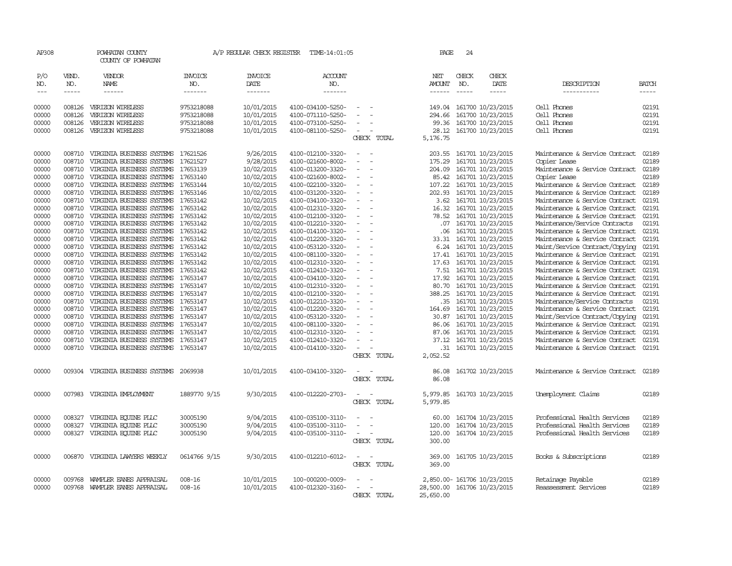| AP308                       |                             | POWHATAN COUNTY<br>COUNTY OF POWHATAN     |                                  | A/P REGULAR CHECK REGISTER                | TIME-14:01:05             |                                                      | PAGE                           | 24                          |                             |                                |                             |
|-----------------------------|-----------------------------|-------------------------------------------|----------------------------------|-------------------------------------------|---------------------------|------------------------------------------------------|--------------------------------|-----------------------------|-----------------------------|--------------------------------|-----------------------------|
| P/O<br>NO.<br>$\frac{1}{2}$ | VEND.<br>NO.<br>$- - - - -$ | VENDOR<br>NAME<br>------                  | <b>INVOICE</b><br>NO.<br>------- | <b>INVOICE</b><br>DATE<br>$- - - - - - -$ | ACCOUNT<br>NO.<br>------- |                                                      | NET<br>AMOUNT<br>$- - - - - -$ | CHECK<br>NO.<br>$- - - - -$ | CHECK<br>DATE<br>-----      | DESCRIPTION<br>-----------     | <b>BATCH</b><br>$- - - - -$ |
|                             |                             |                                           |                                  |                                           |                           |                                                      |                                |                             |                             |                                |                             |
| 00000                       | 008126                      | VERIZON WIRELESS                          | 9753218088                       | 10/01/2015                                | 4100-034100-5250-         | $\overline{\phantom{a}}$                             | 149.04                         |                             | 161700 10/23/2015           | Cell Phones                    | 02191                       |
| 00000                       | 008126                      | VERIZON WIRELESS                          | 9753218088                       | 10/01/2015                                | 4100-071110-5250-         |                                                      | 294.66                         |                             | 161700 10/23/2015           | Cell Phones                    | 02191                       |
| 00000                       | 008126                      | VERIZON WIRELESS                          | 9753218088                       | 10/01/2015                                | 4100-073100-5250-         |                                                      |                                |                             | 99.36 161700 10/23/2015     | Cell Phones                    | 02191                       |
| 00000                       | 008126                      | VERIZON WIRELESS                          | 9753218088                       | 10/01/2015                                | 4100-081100-5250-         |                                                      | 28.12                          |                             | 161700 10/23/2015           | Cell Phones                    | 02191                       |
|                             |                             |                                           |                                  |                                           |                           | CHECK TOTAL                                          | 5,176.75                       |                             |                             |                                |                             |
| 00000                       | 008710                      | VIRGINIA BUSINESS SYSTEMS 17621526        |                                  | 9/26/2015                                 | 4100-012100-3320-         |                                                      | 203.55                         |                             | 161701 10/23/2015           | Maintenance & Service Contract | 02189                       |
| 00000                       | 008710                      | VIRGINIA BUSINESS SYSTEMS                 | 17621527                         | 9/28/2015                                 | 4100-021600-8002-         |                                                      | 175.29                         |                             | 161701 10/23/2015           | Copier Lease                   | 02189                       |
| 00000                       | 008710                      | VIRGINIA BUSINESS SYSTEMS                 | 17653139                         | 10/02/2015                                | 4100-013200-3320-         | $\overline{\phantom{a}}$                             | 204.09                         |                             | 161701 10/23/2015           | Maintenance & Service Contract | 02189                       |
| 00000                       | 008710                      | VIRGINIA BUSINESS SYSTEMS                 | 17653140                         | 10/02/2015                                | 4100-021600-8002-         | $\overline{\phantom{a}}$                             | 85.42                          |                             | 161701 10/23/2015           | Copier Lease                   | 02189                       |
| 00000                       | 008710                      | VIRGINIA BUSINESS SYSTEMS                 | 17653144                         | 10/02/2015                                | 4100-022100-3320-         |                                                      | 107.22                         |                             | 161701 10/23/2015           | Maintenance & Service Contract | 02189                       |
| 00000                       | 008710                      | VIRGINIA BUSINESS SYSTEMS                 | 17653146                         | 10/02/2015                                | 4100-031200-3320-         | $\overline{\phantom{a}}$<br>$\overline{\phantom{a}}$ | 202.93                         |                             | 161701 10/23/2015           | Maintenance & Service Contract | 02189                       |
| 00000                       | 008710                      | VIRGINIA BUSINESS SYSTEMS                 | 17653142                         | 10/02/2015                                | 4100-034100-3320-         |                                                      |                                |                             | 3.62 161701 10/23/2015      | Maintenance & Service Contract | 02191                       |
| 00000                       | 008710                      | VIRGINIA BUSINESS SYSTEMS                 | 17653142                         | 10/02/2015                                | 4100-012310-3320-         |                                                      | 16.32                          |                             | 161701 10/23/2015           | Maintenance & Service Contract | 02191                       |
| 00000                       | 008710                      | VIRGINIA BUSINESS SYSTEMS                 | 17653142                         | 10/02/2015                                | 4100-012100-3320-         |                                                      | 78.52                          |                             | 161701 10/23/2015           | Maintenance & Service Contract | 02191                       |
| 00000                       | 008710                      | VIRGINIA BUSINESS SYSTEMS                 | 17653142                         | 10/02/2015                                | 4100-012210-3320-         | $\equiv$<br>$\overline{\phantom{a}}$                 | .07                            |                             | 161701 10/23/2015           | Maintenance/Service Contracts  | 02191                       |
| 00000                       | 008710                      | VIRGINIA BUSINESS SYSTEMS                 | 17653142                         | 10/02/2015                                | 4100-014100-3320-         |                                                      | .06                            |                             | 161701 10/23/2015           | Maintenance & Service Contract | 02191                       |
| 00000                       | 008710                      | VIRGINIA BUSINESS SYSTEMS 17653142        |                                  | 10/02/2015                                | 4100-012200-3320-         | $\overline{\phantom{a}}$                             | 33.31                          |                             | 161701 10/23/2015           | Maintenance & Service Contract | 02191                       |
| 00000                       | 008710                      | VIRGINIA BUSINESS SYSTEMS                 | 17653142                         | 10/02/2015                                | 4100-053120-3320-         | $\overline{\phantom{a}}$                             | 6.24                           |                             | 161701 10/23/2015           | Maint/Service Contract/Copying | 02191                       |
| 00000                       |                             | 008710 VIRGINIA BUSINESS SYSTEMS 17653142 |                                  | 10/02/2015                                | 4100-081100-3320-         | $\sim$<br>$\overline{\phantom{a}}$                   |                                |                             | 17.41 161701 10/23/2015     | Maintenance & Service Contract | 02191                       |
| 00000                       | 008710                      | VIRGINIA BUSINESS SYSTEMS                 | 17653142                         | 10/02/2015                                | 4100-012310-3320-         | $\sim$                                               | 17.63                          |                             | 161701 10/23/2015           | Maintenance & Service Contract | 02191                       |
| 00000                       | 008710                      | VIRGINIA BUSINESS SYSTEMS                 | 17653142                         | 10/02/2015                                | 4100-012410-3320-         |                                                      |                                |                             | 7.51 161701 10/23/2015      | Maintenance & Service Contract | 02191                       |
| 00000                       | 008710                      | VIRGINIA BUSINESS SYSTEMS                 | 17653147                         | 10/02/2015                                | 4100-034100-3320-         |                                                      | 17.92                          |                             | 161701 10/23/2015           | Maintenance & Service Contract | 02191                       |
| 00000                       | 008710                      | VIRGINIA BUSINESS SYSTEMS                 | 17653147                         | 10/02/2015                                | 4100-012310-3320-         | $\overline{\phantom{a}}$                             | 80.70                          |                             | 161701 10/23/2015           | Maintenance & Service Contract | 02191                       |
| 00000                       | 008710                      | VIRGINIA BUSINESS SYSTEMS                 | 17653147                         | 10/02/2015                                | 4100-012100-3320-         |                                                      | 388.25                         |                             | 161701 10/23/2015           | Maintenance & Service Contract | 02191                       |
| 00000                       | 008710                      | VIRGINIA BUSINESS SYSTEMS                 | 17653147                         | 10/02/2015                                | 4100-012210-3320-         |                                                      | .35                            |                             | 161701 10/23/2015           | Maintenance/Service Contracts  | 02191                       |
| 00000                       | 008710                      | VIRGINIA BUSINESS SYSTEMS                 | 17653147                         | 10/02/2015                                | 4100-012200-3320-         |                                                      | 164.69                         |                             | 161701 10/23/2015           | Maintenance & Service Contract | 02191                       |
| 00000                       | 008710                      | VIRGINIA BUSINESS SYSTEMS                 | 17653147                         | 10/02/2015                                | 4100-053120-3320-         | $\sim$                                               | 30.87                          |                             | 161701 10/23/2015           | Maint/Service Contract/Copying | 02191                       |
| 00000                       | 008710                      | VIRGINIA BUSINESS SYSTEMS                 | 17653147                         | 10/02/2015                                | 4100-081100-3320-         | $\overline{\phantom{a}}$                             | 86.06                          |                             | 161701 10/23/2015           | Maintenance & Service Contract | 02191                       |
| 00000                       | 008710                      | VIRGINIA BUSINESS SYSTEMS                 | 17653147                         | 10/02/2015                                | 4100-012310-3320-         |                                                      | 87.06                          |                             | 161701 10/23/2015           | Maintenance & Service Contract | 02191                       |
| 00000                       | 008710                      | VIRGINIA BUSINESS SYSTEMS                 | 17653147                         | 10/02/2015                                | 4100-012410-3320-         | $\overline{\phantom{a}}$                             | 37.12                          |                             | 161701 10/23/2015           | Maintenance & Service Contract | 02191                       |
| 00000                       | 008710                      | VIRGINIA BUSINESS SYSTEMS 17653147        |                                  | 10/02/2015                                | 4100-014100-3320-         | $\sim$                                               | .31                            |                             | 161701 10/23/2015           | Maintenance & Service Contract | 02191                       |
|                             |                             |                                           |                                  |                                           |                           | CHECK TOTAL                                          | 2,052.52                       |                             |                             |                                |                             |
| 00000                       |                             | 009304 VIRGINIA BUSINESS SYSTEMS 2069938  |                                  | 10/01/2015                                | 4100-034100-3320-         |                                                      | 86.08                          |                             | 161702 10/23/2015           | Maintenance & Service Contract | 02189                       |
|                             |                             |                                           |                                  |                                           |                           | CHECK TOTAL                                          | 86.08                          |                             |                             |                                |                             |
|                             |                             |                                           |                                  |                                           |                           |                                                      |                                |                             |                             |                                |                             |
| 00000                       |                             | 007983 VIRGINIA EMPLOYMENT                | 1889770 9/15                     | 9/30/2015                                 | 4100-012220-2703-         | - 11                                                 | 5,979.85                       |                             | 161703 10/23/2015           | Unemployment Claims            | 02189                       |
|                             |                             |                                           |                                  |                                           |                           | CHECK TOTAL                                          | 5,979.85                       |                             |                             |                                |                             |
| 00000                       | 008327                      | VIRGINIA EQUINE PLLC                      | 30005190                         | 9/04/2015                                 | 4100-035100-3110-         |                                                      | 60.00                          |                             | 161704 10/23/2015           | Professional Health Services   | 02189                       |
| 00000                       | 008327                      | VIRGINIA EQUINE PLLC                      | 30005190                         | 9/04/2015                                 | 4100-035100-3110-         | $\overline{\phantom{a}}$                             | 120.00                         |                             | 161704 10/23/2015           | Professional Health Services   | 02189                       |
| 00000                       |                             | 008327 VIRGINIA EQUINE PLLC               | 30005190                         | 9/04/2015                                 | 4100-035100-3110-         | $\sim$                                               | 120.00                         |                             | 161704 10/23/2015           | Professional Health Services   | 02189                       |
|                             |                             |                                           |                                  |                                           |                           | CHECK TOTAL                                          | 300.00                         |                             |                             |                                |                             |
| 00000                       |                             | 006870 VIRGINIA LAWYERS WEEKLY            | 0614766 9/15                     | 9/30/2015                                 | 4100-012210-6012-         | $\overline{\phantom{a}}$                             | 369.00                         |                             | 161705 10/23/2015           | Books & Subscriptions          | 02189                       |
|                             |                             |                                           |                                  |                                           |                           | CHECK TOTAL                                          | 369.00                         |                             |                             |                                |                             |
|                             |                             |                                           |                                  |                                           |                           |                                                      |                                |                             |                             |                                |                             |
| 00000                       | 009768                      | WAMPLER EANES APPRAISAL                   | $008 - 16$                       | 10/01/2015                                | 100-000200-0009-          |                                                      |                                |                             | 2,850.00- 161706 10/23/2015 | Retainage Payable              | 02189                       |
| 00000                       | 009768                      | WAMPLER EANES APPRAISAL                   | $008 - 16$                       | 10/01/2015                                | 4100-012320-3160-         |                                                      | 28,500.00                      |                             | 161706 10/23/2015           | Reassessment Services          | 02189                       |
|                             |                             |                                           |                                  |                                           |                           | CHECK TOTAL                                          | 25,650.00                      |                             |                             |                                |                             |
|                             |                             |                                           |                                  |                                           |                           |                                                      |                                |                             |                             |                                |                             |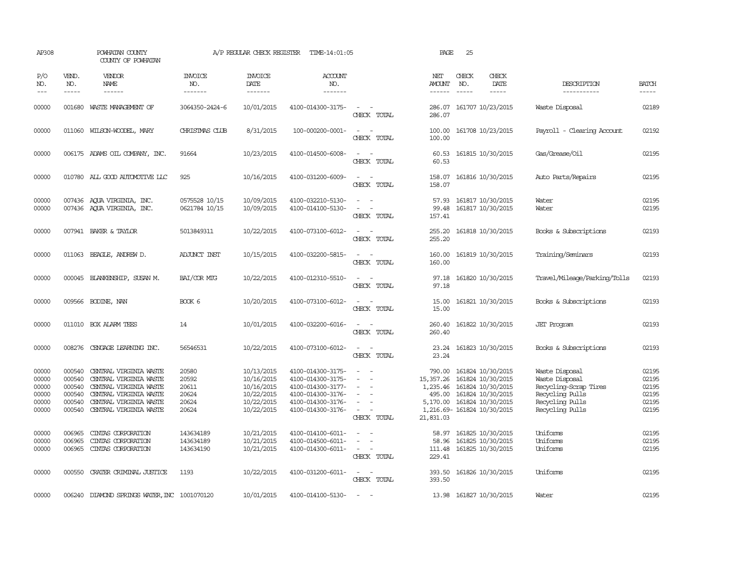| AP308                                              |                                                          | POWHATAN COUNTY<br>COUNTY OF POWHATAN                                                                                                                    |                                                    | A/P REGULAR CHECK REGISTER                                                       | TIME-14:01:05                                                                                                              |                                                                                                                             | PAGE                                                                | 25                          |                                                                                                                                     |                                                                                                                    |                                                    |
|----------------------------------------------------|----------------------------------------------------------|----------------------------------------------------------------------------------------------------------------------------------------------------------|----------------------------------------------------|----------------------------------------------------------------------------------|----------------------------------------------------------------------------------------------------------------------------|-----------------------------------------------------------------------------------------------------------------------------|---------------------------------------------------------------------|-----------------------------|-------------------------------------------------------------------------------------------------------------------------------------|--------------------------------------------------------------------------------------------------------------------|----------------------------------------------------|
| P/O<br>NO.<br>$---$                                | VEND.<br>NO.<br>$- - - - -$                              | VENDOR<br>NAME<br>------                                                                                                                                 | <b>INVOICE</b><br>NO.<br>-------                   | <b>INVOICE</b><br>DATE<br>--------                                               | ACCOUNT<br>NO.<br>-------                                                                                                  |                                                                                                                             | NET<br>AMOUNT<br>------                                             | CHECK<br>NO.<br>$- - - - -$ | CHECK<br>DATE<br>$- - - - -$                                                                                                        | DESCRIPTION<br>-----------                                                                                         | <b>BATCH</b><br>$- - - - -$                        |
| 00000                                              | 001680                                                   | WASTE MANAGEMENT OF                                                                                                                                      | 3064350-2424-6                                     | 10/01/2015                                                                       | 4100-014300-3175-                                                                                                          | $\equiv$<br>CHECK TOTAL                                                                                                     | 286.07<br>286.07                                                    |                             | 161707 10/23/2015                                                                                                                   | Waste Disposal                                                                                                     | 02189                                              |
| 00000                                              |                                                          | 011060 WILSON-WOODEL, MARY                                                                                                                               | CHRISTMAS CLUB                                     | 8/31/2015                                                                        | 100-000200-0001-                                                                                                           | $\sim$<br>$\overline{\phantom{a}}$<br>CHECK TOTAL                                                                           | 100.00<br>100.00                                                    |                             | 161708 10/23/2015                                                                                                                   | Payroll - Clearing Account                                                                                         | 02192                                              |
| 00000                                              |                                                          | 006175 ADAMS OIL COMPANY, INC.                                                                                                                           | 91664                                              | 10/23/2015                                                                       | 4100-014500-6008-                                                                                                          | $\sim$<br>$\sim$<br>CHECK TOTAL                                                                                             | 60.53<br>60.53                                                      |                             | 161815 10/30/2015                                                                                                                   | Gas/Grease/Oil                                                                                                     | 02195                                              |
| 00000                                              |                                                          | 010780 ALL GOOD AUTOMOTTVE LLC                                                                                                                           | 925                                                | 10/16/2015                                                                       | 4100-031200-6009-                                                                                                          | $ -$<br>CHECK TOTAL                                                                                                         | 158.07<br>158.07                                                    |                             | 161816 10/30/2015                                                                                                                   | Auto Parts/Repairs                                                                                                 | 02195                                              |
| 00000<br>00000                                     |                                                          | 007436 AQUA VIRGINIA, INC.<br>007436 AQUA VIRGINIA, INC.                                                                                                 | 0575528 10/15<br>0621784 10/15                     | 10/09/2015<br>10/09/2015                                                         | 4100-032210-5130-<br>4100-014100-5130-                                                                                     | $\equiv$<br>$\equiv$<br>CHECK TOTAL                                                                                         | 57.93<br>99.48<br>157.41                                            |                             | 161817 10/30/2015<br>161817 10/30/2015                                                                                              | Water<br>Water                                                                                                     | 02195<br>02195                                     |
| 00000                                              |                                                          | 007941 BAKER & TAYLOR                                                                                                                                    | 5013849311                                         | 10/22/2015                                                                       | 4100-073100-6012-                                                                                                          | $\frac{1}{2} \left( \frac{1}{2} \right) \left( \frac{1}{2} \right) = \frac{1}{2} \left( \frac{1}{2} \right)$<br>CHECK TOTAL | 255.20<br>255.20                                                    |                             | 161818 10/30/2015                                                                                                                   | Books & Subscriptions                                                                                              | 02193                                              |
| 00000                                              |                                                          | 011063 BEAGLE, ANDREW D.                                                                                                                                 | <b>ADJUNCT INST</b>                                | 10/15/2015                                                                       | 4100-032200-5815-                                                                                                          | CHECK TOTAL                                                                                                                 | 160.00<br>160.00                                                    |                             | 161819 10/30/2015                                                                                                                   | Training/Seminars                                                                                                  | 02193                                              |
| 00000                                              |                                                          | 000045 BLANKENSHIP, SUSAN M.                                                                                                                             | BAI/COR MIG                                        | 10/22/2015                                                                       | 4100-012310-5510-                                                                                                          | CHECK TOTAL                                                                                                                 | 97.18<br>97.18                                                      |                             | 161820 10/30/2015                                                                                                                   | Travel/Mileage/Parking/Tolls                                                                                       | 02193                                              |
| 00000                                              |                                                          | 009566 BODINE, NAN                                                                                                                                       | BOOK 6                                             | 10/20/2015                                                                       | 4100-073100-6012-                                                                                                          | CHECK TOTAL                                                                                                                 | 15.00<br>15.00                                                      |                             | 161821 10/30/2015                                                                                                                   | Books & Subscriptions                                                                                              | 02193                                              |
| 00000                                              |                                                          | 011010 BOX ALARM TEES                                                                                                                                    | 14                                                 | 10/01/2015                                                                       | 4100-032200-6016-                                                                                                          | $\overline{\phantom{a}}$<br>CHECK TOTAL                                                                                     | 260.40<br>260.40                                                    |                             | 161822 10/30/2015                                                                                                                   | <b>JET</b> Program                                                                                                 | 02193                                              |
| 00000                                              | 008276                                                   | CENGAGE LEARNING INC.                                                                                                                                    | 56546531                                           | 10/22/2015                                                                       | 4100-073100-6012-                                                                                                          | $\equiv$<br>CHECK TOTAL                                                                                                     | 23.24<br>23.24                                                      |                             | 161823 10/30/2015                                                                                                                   | Books & Subscriptions                                                                                              | 02193                                              |
| 00000<br>00000<br>00000<br>00000<br>00000<br>00000 | 000540<br>000540<br>000540<br>000540<br>000540<br>000540 | CENTRAL VIRGINIA WASTE<br>CENTRAL VIRGINIA WASTE<br>CENTRAL VIRGINIA WASTE<br>CENTRAL VIRGINIA WASTE<br>CENTRAL VIRGINIA WASTE<br>CENTRAL VIRGINIA WASTE | 20580<br>20592<br>20611<br>20624<br>20624<br>20624 | 10/13/2015<br>10/16/2015<br>10/16/2015<br>10/22/2015<br>10/22/2015<br>10/22/2015 | 4100-014300-3175-<br>4100-014300-3175-<br>4100-014300-3177-<br>4100-014300-3176-<br>4100-014300-3176-<br>4100-014300-3176- | $\sim$<br>$\sim$<br>$\equiv$<br>$\equiv$<br>$\overline{\phantom{a}}$<br>$\sim$<br>$\sim$<br>CHECK TOTAL                     | 790.00<br>15, 357.26<br>1,235.46<br>495.00<br>5,170.00<br>21,831.03 |                             | 161824 10/30/2015<br>161824 10/30/2015<br>161824 10/30/2015<br>161824 10/30/2015<br>161824 10/30/2015<br>1,216.69-161824 10/30/2015 | Waste Disposal<br>Waste Disposal<br>Recycling-Scrap Tires<br>Recycling Pulls<br>Recycling Pulls<br>Recycling Pulls | 02195<br>02195<br>02195<br>02195<br>02195<br>02195 |
| 00000<br>00000<br>00000                            | 006965<br>006965<br>006965                               | CINIAS CORPORATION<br>CINIAS CORPORATION<br>CINTAS CORPORATION                                                                                           | 143634189<br>143634189<br>143634190                | 10/21/2015<br>10/21/2015<br>10/21/2015                                           | 4100-014100-6011-<br>4100-014500-6011-<br>4100-014300-6011-                                                                | $\overline{\phantom{a}}$<br>$\sim$<br>CHECK TOTAL                                                                           | 58.97<br>58.96<br>229.41                                            |                             | 161825 10/30/2015<br>161825 10/30/2015<br>111.48 161825 10/30/2015                                                                  | Uniforms<br>Uniforms<br>Uniforms                                                                                   | 02195<br>02195<br>02195                            |
| 00000                                              | 000550                                                   | CRATER CRIMINAL JUSTICE                                                                                                                                  | 1193                                               | 10/22/2015                                                                       | 4100-031200-6011-                                                                                                          | $\sim$ 100 $\mu$<br>$\overline{\phantom{a}}$<br>CHECK TOTAL                                                                 | 393.50<br>393.50                                                    |                             | 161826 10/30/2015                                                                                                                   | Uniforms                                                                                                           | 02195                                              |
| 00000                                              |                                                          | 006240 DIAMOND SPRINGS WATER, INC 1001070120                                                                                                             |                                                    | 10/01/2015                                                                       | 4100-014100-5130-                                                                                                          | $\sim$                                                                                                                      |                                                                     |                             | 13.98 161827 10/30/2015                                                                                                             | Water                                                                                                              | 02195                                              |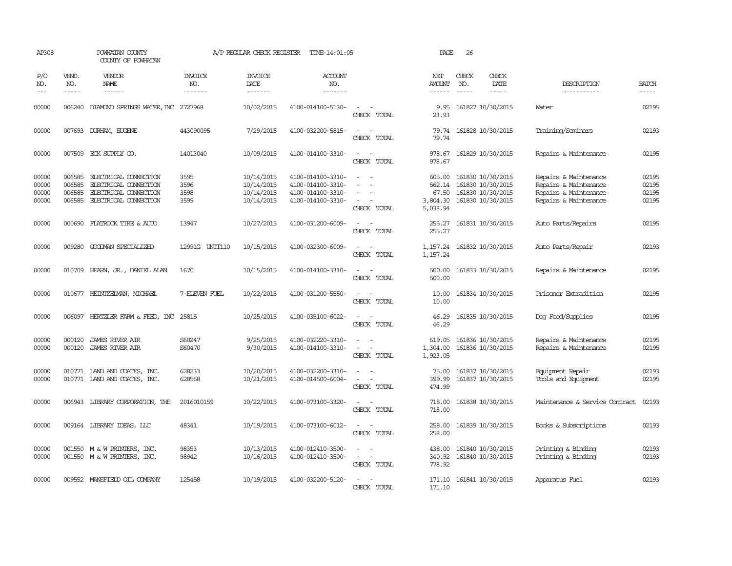| AP308                            |                                      | POWHATAN COUNTY<br>COUNTY OF POWHATAN                                                                   |                                  | A/P REGULAR CHECK REGISTER                           | TIME-14:01:05                                                                    |                                                                     | PAGE                                              | 26                            |                                                                                  |                                                                                                  |                                  |
|----------------------------------|--------------------------------------|---------------------------------------------------------------------------------------------------------|----------------------------------|------------------------------------------------------|----------------------------------------------------------------------------------|---------------------------------------------------------------------|---------------------------------------------------|-------------------------------|----------------------------------------------------------------------------------|--------------------------------------------------------------------------------------------------|----------------------------------|
| P/O<br>NO.<br>$\frac{1}{2}$      | VEND.<br>NO.                         | VENDOR<br><b>NAME</b><br>$- - - - - -$                                                                  | <b>INVOICE</b><br>NO.<br>------- | <b>INVOICE</b><br>DATE<br>-------                    | <b>ACCOUNT</b><br>NO.<br>-------                                                 |                                                                     | NET<br><b>AMOUNT</b><br>$- - - - - -$             | CHECK<br>NO.<br>$\frac{1}{2}$ | CHECK<br>DATE<br>$- - - - -$                                                     | DESCRIPTION<br>-----------                                                                       | <b>BATCH</b>                     |
| 00000                            |                                      | 006240 DIAMOND SPRINGS WATER, INC 2727968                                                               |                                  | 10/02/2015                                           | 4100-014100-5130-                                                                | CHECK TOTAL                                                         | 9.95<br>23.93                                     |                               | 161827 10/30/2015                                                                | Water                                                                                            | 02195                            |
| 00000                            | 007693                               | DURHAM, EUGENE                                                                                          | 443090095                        | 7/29/2015                                            | 4100-032200-5815-                                                                | $\overline{\phantom{a}}$<br>CHECK TOTAL                             | 79.74<br>79.74                                    |                               | 161828 10/30/2015                                                                | Training/Seminars                                                                                | 02193                            |
| 00000                            |                                      | 007509 ECK SUPPLY CO.                                                                                   | 14013040                         | 10/09/2015                                           | 4100-014100-3310-                                                                | $\overline{\phantom{a}}$<br>$\sim$<br>CHECK TOTAL                   | 978.67<br>978.67                                  |                               | 161829 10/30/2015                                                                | Repairs & Maintenance                                                                            | 02195                            |
| 00000<br>00000<br>00000<br>00000 | 006585<br>006585<br>006585<br>006585 | ELECTRICAL CONNECTION<br>ELECTRICAL CONNECTION<br>ELECTRICAL CONNECTION<br><b>ELECTRICAL CONNECTION</b> | 3595<br>3596<br>3598<br>3599     | 10/14/2015<br>10/14/2015<br>10/14/2015<br>10/14/2015 | 4100-014100-3310-<br>4100-014100-3310-<br>4100-014100-3310-<br>4100-014100-3310- | $\overline{\phantom{a}}$<br>$\overline{\phantom{a}}$<br>CHECK TOTAL | 605.00<br>562.14<br>67.50<br>3,804.30<br>5,038.94 |                               | 161830 10/30/2015<br>161830 10/30/2015<br>161830 10/30/2015<br>161830 10/30/2015 | Repairs & Maintenance<br>Repairs & Maintenance<br>Repairs & Maintenance<br>Repairs & Maintenance | 02195<br>02195<br>02195<br>02195 |
| 00000                            |                                      | 000690 FLATROCK TIRE & AUTO                                                                             | 13947                            | 10/27/2015                                           | 4100-031200-6009-                                                                | $\equiv$<br>CHECK TOTAL                                             | 255.27<br>255.27                                  |                               | 161831 10/30/2015                                                                | Auto Parts/Repairs                                                                               | 02195                            |
| 00000                            |                                      | 009280 GOODMAN SPECIALIZED                                                                              | 12991G UNIT110                   | 10/15/2015                                           | 4100-032300-6009-                                                                | $\equiv$<br>$\sim$<br>CHECK TOTAL                                   | 1,157.24<br>1,157.24                              |                               | 161832 10/30/2015                                                                | Auto Parts/Repair                                                                                | 02193                            |
| 00000                            |                                      | 010709 HEARN, JR., DANIEL ALAN                                                                          | 1670                             | 10/15/2015                                           | 4100-014100-3310-                                                                | $\sim$<br>CHECK TOTAL                                               | 500.00<br>500.00                                  |                               | 161833 10/30/2015                                                                | Repairs & Maintenance                                                                            | 02195                            |
| 00000                            |                                      | 010677 HEINTZELMAN, MICHAEL                                                                             | 7-ELEVEN FUEL                    | 10/22/2015                                           | 4100-031200-5550-                                                                | $\sim$<br>$\sim$<br>CHECK TOTAL                                     | 10.00<br>10.00                                    |                               | 161834 10/30/2015                                                                | Prisoner Extradition                                                                             | 02195                            |
| 00000                            |                                      | 006097 HERTZLER FARM & FEED, INC 25815                                                                  |                                  | 10/25/2015                                           | 4100-035100-6022-                                                                | $\equiv$<br>$\sim$<br>CHECK TOTAL                                   | 46.29<br>46.29                                    |                               | 161835 10/30/2015                                                                | Dog Food/Supplies                                                                                | 02195                            |
| 00000<br>00000                   | 000120<br>000120                     | JAMES RIVER AIR<br><b>JAMES RIVER AIR</b>                                                               | S60247<br>S60470                 | 9/25/2015<br>9/30/2015                               | 4100-032220-3310-<br>4100-014100-3310-                                           | $\equiv$<br>$\sim$<br>CHECK TOTAL                                   | 619.05<br>1,304.00<br>1,923.05                    |                               | 161836 10/30/2015<br>161836 10/30/2015                                           | Repairs & Maintenance<br>Repairs & Maintenance                                                   | 02195<br>02195                   |
| 00000<br>00000                   |                                      | 010771 LAND AND COATES, INC.<br>010771 LAND AND COATES, INC.                                            | 628233<br>628568                 | 10/20/2015<br>10/21/2015                             | 4100-032200-3310-<br>4100-014500-6004-                                           | $\equiv$<br>$\overline{\phantom{a}}$<br>CHECK TOTAL                 | 75.00<br>399.99<br>474.99                         |                               | 161837 10/30/2015<br>161837 10/30/2015                                           | Equipment Repair<br>Tools and Equipment                                                          | 02193<br>02195                   |
| 00000                            | 006943                               | LIBRARY CORPORATION, THE                                                                                | 2016010159                       | 10/22/2015                                           | 4100-073100-3320-                                                                | CHECK TOTAL                                                         | 718.00<br>718.00                                  |                               | 161838 10/30/2015                                                                | Maintenance & Service Contract                                                                   | 02193                            |
| 00000                            |                                      | 009164 LIBRARY IDEAS, LLC                                                                               | 48341                            | 10/19/2015                                           | 4100-073100-6012-                                                                | CHECK TOTAL                                                         | 258.00<br>258.00                                  |                               | 161839 10/30/2015                                                                | Books & Subscriptions                                                                            | 02193                            |
| 00000<br>00000                   |                                      | 001550 M & W PRINTERS, INC.<br>001550 M & W PRINTERS, INC.                                              | 98353<br>98942                   | 10/13/2015<br>10/16/2015                             | 4100-012410-3500-<br>4100-012410-3500-                                           | $\sim$ $ \sim$<br>CHECK TOTAL                                       | 438.00<br>340.92<br>778.92                        |                               | 161840 10/30/2015<br>161840 10/30/2015                                           | Printing & Binding<br>Printing & Binding                                                         | 02193<br>02193                   |
| 00000                            |                                      | 009552 MANSFIELD OIL COMPANY                                                                            | 125458                           | 10/19/2015                                           | 4100-032200-5120-                                                                | $\sim$<br>$\sim$<br>CHECK TOTAL                                     | 171.10                                            |                               | 171.10 161841 10/30/2015                                                         | Apparatus Fuel                                                                                   | 02193                            |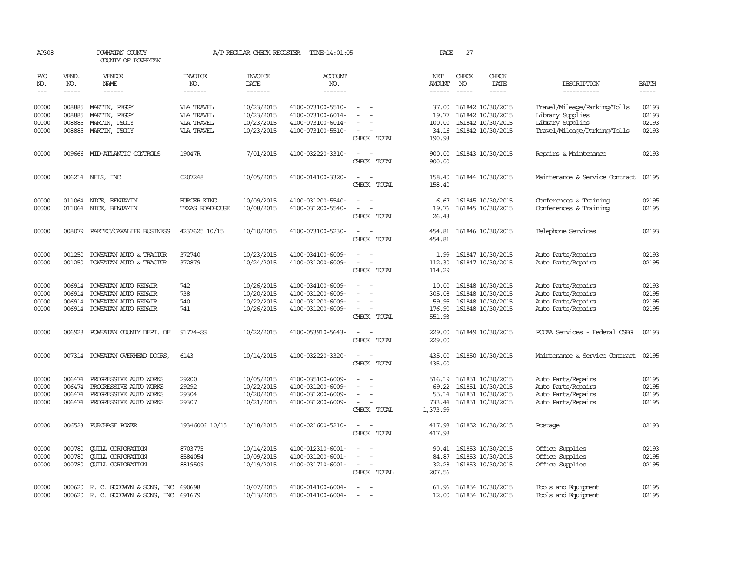| AP308                            |                            | POWHATAN COUNTY<br>COUNTY OF POWHATAN                                                                                     |                                                      | A/P REGULAR CHECK REGISTER                           | TIME-14:01:05                                                                    |                                                                                        | PAGE                                           | 27            |                                                                                              |                                                                                                      |                                  |
|----------------------------------|----------------------------|---------------------------------------------------------------------------------------------------------------------------|------------------------------------------------------|------------------------------------------------------|----------------------------------------------------------------------------------|----------------------------------------------------------------------------------------|------------------------------------------------|---------------|----------------------------------------------------------------------------------------------|------------------------------------------------------------------------------------------------------|----------------------------------|
| P/O<br>NO.                       | VEND.<br>NO.               | <b>VENDOR</b><br>NAME                                                                                                     | <b>INVOICE</b><br>NO.                                | <b>INVOICE</b><br>DATE                               | ACCOUNT<br>NO.                                                                   |                                                                                        | NET<br>AMOUNT                                  | CHECK<br>NO.  | CHECK<br>DATE                                                                                | DESCRIPTION                                                                                          | <b>BATCH</b>                     |
| $---$                            | $\frac{1}{2}$              | $- - - - - -$                                                                                                             | --------                                             | -------                                              | -------                                                                          |                                                                                        | $- - - - - -$                                  | $\frac{1}{2}$ | -----                                                                                        | -----------                                                                                          |                                  |
| 00000<br>00000<br>00000<br>00000 | 008885<br>008885<br>008885 | MARTIN, PEGGY<br>MARTIN, PEGGY<br>MARTIN, PEGGY<br>008885 MARTIN, PEGGY                                                   | VIA TRAVEL<br>VIA TRAVEL<br>VIA TRAVEL<br>VIA TRAVEL | 10/23/2015<br>10/23/2015<br>10/23/2015<br>10/23/2015 | 4100-073100-5510-<br>4100-073100-6014-<br>4100-073100-6014-<br>4100-073100-5510- | $\sim$<br>CHECK TOTAL                                                                  | 19.77<br>100.00<br>190.93                      |               | 37.00 161842 10/30/2015<br>161842 10/30/2015<br>161842 10/30/2015<br>34.16 161842 10/30/2015 | Travel/Mileage/Parking/Tolls<br>Library Supplies<br>Library Supplies<br>Travel/Mileage/Parking/Tolls | 02193<br>02193<br>02193<br>02193 |
| 00000                            |                            | 009666 MID-ATLANTIC CONTROLS                                                                                              | 19047R                                               | 7/01/2015                                            | 4100-032220-3310-                                                                | $\sim$<br>$\sim$<br>CHECK TOTAL                                                        | 900.00<br>900.00                               |               | 161843 10/30/2015                                                                            | Repairs & Maintenance                                                                                | 02193                            |
| 00000                            |                            | 006214 NEIS, INC.                                                                                                         | 0207248                                              | 10/05/2015                                           | 4100-014100-3320-                                                                | $\sim$<br>CHECK TOTAL                                                                  | 158.40<br>158.40                               |               | 161844 10/30/2015                                                                            | Maintenance & Service Contract                                                                       | 02195                            |
| 00000<br>00000                   |                            | 011064 NICE, BENJAMIN<br>011064 NICE, BENJAMIN                                                                            | <b>BURGER KING</b><br><b>TEXAS ROADHOUSE</b>         | 10/09/2015<br>10/08/2015                             | 4100-031200-5540-<br>4100-031200-5540-                                           | $\sim$<br>CHECK TOTAL                                                                  | 6.67<br>19.76<br>26.43                         |               | 161845 10/30/2015<br>161845 10/30/2015                                                       | Conferences & Training<br>Conferences & Training                                                     | 02195<br>02195                   |
| 00000                            | 008079                     | PAETEC/CAVALIER BUSINESS                                                                                                  | 4237625 10/15                                        | 10/10/2015                                           | 4100-073100-5230-                                                                | CHECK TOTAL                                                                            | 454.81<br>454.81                               |               | 161846 10/30/2015                                                                            | Telephone Services                                                                                   | 02193                            |
| 00000<br>00000                   | 001250<br>001250           | POWHATAN AUTO & TRACTOR<br>POWHATAN AUTO & TRACTOR                                                                        | 372740<br>372879                                     | 10/23/2015<br>10/24/2015                             | 4100-034100-6009-<br>4100-031200-6009-                                           | $\omega$<br>$\overline{a}$<br>CHECK TOTAL                                              | 1.99<br>112.30<br>114.29                       |               | 161847 10/30/2015<br>161847 10/30/2015                                                       | Auto Parts/Repairs<br>Auto Parts/Repairs                                                             | 02193<br>02195                   |
| 00000<br>00000<br>00000<br>00000 | 006914                     | 006914 POWHATAN AUTO REPAIR<br>POWHATAN AUTO REPAIR<br>006914 POWHATAN AUTO REPAIR<br>006914 POWHATAN AUTO REPAIR         | 742<br>738<br>740<br>741                             | 10/26/2015<br>10/20/2015<br>10/22/2015<br>10/26/2015 | 4100-034100-6009-<br>4100-031200-6009-<br>4100-031200-6009-<br>4100-031200-6009- | CHECK TOTAL                                                                            | 10.00<br>305.08<br>59.95<br>176.90<br>551.93   |               | 161848 10/30/2015<br>161848 10/30/2015<br>161848 10/30/2015<br>161848 10/30/2015             | Auto Parts/Repairs<br>Auto Parts/Repairs<br>Auto Parts/Repairs<br>Auto Parts/Repairs                 | 02193<br>02195<br>02195<br>02195 |
| 00000                            |                            | 006928 POWHATAN COUNTY DEPT. OF                                                                                           | 91774-SS                                             | 10/22/2015                                           | 4100-053910-5643-                                                                | $\sim$<br>CHECK TOTAL                                                                  | 229.00<br>229.00                               |               | 161849 10/30/2015                                                                            | PCCAA Services - Federal CSBG                                                                        | 02193                            |
| 00000                            |                            | 007314 POWHATAN OVERHEAD DOORS,                                                                                           | 6143                                                 | 10/14/2015                                           | 4100-032220-3320-                                                                | CHECK TOTAL                                                                            | 435.00<br>435.00                               |               | 161850 10/30/2015                                                                            | Maintenance & Service Contract                                                                       | 02195                            |
| 00000<br>00000<br>00000<br>00000 | 006474                     | PROGRESSIVE AUTO WORKS<br>006474 PROGRESSIVE AUTO WORKS<br>006474 PROGRESSIVE AUTO WORKS<br>006474 PROGRESSIVE AUTO WORKS | 29200<br>29292<br>29304<br>29307                     | 10/05/2015<br>10/22/2015<br>10/20/2015<br>10/21/2015 | 4100-035100-6009-<br>4100-031200-6009-<br>4100-031200-6009-<br>4100-031200-6009- | $\sim$<br>CHECK TOTAL                                                                  | 516.19<br>69.22<br>55.14<br>733.44<br>1,373.99 |               | 161851 10/30/2015<br>161851 10/30/2015<br>161851 10/30/2015<br>161851 10/30/2015             | Auto Parts/Repairs<br>Auto Parts/Repairs<br>Auto Parts/Repairs<br>Auto Parts/Repairs                 | 02195<br>02195<br>02195<br>02195 |
| 00000                            |                            | 006523 PURCHASE POWER                                                                                                     | 19346006 10/15                                       | 10/18/2015                                           | 4100-021600-5210-                                                                | $\overline{a}$<br>$\overline{\phantom{a}}$<br>CHECK TOTAL                              | 417.98<br>417.98                               |               | 161852 10/30/2015                                                                            | Postage                                                                                              | 02193                            |
| 00000<br>00000<br>00000          | 000780<br>000780           | <b>CUILL CORPORATION</b><br><b>QUILL CORPORATION</b><br>000780 CUILL CORPORATION                                          | 8703775<br>8584054<br>8819509                        | 10/14/2015<br>10/09/2015<br>10/19/2015               | 4100-012310-6001-<br>4100-031200-6001-<br>4100-031710-6001-                      | $\sim$<br>$\overline{a}$<br>$\omega_{\rm{max}}$ and $\omega_{\rm{max}}$<br>CHECK TOTAL | 84.87<br>207.56                                |               | 90.41 161853 10/30/2015<br>161853 10/30/2015<br>32.28 161853 10/30/2015                      | Office Supplies<br>Office Supplies<br>Office Supplies                                                | 02193<br>02195<br>02195          |
| 00000<br>00000                   |                            | 000620 R. C. GOODWYN & SONS, INC<br>000620 R. C. GOODWYN & SONS, INC                                                      | 690698<br>691679                                     | 10/07/2015<br>10/13/2015                             | 4100-014100-6004-<br>4100-014100-6004-                                           |                                                                                        |                                                |               | 61.96 161854 10/30/2015<br>12.00 161854 10/30/2015                                           | Tools and Equipment<br>Tools and Equipment                                                           | 02195<br>02195                   |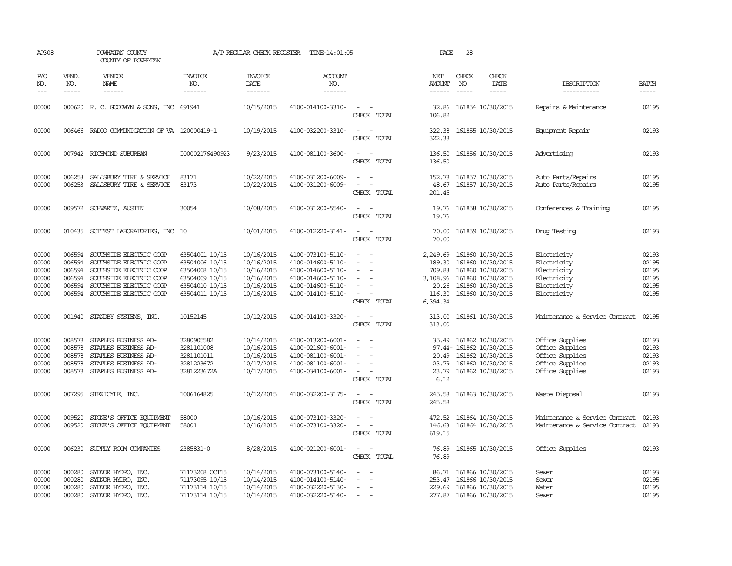| AP308                                              |                                                | POWHATAN COUNTY<br>COUNTY OF POWHATAN                                                                                                                                 |                                                                                                          | A/P REGULAR CHECK REGISTER                                                       | TIME-14:01:05                                                                                                              |                                                                                                                             | PAGE                                                                    | 28                          |                                                                                                                                |                                                                                             |                                                    |
|----------------------------------------------------|------------------------------------------------|-----------------------------------------------------------------------------------------------------------------------------------------------------------------------|----------------------------------------------------------------------------------------------------------|----------------------------------------------------------------------------------|----------------------------------------------------------------------------------------------------------------------------|-----------------------------------------------------------------------------------------------------------------------------|-------------------------------------------------------------------------|-----------------------------|--------------------------------------------------------------------------------------------------------------------------------|---------------------------------------------------------------------------------------------|----------------------------------------------------|
| P/O<br>NO.<br>$---$                                | VEND.<br>NO.<br>$- - - - -$                    | <b>VENDOR</b><br>NAME<br>$- - - - - -$                                                                                                                                | <b>INVOICE</b><br>NO.<br>-------                                                                         | <b>INVOICE</b><br>DATE<br>-------                                                | ACCOUNT<br>NO.<br>-------                                                                                                  |                                                                                                                             | NET<br><b>AMOUNT</b>                                                    | CHECK<br>NO.<br>$- - - - -$ | CHECK<br>DATE<br>-----                                                                                                         | DESCRIPTION<br>-----------                                                                  | <b>BATCH</b><br>$- - - - -$                        |
| 00000                                              |                                                | 000620 R. C. GOODWYN & SONS, INC 691941                                                                                                                               |                                                                                                          | 10/15/2015                                                                       | 4100-014100-3310-                                                                                                          | $\sim$<br>CHECK TOTAL                                                                                                       | 32.86<br>106.82                                                         |                             | 161854 10/30/2015                                                                                                              | Repairs & Maintenance                                                                       | 02195                                              |
| 00000                                              |                                                | 006466 RADIO COMMUNICATION OF VA 120000419-1                                                                                                                          |                                                                                                          | 10/19/2015                                                                       | 4100-032200-3310-                                                                                                          | $\sim$<br>$\sim$<br>CHECK TOTAL                                                                                             | 322.38<br>322.38                                                        |                             | 161855 10/30/2015                                                                                                              | Equipment Repair                                                                            | 02193                                              |
| 00000                                              |                                                | 007942 RICHMOND SUBURBAN                                                                                                                                              | I00002176490923                                                                                          | 9/23/2015                                                                        | 4100-081100-3600-                                                                                                          | $\sim$<br>$\sim$<br>CHECK TOTAL                                                                                             | 136.50<br>136.50                                                        |                             | 161856 10/30/2015                                                                                                              | Advertising                                                                                 | 02193                                              |
| 00000<br>00000                                     | 006253                                         | SALISBURY TIRE & SERVICE<br>006253 SALISBURY TIRE & SERVICE                                                                                                           | 83171<br>83173                                                                                           | 10/22/2015<br>10/22/2015                                                         | 4100-031200-6009-<br>4100-031200-6009-                                                                                     | $\sim$<br>CHECK TOTAL                                                                                                       | 152.78<br>48.67<br>201.45                                               |                             | 161857 10/30/2015<br>161857 10/30/2015                                                                                         | Auto Parts/Repairs<br>Auto Parts/Repairs                                                    | 02195<br>02195                                     |
| 00000                                              |                                                | 009572 SCHWARTZ, AUSTIN                                                                                                                                               | 30054                                                                                                    | 10/08/2015                                                                       | 4100-031200-5540-                                                                                                          | CHECK TOTAL                                                                                                                 | 19.76<br>19.76                                                          |                             | 161858 10/30/2015                                                                                                              | Conferences & Training                                                                      | 02195                                              |
| 00000                                              |                                                | 010435 SCITEST LABORATORIES, INC 10                                                                                                                                   |                                                                                                          | 10/01/2015                                                                       | 4100-012220-3141-                                                                                                          | $\frac{1}{2} \left( \frac{1}{2} \right) \left( \frac{1}{2} \right) = \frac{1}{2} \left( \frac{1}{2} \right)$<br>CHECK TOTAL | 70.00<br>70.00                                                          |                             | 161859 10/30/2015                                                                                                              | Druq Testinq                                                                                | 02193                                              |
| 00000<br>00000<br>00000<br>00000<br>00000<br>00000 | 006594<br>006594<br>006594<br>006594<br>006594 | SOUTHSIDE ELECTRIC COOP<br>SOUTHSIDE ELECTRIC COOP<br>SOUTHSIDE ELECTRIC COOP<br>SOUTHSIDE ELECTRIC COOP<br>SOUTHSIDE ELECTRIC COOP<br>006594 SOUTHSIDE ELECTRIC COOP | 63504001 10/15<br>63504006 10/15<br>63504008 10/15<br>63504009 10/15<br>63504010 10/15<br>63504011 10/15 | 10/16/2015<br>10/16/2015<br>10/16/2015<br>10/16/2015<br>10/16/2015<br>10/16/2015 | 4100-073100-5110-<br>4100-014600-5110-<br>4100-014600-5110-<br>4100-014600-5110-<br>4100-014600-5110-<br>4100-014100-5110- | $\overline{\phantom{a}}$<br>$\overline{\phantom{a}}$<br>CHECK TOTAL                                                         | 2,249.69<br>189.30<br>709.83<br>3,108.96<br>20.26<br>116.30<br>6,394.34 |                             | 161860 10/30/2015<br>161860 10/30/2015<br>161860 10/30/2015<br>161860 10/30/2015<br>161860 10/30/2015<br>161860 10/30/2015     | Electricity<br>Electricity<br>Electricity<br>Electricity<br>Electricity<br>Electricity      | 02193<br>02195<br>02195<br>02195<br>02195<br>02195 |
| 00000                                              |                                                | 001940 STANDBY SYSTEMS, INC.                                                                                                                                          | 10152145                                                                                                 | 10/12/2015                                                                       | 4100-014100-3320-                                                                                                          | $\sim$<br>CHECK TOTAL                                                                                                       | 313.00<br>313.00                                                        |                             | 161861 10/30/2015                                                                                                              | Maintenance & Service Contract                                                              | 02195                                              |
| 00000<br>00000<br>00000<br>00000<br>00000          | 008578<br>008578<br>008578<br>008578           | STAPLES BUSINESS AD-<br>STAPLES BUSINESS AD-<br>STAPLES BUSINESS AD-<br>STAPLES BUSINESS AD-<br>008578 STAPLES BUSINESS AD-                                           | 3280905582<br>3281101008<br>3281101011<br>3281223672<br>3281223672A                                      | 10/14/2015<br>10/16/2015<br>10/16/2015<br>10/17/2015<br>10/17/2015               | 4100-013200-6001-<br>4100-021600-6001-<br>4100-081100-6001-<br>4100-081100-6001-<br>4100-034100-6001-                      | $\overline{\phantom{a}}$<br>$\overline{\phantom{a}}$<br>$\overline{\phantom{a}}$<br>$\sim$<br>CHECK TOTAL                   | 35.49<br>6.12                                                           |                             | 161862 10/30/2015<br>97.44- 161862 10/30/2015<br>20.49 161862 10/30/2015<br>23.79 161862 10/30/2015<br>23.79 161862 10/30/2015 | Office Supplies<br>Office Supplies<br>Office Supplies<br>Office Supplies<br>Office Supplies | 02193<br>02193<br>02193<br>02193<br>02193          |
| 00000                                              |                                                | 007295 STERICYLE, INC.                                                                                                                                                | 1006164825                                                                                               | 10/12/2015                                                                       | 4100-032200-3175-                                                                                                          | $\overline{\phantom{a}}$<br>$\sim$<br>CHECK TOTAL                                                                           | 245.58<br>245.58                                                        |                             | 161863 10/30/2015                                                                                                              | Waste Disposal                                                                              | 02193                                              |
| 00000<br>00000                                     | 009520                                         | STONE'S OFFICE EQUIPMENT<br>009520 STONE'S OFFICE EQUIPMENT                                                                                                           | 58000<br>58001                                                                                           | 10/16/2015<br>10/16/2015                                                         | 4100-073100-3320-<br>4100-073100-3320-                                                                                     | $\overline{\phantom{a}}$<br>$\overline{\phantom{a}}$<br>CHECK TOTAL                                                         | 472.52<br>146.63<br>619.15                                              |                             | 161864 10/30/2015<br>161864 10/30/2015                                                                                         | Maintenance & Service Contract<br>Maintenance & Service Contract                            | 02193<br>02193                                     |
| 00000                                              |                                                | 006230 SUPPLY ROOM COMPANIES                                                                                                                                          | 2385831-0                                                                                                | 8/28/2015                                                                        | 4100-021200-6001-                                                                                                          | $\sim$<br>$\overline{\phantom{a}}$<br>CHECK TOTAL                                                                           | 76.89<br>76.89                                                          |                             | 161865 10/30/2015                                                                                                              | Office Supplies                                                                             | 02193                                              |
| 00000<br>00000<br>00000<br>00000                   | 000280<br>000280<br>000280<br>000280           | SYDNOR HYDRO, INC.<br>SYDNOR HYDRO, INC.<br>SYLNOR HYDRO, INC.<br>SYLNOR HYDRO, INC.                                                                                  | 71173208 OCT15<br>71173095 10/15<br>71173114 10/15<br>71173114 10/15                                     | 10/14/2015<br>10/14/2015<br>10/14/2015<br>10/14/2015                             | 4100-073100-5140-<br>4100-014100-5140-<br>4100-032220-5130-<br>4100-032220-5140-                                           | $\sim$<br>$\overline{\phantom{a}}$<br>$\sim$<br>$\sim$<br>$\overline{\phantom{a}}$                                          | 86.71                                                                   |                             | 161866 10/30/2015<br>253.47 161866 10/30/2015<br>229.69 161866 10/30/2015<br>277.87 161866 10/30/2015                          | Sewer<br>Sewer<br>Water<br>Sewer                                                            | 02193<br>02195<br>02195<br>02195                   |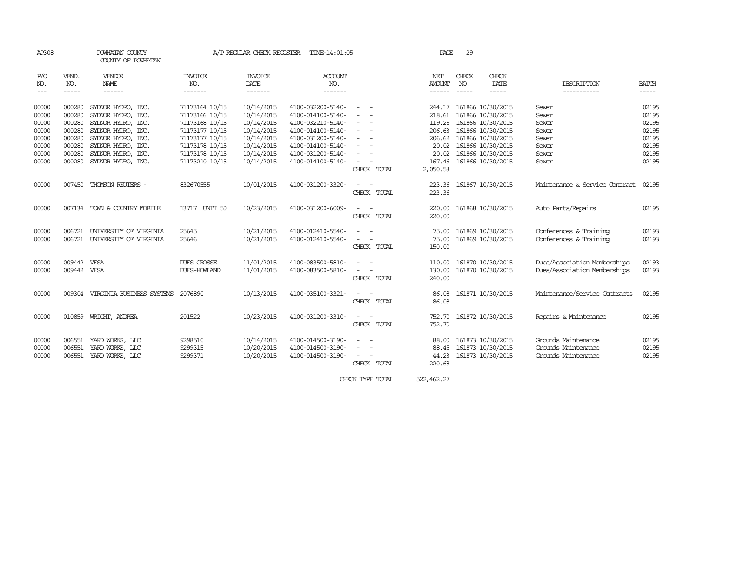| AP308    |             | POWHATAN COUNTY<br>COUNTY OF POWHATAN    |                | A/P REGULAR CHECK REGISTER | TIME-14:01:05     |                                            | PAGE             | 29          |                   |                                |                                                                |
|----------|-------------|------------------------------------------|----------------|----------------------------|-------------------|--------------------------------------------|------------------|-------------|-------------------|--------------------------------|----------------------------------------------------------------|
| P/O      | VEND.       | VENDOR                                   | <b>INVOICE</b> | <b>INVOICE</b>             | ACCOUNT           |                                            | NET              | CHECK       | CHECK             |                                |                                                                |
| NO.      | NO.         | <b>NAME</b>                              | NO.            | DATE                       | NO.               |                                            | <b>AMOUNT</b>    | NO.         | DATE              | DESCRIPTION                    | <b>BATCH</b>                                                   |
| $\cdots$ | $- - - - -$ | ------                                   | --------       | --------                   | -------           |                                            | ------           | $- - - - -$ | -----             | -----------                    | $\begin{tabular}{ccccc} - & - & - & - \\ \hline \end{tabular}$ |
| 00000    | 000280      | SYDNOR HYDRO, INC.                       | 71173164 10/15 | 10/14/2015                 | 4100-032200-5140- | $\hspace{0.1mm}-\hspace{0.1mm}$            | 244.17           |             | 161866 10/30/2015 | Sewer                          | 02195                                                          |
| 00000    | 000280      | SYDNOR HYDRO, INC.                       | 71173166 10/15 | 10/14/2015                 | 4100-014100-5140- |                                            | 218.61           |             | 161866 10/30/2015 | Sewer                          | 02195                                                          |
| 00000    | 000280      | SYDNOR HYDRO, INC.                       | 71173168 10/15 | 10/14/2015                 | 4100-032210-5140- |                                            | 119.26           |             | 161866 10/30/2015 | Sewer                          | 02195                                                          |
| 00000    | 000280      | SYDNOR HYDRO, INC.                       | 71173177 10/15 | 10/14/2015                 | 4100-014100-5140- | $\sim$                                     | 206.63           |             | 161866 10/30/2015 | Sewer                          | 02195                                                          |
| 00000    | 000280      | SYDNOR HYDRO, INC.                       | 71173177 10/15 | 10/14/2015                 | 4100-031200-5140- | $\overline{\phantom{a}}$<br>$\overline{a}$ | 206.62           |             | 161866 10/30/2015 | Sewer                          | 02195                                                          |
| 00000    | 000280      | SYDNOR HYDRO, INC.                       | 71173178 10/15 | 10/14/2015                 | 4100-014100-5140- |                                            | 20.02            |             | 161866 10/30/2015 | Sewer                          | 02195                                                          |
| 00000    | 000280      | SYDNOR HYDRO, INC.                       | 71173178 10/15 | 10/14/2015                 | 4100-031200-5140- |                                            | 20.02            |             | 161866 10/30/2015 | Sewer                          | 02195                                                          |
| 00000    | 000280      | SYDNOR HYDRO, INC.                       | 71173210 10/15 | 10/14/2015                 | 4100-014100-5140- |                                            | 167.46           |             | 161866 10/30/2015 | Sewer                          | 02195                                                          |
|          |             |                                          |                |                            |                   | CHECK TOTAL                                | 2,050.53         |             |                   |                                |                                                                |
| 00000    | 007450      | THOMSON REUTERS -                        | 832670555      | 10/01/2015                 | 4100-031200-3320- | CHECK TOTAL                                | 223.36<br>223.36 |             | 161867 10/30/2015 | Maintenance & Service Contract | 02195                                                          |
| 00000    |             | 007134 TOWN & COUNTRY MOBILE             | 13717 UNIT 50  | 10/23/2015                 | 4100-031200-6009- | CHECK TOTAL                                | 220.00<br>220.00 |             | 161868 10/30/2015 | Auto Parts/Repairs             | 02195                                                          |
| 00000    | 006721      | UNIVERSITY OF VIRGINIA                   | 25645          | 10/21/2015                 | 4100-012410-5540- |                                            | 75.00            |             | 161869 10/30/2015 | Conferences & Training         | 02193                                                          |
| 00000    | 006721      | UNIVERSITY OF VIRGINIA                   | 25646          | 10/21/2015                 | 4100-012410-5540- |                                            | 75.00            |             | 161869 10/30/2015 | Conferences & Training         | 02193                                                          |
|          |             |                                          |                |                            |                   | CHECK TOTAL                                | 150.00           |             |                   |                                |                                                                |
| 00000    | 009442      | VESA                                     | DUES GROSSE    | 11/01/2015                 | 4100-083500-5810- |                                            | 110.00           |             | 161870 10/30/2015 | Dues/Association Memberships   | 02193                                                          |
| 00000    | 009442 VESA |                                          | DUES-HOWLAND   | 11/01/2015                 | 4100-083500-5810- |                                            | 130.00           |             | 161870 10/30/2015 | Dues/Association Memberships   | 02193                                                          |
|          |             |                                          |                |                            |                   | CHECK TOTAL                                | 240.00           |             |                   |                                |                                                                |
| 00000    |             | 009304 VIRGINIA BUSINESS SYSTEMS 2076890 |                | 10/13/2015                 | 4100-035100-3321- |                                            | 86.08            |             | 161871 10/30/2015 | Maintenance/Service Contracts  | 02195                                                          |
|          |             |                                          |                |                            |                   | CHECK TOTAL                                | 86.08            |             |                   |                                |                                                                |
| 00000    |             | 010859 WRIGHT, ANDREA                    | 201522         | 10/23/2015                 | 4100-031200-3310- | $\sim$ $-$<br>$\overline{\phantom{a}}$     | 752.70           |             | 161872 10/30/2015 | Repairs & Maintenance          | 02195                                                          |
|          |             |                                          |                |                            |                   | CHECK TOTAL                                | 752.70           |             |                   |                                |                                                                |
| 00000    | 006551      | YARD WORKS, LLC                          | 9298510        | 10/14/2015                 | 4100-014500-3190- |                                            | 88.00            |             | 161873 10/30/2015 | Grounds Maintenance            | 02195                                                          |
| 00000    | 006551      | YARD WORKS, LLC                          | 9299315        | 10/20/2015                 | 4100-014500-3190- | $\sim$<br>$\overline{\phantom{a}}$         | 88.45            |             | 161873 10/30/2015 | Grounds Maintenance            | 02195                                                          |
| 00000    | 006551      | YARD WORKS, LLC                          | 9299371        | 10/20/2015                 | 4100-014500-3190- |                                            | 44.23            |             | 161873 10/30/2015 | Grounds Maintenance            | 02195                                                          |
|          |             |                                          |                |                            |                   | CHECK TOTAL                                | 220.68           |             |                   |                                |                                                                |

CHECK TYPE TOTAL 522,462.27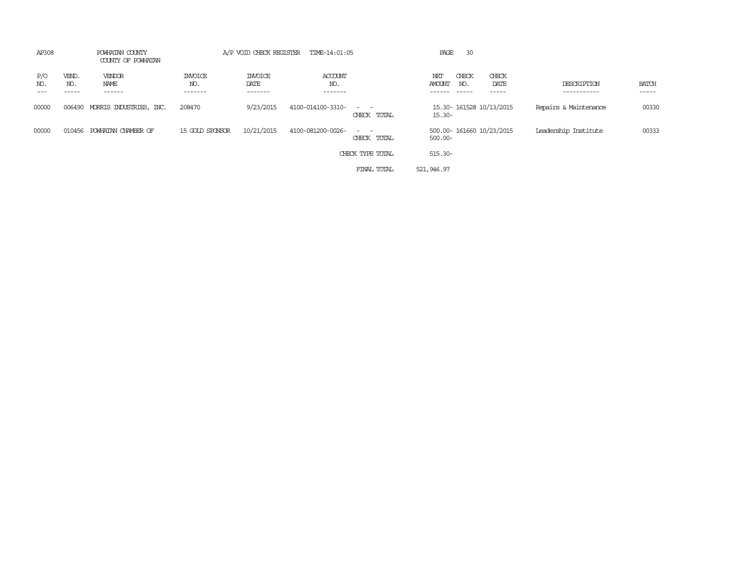| AP308      |                       | POWHATAN COUNTY<br>COUNTY OF POWHATAN |                                  |                                   | A/P VOID CHECK REGISTER TIME-14:01:05 |                               | PAGE                          | 30                        |                            |                        |
|------------|-----------------------|---------------------------------------|----------------------------------|-----------------------------------|---------------------------------------|-------------------------------|-------------------------------|---------------------------|----------------------------|------------------------|
| P/O<br>NO. | VEND.<br>NO.<br>----- | VENDOR<br>NAME<br>------              | <b>INVOICE</b><br>NO.<br>------- | <b>INVOICE</b><br>DATE<br>------- | ACCOUNT<br>NO.<br>-------             |                               | CHECK<br>NET<br>AMOUNT<br>NO. | CHECK<br>DATE<br>-----    | DESCRIPTION<br>----------- | <b>BATCH</b><br>------ |
| 00000      | 006490                | MORRIS INDUSTRIES, INC.               | 208470                           | 9/23/2015                         | 4100-014100-3310-                     | $\sim$ $ \sim$<br>CHECK TOTAL | $15.30 -$                     | 15.30-161528 10/13/2015   | Repairs & Maintenance      | 00330                  |
| 00000      | 010456                | POWHATAN CHAMBER OF                   | 15 GOLD SPONSOR                  | 10/21/2015                        | 4100-081200-0026-                     | $\sim$ $-$<br>CHECK TOTAL     | $500.00 -$                    | 500.00- 161660 10/23/2015 | Leadership Institute       | 00333                  |
|            |                       |                                       |                                  |                                   |                                       | CHECK TYPE TOTAL              | 515.30-                       |                           |                            |                        |
|            |                       |                                       |                                  |                                   |                                       | FINAL TOTAL                   | 521,946.97                    |                           |                            |                        |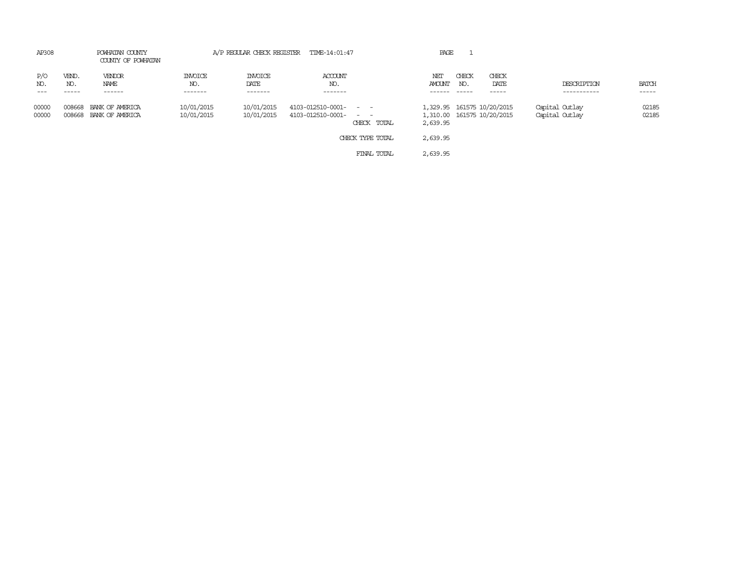| AP308          |                  | POWHATAN COUNTY<br>COUNTY OF POWHATAN |                                  |                                   | A/P REGULAR CHECK REGISTER TIME-14:01:47                      | PAGE          |              |                                                          |                                  |                       |
|----------------|------------------|---------------------------------------|----------------------------------|-----------------------------------|---------------------------------------------------------------|---------------|--------------|----------------------------------------------------------|----------------------------------|-----------------------|
| P/O<br>NO.     | VEND.<br>NO.     | VENDOR<br>NAME<br>------              | <b>INVOICE</b><br>NO.<br>------- | <b>INVOICE</b><br>DATE<br>------- | ACCOUNT<br>NO.<br>-------                                     | NET<br>AMOUNT | CHECK<br>NO. | CHECK<br>DATE<br>-----                                   | DESCRIPTION<br>-----------       | <b>BATCH</b><br>----- |
| 00000<br>00000 | 008668<br>008668 | BANK OF AMERICA<br>BANK OF AMERICA    | 10/01/2015<br>10/01/2015         | 10/01/2015<br>10/01/2015          | 4103-012510-0001- - -<br>4103-012510-0001- - -<br>CHECK TOTAL | 2,639.95      |              | 1,329.95 161575 10/20/2015<br>1,310.00 161575 10/20/2015 | Capital Outlay<br>Capital Outlay | 02185<br>02185        |
|                |                  |                                       |                                  |                                   | CHECK TYPE TOTAL                                              | 2,639.95      |              |                                                          |                                  |                       |
|                |                  |                                       |                                  |                                   | FINAL TOTAL                                                   | 2,639.95      |              |                                                          |                                  |                       |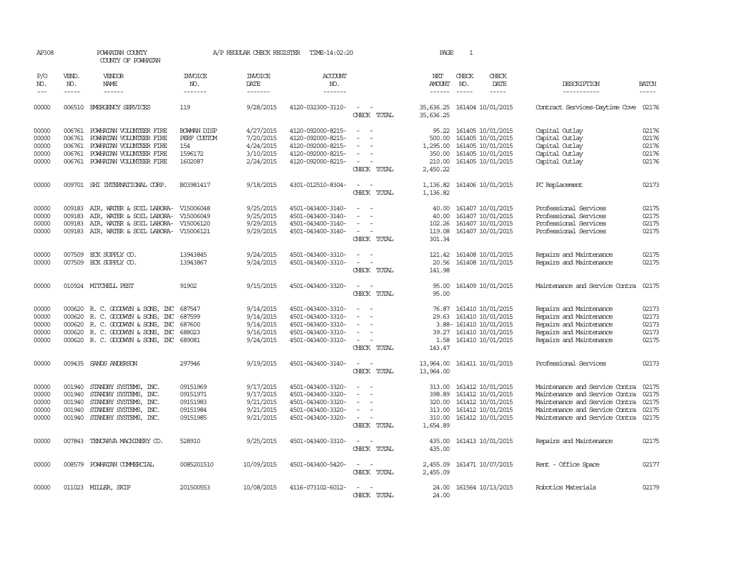| AP308      |              | POWHATAN COUNTY<br>COUNTY OF POWHATAN      |                       | A/P REGULAR CHECK REGISTER    | TIME-14:02:20         |                                         | PAGE                   | $\mathbf{1}$  |                        |                                |              |
|------------|--------------|--------------------------------------------|-----------------------|-------------------------------|-----------------------|-----------------------------------------|------------------------|---------------|------------------------|--------------------------------|--------------|
| P/O<br>NO. | VEND.<br>NO. | <b>VENDOR</b><br>NAME                      | <b>INVOICE</b><br>NO. | <b>INVOICE</b><br><b>DATE</b> | <b>ACCOUNT</b><br>NO. |                                         | NET<br><b>AMOUNT</b>   | CHECK<br>NO.  | CHECK<br>DATE          | DESCRIPTION                    | <b>BATCH</b> |
| $---$      | $- - - - -$  | $- - - - - -$                              | -------               | -------                       | -------               |                                         | $- - - - - -$          | $\frac{1}{2}$ | -----                  | -----------                    | $- - - - -$  |
| 00000      |              | 006510 EMERGENCY SERVICES                  | 119                   | 9/28/2015                     | 4120-032300-3110-     | $\overline{\phantom{a}}$<br>CHECK TOTAL | 35,636.25<br>35,636.25 |               | 161404 10/01/2015      | Contract Services-Daytime Cove | 02176        |
| 00000      |              | 006761 POWHATAN VOLUNTEER FIRE             | <b>BOWAN DISP</b>     | 4/27/2015                     | 4120-092000-8215-     | $\equiv$<br>$\sim$                      | 95.22                  |               | 161405 10/01/2015      | Capital Outlay                 | 02176        |
| 00000      | 006761       | POWHATAN VOLUNTEER FIRE                    | PERF CUSTOM           | 7/20/2015                     | 4120-092000-8215-     |                                         | 500.00                 |               | 161405 10/01/2015      | Capital Outlay                 | 02176        |
| 00000      | 006761       | POWHATAN VOLUNTEER FIRE                    | 154                   | 4/24/2015                     | 4120-092000-8215-     |                                         | 1,295.00               |               | 161405 10/01/2015      | Capital Outlay                 | 02176        |
| 00000      | 006761       | POWHATAN VOLUNTEER FIRE                    | 1596172               | 3/10/2015                     | 4120-092000-8215-     | $\equiv$                                | 350.00                 |               | 161405 10/01/2015      | Capital Outlay                 | 02176        |
| 00000      |              | 006761 POWHATAN VOLUNTEER FIRE             | 1602087               | 2/24/2015                     | 4120-092000-8215-     |                                         | 210.00                 |               | 161405 10/01/2015      | Capital Outlay                 | 02176        |
|            |              |                                            |                       |                               |                       | CHECK TOTAL                             | 2,450.22               |               |                        |                                |              |
| 00000      |              | 009701 SHI INTERNATIONAL CORP.             | B03981417             | 9/18/2015                     | 4301-012510-8304-     | $\sim$<br>CHECK TOTAL                   | 1,136.82<br>1,136.82   |               | 161406 10/01/2015      | PC Replacement                 | 02173        |
| 00000      | 009183       | AIR, WATER & SOIL LABORA-                  | V15006048             | 9/25/2015                     | 4501-043400-3140-     |                                         | 40.00                  |               | 161407 10/01/2015      | Professional Services          | 02175        |
| 00000      | 009183       | AIR, WATER & SOIL LABORA-                  | V15006049             | 9/25/2015                     | 4501-043400-3140-     | $\equiv$                                | 40.00                  |               | 161407 10/01/2015      | Professional Services          | 02175        |
| 00000      | 009183       | AIR, WATER & SOIL LABORA- V15006120        |                       | 9/29/2015                     | 4501-043400-3140-     |                                         | 102.26                 |               | 161407 10/01/2015      | Professional Services          | 02175        |
| 00000      |              | 009183 AIR, WATER & SOIL LABORA- V15006121 |                       | 9/29/2015                     | 4501-043400-3140-     |                                         | 119.08                 |               | 161407 10/01/2015      | Professional Services          | 02175        |
|            |              |                                            |                       |                               |                       | CHECK TOTAL                             | 301.34                 |               |                        |                                |              |
| 00000      | 007509       | ECK SUPPLY CO.                             | 13943845              | 9/24/2015                     | 4501-043400-3310-     |                                         | 121.42                 |               | 161408 10/01/2015      | Repairs and Maintenance        | 02175        |
| 00000      |              | 007509 ECK SUPPLY CO.                      | 13943867              | 9/24/2015                     | 4501-043400-3310-     | $\sim$<br>$\overline{\phantom{a}}$      | 20.56                  |               | 161408 10/01/2015      | Repairs and Maintenance        | 02175        |
|            |              |                                            |                       |                               |                       | CHECK TOTAL                             | 141.98                 |               |                        |                                |              |
| 00000      |              | 010924 MITCHELL PEST                       | 91902                 | 9/15/2015                     | 4501-043400-3320-     | $\sim$ $\sim$<br>CHECK TOTAL            | 95.00<br>95.00         |               | 161409 10/01/2015      | Maintenance and Service Contra | 02175        |
|            |              |                                            |                       |                               |                       |                                         |                        |               |                        |                                |              |
| 00000      |              | 000620 R. C. GOODWYN & SONS, INC           | 687547                | 9/14/2015                     | 4501-043400-3310-     |                                         | 76.87                  |               | 161410 10/01/2015      | Repairs and Maintenance        | 02173        |
| 00000      | 000620       | R. C. GOODWYN & SONS, INC                  | 687599                | 9/14/2015                     | 4501-043400-3310-     |                                         | 29.63                  |               | 161410 10/01/2015      | Repairs and Maintenance        | 02173        |
| 00000      | 000620       | R. C. GOODWYN & SONS, INC                  | 687600                | 9/14/2015                     | 4501-043400-3310-     |                                         |                        |               | 3.88-161410 10/01/2015 | Repairs and Maintenance        | 02173        |
| 00000      |              | 000620 R. C. GOODWYN & SONS, INC           | 688023                | 9/16/2015                     | 4501-043400-3310-     |                                         | 39.27                  |               | 161410 10/01/2015      | Repairs and Maintenance        | 02173        |
| 00000      |              | 000620 R. C. GOODWYN & SONS, INC           | 689081                | 9/24/2015                     | 4501-043400-3310-     |                                         | 1.58                   |               | 161410 10/01/2015      | Repairs and Maintenance        | 02175        |
|            |              |                                            |                       |                               |                       | CHECK TOTAL                             | 143.47                 |               |                        |                                |              |
| 00000      |              | 009435 SANDS ANDERSON                      | 297946                | 9/19/2015                     | 4501-043400-3140-     | $\sim$<br>CHECK TOTAL                   | 13,964.00<br>13,964.00 |               | 161411 10/01/2015      | Professional Services          | 02173        |
| 00000      | 001940       | STANDBY SYSTEMS, INC.                      | 09151969              | 9/17/2015                     | 4501-043400-3320-     |                                         | 313.00                 |               | 161412 10/01/2015      | Maintenance and Service Contra | 02175        |
| 00000      | 001940       | STANDBY SYSTEMS, INC.                      | 09151971              | 9/17/2015                     | 4501-043400-3320-     |                                         | 398.89                 |               | 161412 10/01/2015      | Maintenance and Service Contra | 02175        |
| 00000      | 001940       | STANDBY SYSTEMS, INC.                      | 09151983              | 9/21/2015                     | 4501-043400-3320-     | $\equiv$                                | 320.00                 |               | 161412 10/01/2015      | Maintenance and Service Contra | 02175        |
| 00000      | 001940       | STANDBY SYSTEMS, INC.                      | 09151984              | 9/21/2015                     | 4501-043400-3320-     | $\sim$                                  | 313.00                 |               | 161412 10/01/2015      | Maintenance and Service Contra | 02175        |
| 00000      |              | 001940 STANDBY SYSTEMS, INC.               | 09151985              | 9/21/2015                     | 4501-043400-3320-     | $\equiv$<br>$\sim$                      | 310.00                 |               | 161412 10/01/2015      | Maintenance and Service Contra | 02175        |
|            |              |                                            |                       |                               |                       | CHECK TOTAL                             | 1,654.89               |               |                        |                                |              |
| 00000      |              | 007843 TENCARVA MACHINERY CO.              | 528910                | 9/25/2015                     | 4501-043400-3310-     | $\sim$<br>CHECK TOTAL                   | 435.00<br>435.00       |               | 161413 10/01/2015      | Repairs and Maintenance        | 02175        |
|            |              |                                            |                       |                               |                       | $\equiv$                                |                        |               |                        |                                |              |
| 00000      | 008579       | POWHATAN COMMERCIAL                        | 0085201510            | 10/09/2015                    | 4501-043400-5420-     | $\sim$<br>CHECK TOTAL                   | 2,455.09<br>2,455.09   |               | 161471 10/07/2015      | Rent - Office Space            | 02177        |
|            |              |                                            |                       |                               |                       |                                         |                        |               |                        |                                |              |
| 00000      |              | 011023 MILLER, SKIP                        | 201500553             | 10/08/2015                    | 4116-073102-6012-     | CHECK TOTAL                             | 24.00<br>24.00         |               | 161564 10/13/2015      | Robotics Materials             | 02179        |
|            |              |                                            |                       |                               |                       |                                         |                        |               |                        |                                |              |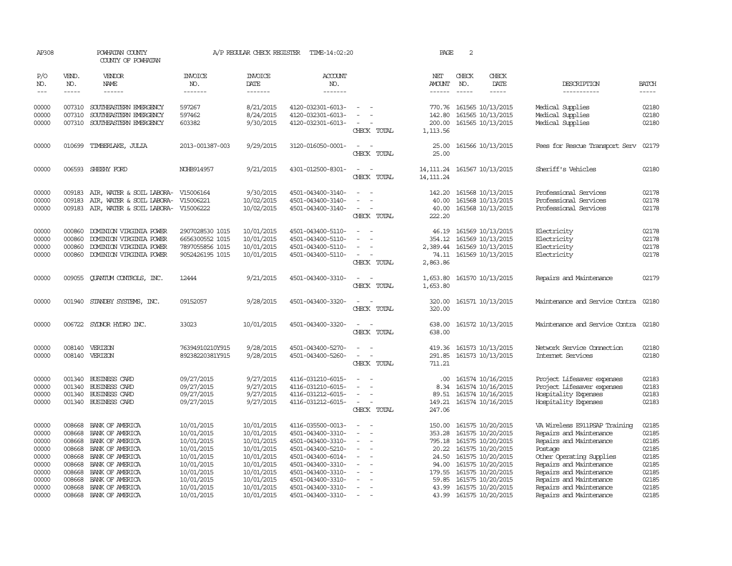| AP308                            |                                      | POWHATAN COUNTY<br>COUNTY OF POWHATAN                                                                    |                                                                          | A/P REGULAR CHECK REGISTER                           | TIME-14:02:20                                                                    |                                                                | PAGE                                 | 2                                                                                |                                                                                                          |                                  |
|----------------------------------|--------------------------------------|----------------------------------------------------------------------------------------------------------|--------------------------------------------------------------------------|------------------------------------------------------|----------------------------------------------------------------------------------|----------------------------------------------------------------|--------------------------------------|----------------------------------------------------------------------------------|----------------------------------------------------------------------------------------------------------|----------------------------------|
| P/O<br>NO.                       | VEND.<br>NO.                         | VENDOR<br><b>NAME</b>                                                                                    | <b>INVOICE</b><br>NO.                                                    | <b>INVOICE</b><br><b>DATE</b>                        | <b>ACCOUNT</b><br>NO.                                                            |                                                                | NET<br>AMOUNT                        | CHECK<br>CHECK<br>DATE<br>NO.                                                    | DESCRIPTION                                                                                              | <b>BATCH</b>                     |
| $---$<br>00000                   | $- - - - -$<br>007310                | ------<br>SOUTHEASTERN EMERGENCY                                                                         | -------<br>597267                                                        | -------<br>8/21/2015                                 | -------<br>4120-032301-6013-                                                     | $\overline{\phantom{a}}$                                       | $- - - - - -$<br>770.76              | $\frac{1}{2}$<br>$- - - - -$<br>161565 10/13/2015                                | -----------<br>Medical Supplies                                                                          | -----<br>02180                   |
| 00000<br>00000                   | 007310<br>007310                     | SOUTHEASTERN EMERGENCY<br>SOUTHEASTERN EMERGENCY                                                         | 597462<br>603382                                                         | 8/24/2015<br>9/30/2015                               | 4120-032301-6013-<br>4120-032301-6013-                                           | CHECK TOTAL                                                    | 142.80<br>200.00<br>1,113.56         | 161565 10/13/2015<br>161565 10/13/2015                                           | Medical Supplies<br>Medical Supplies                                                                     | 02180<br>02180                   |
| 00000                            |                                      | 010699 TIMBERLAKE, JULIA                                                                                 | 2013-001387-003                                                          | 9/29/2015                                            | 3120-016050-0001-                                                                | CHECK TOTAL                                                    | 25.00<br>25.00                       | 161566 10/13/2015                                                                | Fees for Rescue Transport Serv                                                                           | 02179                            |
| 00000                            | 006593                               | SHEEHY FORD                                                                                              | NOHB914957                                                               | 9/21/2015                                            | 4301-012500-8301-                                                                | CHECK TOTAL                                                    | 14, 111, 24<br>14, 111, 24           | 161567 10/13/2015                                                                | Sheriff's Vehicles                                                                                       | 02180                            |
| 00000                            | 009183                               | AIR, WATER & SOIL LABORA-                                                                                | V15006164                                                                | 9/30/2015                                            | 4501-043400-3140-                                                                | $\overline{\phantom{a}}$                                       | 142.20                               | 161568 10/13/2015                                                                | Professional Services                                                                                    | 02178                            |
| 00000<br>00000                   | 009183<br>009183                     | AIR, WATER & SOIL LABORA-<br>AIR, WATER & SOIL LABORA-                                                   | V15006221<br>V15006222                                                   | 10/02/2015<br>10/02/2015                             | 4501-043400-3140-<br>4501-043400-3140-                                           | CHECK TOTAL                                                    | 40.00<br>40.00<br>222.20             | 161568 10/13/2015<br>161568 10/13/2015                                           | Professional Services<br>Professional Services                                                           | 02178<br>02178                   |
| 00000<br>00000<br>00000<br>00000 | 000860<br>000860<br>000860<br>000860 | DOMINION VIRGINIA POWER<br>DOMINION VIRGINIA POWER<br>DOMINION VIRGINIA POWER<br>DOMINION VIRGINIA POWER | 2907028530 1015<br>6656300552 1015<br>7897055856 1015<br>9052426195 1015 | 10/01/2015<br>10/01/2015<br>10/01/2015<br>10/01/2015 | 4501-043400-5110-<br>4501-043400-5110-<br>4501-043400-5110-<br>4501-043400-5110- | $\overline{\phantom{a}}$<br>$\overline{\phantom{a}}$           | 46.19<br>354.12<br>2,389.44<br>74.11 | 161569 10/13/2015<br>161569 10/13/2015<br>161569 10/13/2015<br>161569 10/13/2015 | Electricity<br>Electricity<br>Electricity<br>Electricity                                                 | 02178<br>02178<br>02178<br>02178 |
| 00000                            | 009055                               | QUANTUM CONTROLS, INC.                                                                                   | 12444                                                                    | 9/21/2015                                            | 4501-043400-3310-                                                                | CHECK TOTAL<br>$\overline{\phantom{a}}$                        | 2,863.86<br>1,653.80                 | 161570 10/13/2015                                                                | Repairs and Maintenance                                                                                  | 02179                            |
|                                  |                                      |                                                                                                          |                                                                          |                                                      |                                                                                  | CHECK TOTAL                                                    | 1,653.80                             |                                                                                  |                                                                                                          |                                  |
| 00000                            |                                      | 001940 STANDBY SYSTEMS, INC.                                                                             | 09152057                                                                 | 9/28/2015                                            | 4501-043400-3320-                                                                | CHECK TOTAL                                                    | 320.00<br>320.00                     | 161571 10/13/2015                                                                | Maintenance and Service Contra                                                                           | 02180                            |
| 00000                            |                                      | 006722 SYDNOR HYDRO INC.                                                                                 | 33023                                                                    | 10/01/2015                                           | 4501-043400-3320-                                                                | $\equiv$<br>$\sim$<br>CHECK TOTAL                              | 638.00<br>638.00                     | 161572 10/13/2015                                                                | Maintenance and Service Contra                                                                           | 02180                            |
| 00000<br>00000                   |                                      | 008140 VERIZON<br>008140 VERIZON                                                                         | 76394910210Y915<br>89238220381Y915                                       | 9/28/2015<br>9/28/2015                               | 4501-043400-5270-<br>4501-043400-5260-                                           | CHECK TOTAL                                                    | 291.85<br>711.21                     | 419.36 161573 10/13/2015<br>161573 10/13/2015                                    | Network Service Connection<br>Internet Services                                                          | 02180<br>02180                   |
| 00000<br>00000<br>00000<br>00000 | 001340<br>001340<br>001340<br>001340 | <b>BUSINESS CARD</b><br>BUSINESS CARD<br><b>BUSINESS CARD</b><br>BUSINESS CARD                           | 09/27/2015<br>09/27/2015<br>09/27/2015<br>09/27/2015                     | 9/27/2015<br>9/27/2015<br>9/27/2015<br>9/27/2015     | 4116-031210-6015-<br>4116-031210-6015-<br>4116-031212-6015-<br>4116-031212-6015- | $\sim$<br>$\overline{\phantom{a}}$<br>$\overline{\phantom{a}}$ | .00.<br>8.34<br>89.51<br>149.21      | 161574 10/16/2015<br>161574 10/16/2015<br>161574 10/16/2015<br>161574 10/16/2015 | Project Lifesaver expenses<br>Project Lifesaver expenses<br>Hospitality Expenses<br>Hospitality Expenses | 02183<br>02183<br>02183<br>02183 |
| 00000                            | 008668                               | BANK OF AMERICA                                                                                          | 10/01/2015                                                               | 10/01/2015                                           | 4116-035500-0013-                                                                | CHECK TOTAL                                                    | 247.06<br>150.00                     | 161575 10/20/2015                                                                | VA Wireless E911PSAP Training                                                                            | 02185                            |
| 00000<br>00000<br>00000<br>00000 | 008668<br>008668<br>008668<br>008668 | BANK OF AMERICA<br>BANK OF AMERICA<br>BANK OF AMERICA<br>BANK OF AMERICA                                 | 10/01/2015<br>10/01/2015<br>10/01/2015<br>10/01/2015                     | 10/01/2015<br>10/01/2015<br>10/01/2015<br>10/01/2015 | 4501-043400-3310-<br>4501-043400-3310-<br>4501-043400-5210-<br>4501-043400-6014- | $\overline{\phantom{a}}$<br>$\equiv$                           | 353.28<br>795.18<br>20.22<br>24.50   | 161575 10/20/2015<br>161575 10/20/2015<br>161575 10/20/2015<br>161575 10/20/2015 | Repairs and Maintenance<br>Repairs and Maintenance<br>Postage<br>Other Operating Supplies                | 02185<br>02185<br>02185<br>02185 |
| 00000<br>00000<br>00000<br>00000 | 008668<br>008668<br>008668<br>008668 | BANK OF AMERICA<br>BANK OF AMERICA<br>BANK OF AMERICA<br>BANK OF AMERICA                                 | 10/01/2015<br>10/01/2015<br>10/01/2015<br>10/01/2015                     | 10/01/2015<br>10/01/2015<br>10/01/2015<br>10/01/2015 | 4501-043400-3310-<br>4501-043400-3310-<br>4501-043400-3310-<br>4501-043400-3310- | $\overline{\phantom{a}}$                                       | 94.00<br>179.55<br>59.85<br>43.99    | 161575 10/20/2015<br>161575 10/20/2015<br>161575 10/20/2015<br>161575 10/20/2015 | Repairs and Maintenance<br>Repairs and Maintenance<br>Repairs and Maintenance<br>Repairs and Maintenance | 02185<br>02185<br>02185<br>02185 |
| 00000                            |                                      | 008668 BANK OF AMERICA                                                                                   | 10/01/2015                                                               | 10/01/2015                                           | 4501-043400-3310-                                                                | $\overline{\phantom{a}}$                                       |                                      | 43.99 161575 10/20/2015                                                          | Repairs and Maintenance                                                                                  | 02185                            |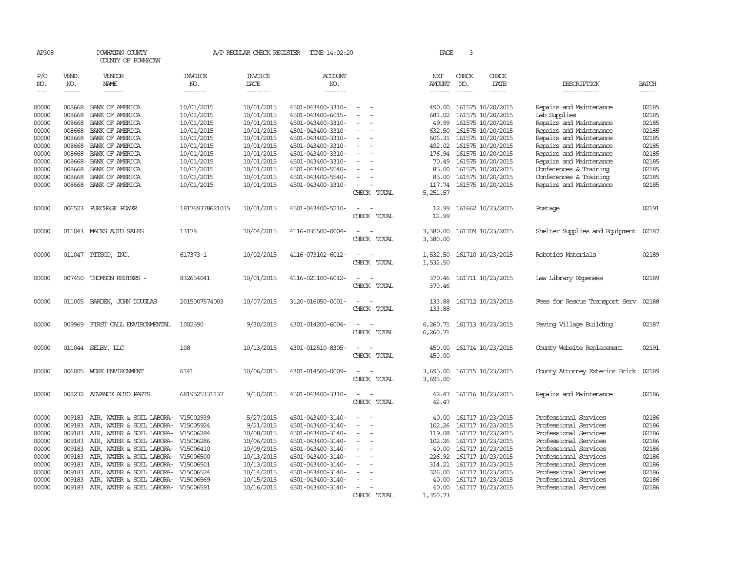| AP308               |                  | POWHATAN COUNTY<br>COUNTY OF POWHATAN                            |                          |                          | A/P REGULAR CHECK REGISTER TIME-14:02:20 |                                         | PAGE                 | 3                                      |               |                                                |                |
|---------------------|------------------|------------------------------------------------------------------|--------------------------|--------------------------|------------------------------------------|-----------------------------------------|----------------------|----------------------------------------|---------------|------------------------------------------------|----------------|
| P/O<br>NO.          | VEND.<br>NO.     | VENDOR<br>NAME                                                   | INVOICE<br>NO.           | <b>INVOICE</b><br>DATE   | <b>ACCOUNT</b><br>NO.                    |                                         | NET<br>AMOUNT        | CHECK<br>NO.                           | CHECK<br>DATE | DESCRIPTION                                    | <b>BATCH</b>   |
| $\qquad \qquad - -$ | $- - - - -$      | ------                                                           | -------                  | -------                  | -------                                  |                                         | $- - - - - -$        | $- - - - -$                            | -----         | -----------                                    | $- - - - -$    |
| 00000<br>00000      | 008668<br>008668 | BANK OF AMERICA<br>BANK OF AMERICA                               | 10/01/2015<br>10/01/2015 | 10/01/2015<br>10/01/2015 | 4501-043400-3310-<br>4501-043400-6015-   | $\sim$<br>$\overline{\phantom{a}}$      | 490.00<br>681.02     | 161575 10/20/2015<br>161575 10/20/2015 |               | Repairs and Maintenance<br>Lab Supplies        | 02185<br>02185 |
| 00000               | 008668           | BANK OF AMERICA                                                  | 10/01/2015               | 10/01/2015               | 4501-043400-3310-                        |                                         | 49.99                | 161575 10/20/2015                      |               | Repairs and Maintenance                        | 02185          |
| 00000               | 008668           | BANK OF AMERICA                                                  | 10/01/2015               | 10/01/2015               | 4501-043400-3310-                        | $\equiv$<br>$\overline{\phantom{a}}$    | 632.50               | 161575 10/20/2015                      |               | Repairs and Maintenance                        | 02185          |
| 00000               | 008668           | BANK OF AMERICA                                                  | 10/01/2015               | 10/01/2015               | 4501-043400-3310-                        | $\overline{\phantom{a}}$                | 606.31               | 161575 10/20/2015                      |               | Repairs and Maintenance                        | 02185          |
| 00000               | 008668           | BANK OF AMERICA                                                  | 10/01/2015               | 10/01/2015               | 4501-043400-3310-                        |                                         | 492.02               | 161575 10/20/2015                      |               | Repairs and Maintenance                        | 02185          |
| 00000               | 008668           | BANK OF AMERICA                                                  | 10/01/2015               | 10/01/2015               | 4501-043400-3310-                        |                                         | 176.94               | 161575 10/20/2015                      |               | Repairs and Maintenance                        | 02185          |
| 00000               | 008668           | BANK OF AMERICA                                                  | 10/01/2015               | 10/01/2015               | 4501-043400-3310-                        |                                         |                      | 70.49 161575 10/20/2015                |               | Repairs and Maintenance                        | 02185          |
| 00000               | 008668           | BANK OF AMERICA                                                  | 10/01/2015               | 10/01/2015               | 4501-043400-5540-                        |                                         | 85.00                | 161575 10/20/2015                      |               | Conferences & Training                         | 02185          |
| 00000               | 008668           | BANK OF AMERICA                                                  | 10/01/2015               | 10/01/2015               | 4501-043400-5540-                        |                                         |                      | 85.00 161575 10/20/2015                |               | Conferences & Training                         | 02185          |
| 00000               |                  | 008668 BANK OF AMERICA                                           | 10/01/2015               | 10/01/2015               | 4501-043400-3310-                        | $\overline{\phantom{a}}$<br>CHECK TOTAL | 117.74<br>5,251.57   | 161575 10/20/2015                      |               | Repairs and Maintenance                        | 02185          |
|                     |                  |                                                                  |                          |                          |                                          |                                         |                      |                                        |               |                                                |                |
| 00000               |                  | 006523 PURCHASE POWER                                            | 181769378621015          | 10/01/2015               | 4501-043400-5210-                        | CHECK TOTAL                             | 12.99<br>12.99       | 161662 10/23/2015                      |               | Postage                                        | 02191          |
| 00000               |                  | 011043 MACKS AUTO SALES                                          | 13178                    | 10/04/2015               | 4116-035500-0004-                        | CHECK TOTAL                             | 3,380.00<br>3,380.00 | 161709 10/23/2015                      |               | Shelter Supplies and Equipment                 | 02187          |
|                     |                  |                                                                  |                          |                          |                                          |                                         |                      |                                        |               |                                                |                |
| 00000               |                  | 011047 PITSCO, INC.                                              | 617373-1                 | 10/02/2015               | 4116-073102-6012-                        | CHECK TOTAL                             | 1,532.50<br>1,532.50 | 161710 10/23/2015                      |               | Robotics Materials                             | 02189          |
| 00000               | 007450           | THOMSON REUTERS -                                                | 832654041                | 10/01/2015               | 4116-021100-6012-                        | CHECK TOTAL                             | 370.46<br>370.46     | 161711 10/23/2015                      |               | Law Library Expenses                           | 02189          |
| 00000               |                  | 011005 BARDEN, JOHN DOUGLAS                                      | 2015007574003            | 10/07/2015               | 3120-016050-0001-                        | CHECK TOTAL                             | 133.88<br>133.88     | 161712 10/23/2015                      |               | Fees for Rescue Transport Serv                 | 02188          |
| 00000               | 009969           | FIRST CALL ENVIRONMENTAL                                         | 1002590                  | 9/30/2015                | 4301-014200-6004-                        | CHECK TOTAL                             | 6,260.71             | 6, 260.71 161713 10/23/2015            |               | Paving Village Building                        | 02187          |
| 00000               |                  | 011044 SELBY, LLC                                                | 108                      | 10/13/2015               | 4301-012510-8305-                        | TOTAL<br>CHECK                          | 450.00<br>450.00     | 161714 10/23/2015                      |               | County Website Replacement                     | 02191          |
| 00000               |                  | 006005 WORK ENVIRONMENT                                          | 6141                     | 10/06/2015               | 4301-014500-0009-                        | $\overline{\phantom{a}}$<br>CHECK TOTAL | 3,695.00<br>3,695.00 | 161715 10/23/2015                      |               | County Attorney Exterior Brick                 | 02189          |
| 00000               |                  | 008232 ADVANCE AUTO PARTS                                        | 6819525331137            | 9/10/2015                | 4501-043400-3310-                        | $\sim$<br>CHECK TOTAL                   | 42.47<br>42.47       | 161716 10/23/2015                      |               | Repairs and Maintenance                        | 02186          |
| 00000               | 009183           | AIR, WATER & SOIL LABORA-                                        | V15002939                | 5/27/2015                | 4501-043400-3140-                        |                                         | 40.00                | 161717 10/23/2015                      |               | Professional Services                          | 02186          |
| 00000               | 009183           | AIR, WATER & SOIL LABORA- V15005924                              |                          | 9/21/2015                | 4501-043400-3140-                        | $\sim$<br>$\overline{\phantom{a}}$      | 102.26               | 161717 10/23/2015                      |               | Professional Services                          | 02186          |
| 00000               | 009183           | AIR, WATER & SOIL LABORA- V15006284                              |                          | 10/08/2015               | 4501-043400-3140-                        | $\sim$                                  | 119.08               | 161717 10/23/2015                      |               | Professional Services                          | 02186          |
| 00000               | 009183           | AIR, WATER & SOIL LABORA- V15006286                              |                          | 10/06/2015               | 4501-043400-3140-                        |                                         |                      | 102.26 161717 10/23/2015               |               | Professional Services                          | 02186          |
| 00000               | 009183           | AIR, WATER & SOIL LABORA- V15006410                              |                          | 10/09/2015               | 4501-043400-3140-                        |                                         | 40.00                | 161717 10/23/2015                      |               | Professional Services                          | 02186          |
| 00000               | 009183           | AIR, WATER & SOIL LABORA- V15006500                              |                          | 10/13/2015               | 4501-043400-3140-                        | $\overline{\phantom{a}}$                |                      | 226.92 161717 10/23/2015               |               | Professional Services                          | 02186          |
| 00000<br>00000      | 009183<br>009183 | AIR, WATER & SOIL LABORA-                                        | V15006501<br>V15006524   | 10/13/2015               | 4501-043400-3140-                        |                                         | 314.21<br>326.00     | 161717 10/23/2015                      |               | Professional Services<br>Professional Services | 02186<br>02186 |
| 00000               | 009183           | AIR, WATER & SOIL LABORA-<br>AIR, WATER & SOIL LABORA- V15006569 |                          | 10/14/2015<br>10/15/2015 | 4501-043400-3140-<br>4501-043400-3140-   | $\overline{\phantom{a}}$                | 40.00                | 161717 10/23/2015<br>161717 10/23/2015 |               | Professional Services                          | 02186          |
| 00000               |                  | 009183 AIR, WATER & SOIL LABORA- V15006591                       |                          | 10/16/2015               | 4501-043400-3140-                        | $\overline{\phantom{a}}$                | 40.00                | 161717 10/23/2015                      |               | Professional Services                          | 02186          |
|                     |                  |                                                                  |                          |                          |                                          | CHECK TOTAL                             | 1,350.73             |                                        |               |                                                |                |
|                     |                  |                                                                  |                          |                          |                                          |                                         |                      |                                        |               |                                                |                |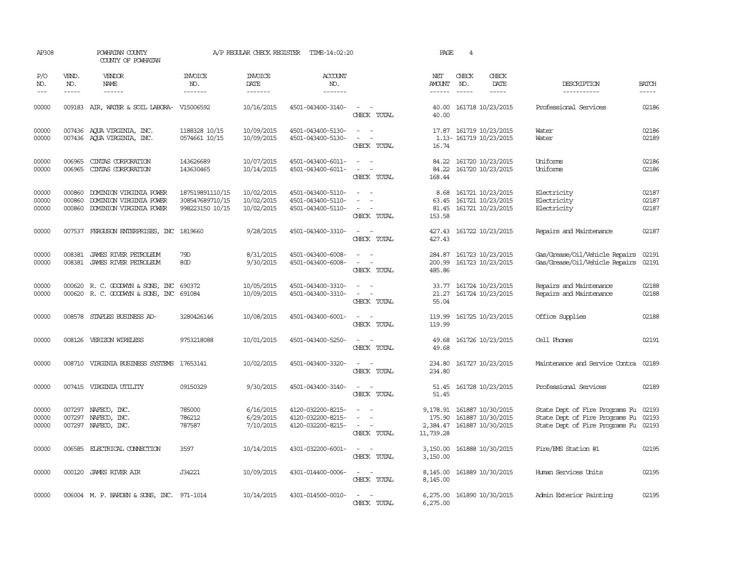| AP308                   |                             | POWHATAN COUNTY<br>COUNTY OF POWHATAN                                         |                                                       | A/P REGULAR CHECK REGISTER             | TIME-14:02:20                                               |                                                                                                                                          | PAGE                                        | 4                           |                                                             |                                                                                                          |                         |
|-------------------------|-----------------------------|-------------------------------------------------------------------------------|-------------------------------------------------------|----------------------------------------|-------------------------------------------------------------|------------------------------------------------------------------------------------------------------------------------------------------|---------------------------------------------|-----------------------------|-------------------------------------------------------------|----------------------------------------------------------------------------------------------------------|-------------------------|
| P/O<br>NO.<br>$---$     | VEND.<br>NO.<br>$- - - - -$ | VENDOR<br><b>NAME</b><br>------                                               | <b>INVOICE</b><br>NO.<br>-------                      | <b>INVOICE</b><br>DATE<br>-------      | ACCOUNT<br>NO.<br>-------                                   |                                                                                                                                          | NET<br>AMOUNT                               | CHECK<br>NO.<br>$- - - - -$ | CHECK<br>DATE<br>-----                                      | DESCRIPTION<br>-----------                                                                               | <b>BATCH</b><br>-----   |
| 00000                   |                             | 009183 AIR, WATER & SOIL LABORA- V15006592                                    |                                                       | 10/16/2015                             | 4501-043400-3140-                                           | $\sim$ $\sim$<br>CHECK TOTAL                                                                                                             | 40.00                                       |                             | 40.00 161718 10/23/2015                                     | Professional Services                                                                                    | 02186                   |
| 00000<br>00000          |                             | 007436 AOUA VIRGINIA, INC.<br>007436 AQUA VIRGINIA, INC.                      | 1188328 10/15<br>0574661 10/15                        | 10/09/2015<br>10/09/2015               | 4501-043400-5130-<br>4501-043400-5130-                      | $\equiv$<br>CHECK TOTAL                                                                                                                  | 16.74                                       |                             | 17.87 161719 10/23/2015<br>1.13-161719 10/23/2015           | Water<br>Water                                                                                           | 02186<br>02189          |
| 00000<br>00000          | 006965<br>006965            | CINIAS CORPORATION<br>CINIAS CORPORATION                                      | 143626689<br>143630465                                | 10/07/2015<br>10/14/2015               | 4501-043400-6011-<br>4501-043400-6011-                      | $\sim$<br>$\sim$<br>CHECK TOTAL                                                                                                          | 84.22<br>84.22<br>168.44                    |                             | 161720 10/23/2015<br>161720 10/23/2015                      | Uniforms<br>Uniforms                                                                                     | 02186<br>02186          |
| 00000<br>00000<br>00000 | 000860<br>000860<br>000860  | DOMINION VIRGINIA POWER<br>DOMINION VIRGINIA POWER<br>DOMINION VIRGINIA POWER | 187519891110/15<br>308547689710/15<br>998223150 10/15 | 10/02/2015<br>10/02/2015<br>10/02/2015 | 4501-043400-5110-<br>4501-043400-5110-<br>4501-043400-5110- | $\sim$<br>$\equiv$<br>$\overline{a}$<br>$\sim$<br>CHECK TOTAL                                                                            | 8.68<br>63.45<br>81.45<br>153.58            |                             | 161721 10/23/2015<br>161721 10/23/2015<br>161721 10/23/2015 | Electricity<br>Electricity<br>Electricity                                                                | 02187<br>02187<br>02187 |
| 00000                   |                             | 007537 FERGUSON ENTERPRISES, INC 1819660                                      |                                                       | 9/28/2015                              | 4501-043400-3310-                                           | $\frac{1}{2} \left( \frac{1}{2} \right) \left( \frac{1}{2} \right) \left( \frac{1}{2} \right) \left( \frac{1}{2} \right)$<br>CHECK TOTAL | 427.43                                      |                             | 427.43 161722 10/23/2015                                    | Repairs and Maintenance                                                                                  | 02187                   |
| 00000<br>00000          | 008381<br>008381            | JAMES RIVER PETROLEUM<br>JAMES RIVER PETROLEUM                                | 79D<br>80 <sub>D</sub>                                | 8/31/2015<br>9/30/2015                 | 4501-043400-6008-<br>4501-043400-6008-                      | $\sim$<br>$\equiv$<br>CHECK TOTAL                                                                                                        | 284.87<br>200.99<br>485.86                  |                             | 161723 10/23/2015<br>161723 10/23/2015                      | Gas/Grease/Oil/Vehicle Repairs<br>Gas/Grease/Oil/Vehicle Repairs                                         | 02191<br>02191          |
| 00000<br>00000          |                             | 000620 R.C. GOODWYN & SONS, INC<br>000620 R. C. GOODWYN & SONS, INC           | 690372<br>691084                                      | 10/05/2015<br>10/09/2015               | 4501-043400-3310-<br>4501-043400-3310-                      | $\overline{\phantom{a}}$<br>$\equiv$<br>$\overline{\phantom{a}}$<br>CHECK TOTAL                                                          | 33.77<br>21.27<br>55.04                     |                             | 161724 10/23/2015<br>161724 10/23/2015                      | Repairs and Maintenance<br>Repairs and Maintenance                                                       | 02188<br>02188          |
| 00000                   |                             | 008578 STAPLES BUSINESS AD-                                                   | 3280426146                                            | 10/08/2015                             | 4501-043400-6001-                                           | $\sim$<br>CHECK TOTAL                                                                                                                    | 119.99<br>119.99                            |                             | 161725 10/23/2015                                           | Office Supplies                                                                                          | 02188                   |
| 00000                   |                             | 008126 VERIZON WIRELESS                                                       | 9753218088                                            | 10/01/2015                             | 4501-043400-5250-                                           | $\sim$<br>CHECK TOTAL                                                                                                                    | 49.68<br>49.68                              |                             | 161726 10/23/2015                                           | Cell Phones                                                                                              | 02191                   |
| 00000                   |                             | 008710 VIRGINIA BUSINESS SYSTEMS                                              | 17653141                                              | 10/02/2015                             | 4501-043400-3320-                                           | CHECK TOTAL                                                                                                                              | 234.80<br>234.80                            |                             | 161727 10/23/2015                                           | Maintenance and Service Contra 02189                                                                     |                         |
| 00000                   |                             | 007415 VIRGINIA UTILITY                                                       | 09150329                                              | 9/30/2015                              | 4501-043400-3140-                                           | $\sim$<br>CHECK TOTAL                                                                                                                    | 51.45<br>51.45                              |                             | 161728 10/23/2015                                           | Professional Services                                                                                    | 02189                   |
| 00000<br>00000<br>00000 | 007297                      | 007297 NAFECO, INC.<br>NAFECO, INC.<br>007297 NAFECO, INC.                    | 785000<br>786212<br>787587                            | 6/16/2015<br>6/29/2015<br>7/10/2015    | 4120-032200-8215-<br>4120-032200-8215-<br>4120-032200-8215- | $\equiv$<br>$\sim$<br>$\sim$<br>CHECK TOTAL                                                                                              | 9,178.91<br>175.90<br>2,384.47<br>11,739.28 |                             | 161887 10/30/2015<br>161887 10/30/2015<br>161887 10/30/2015 | State Dept of Fire Programs Fu<br>State Dept of Fire Programs Fu<br>State Dept of Fire Programs Fu 02193 | 02193<br>02193          |
| 00000                   | 006585                      | ELECTRICAL CONNECTION                                                         | 3597                                                  | 10/14/2015                             | 4301-032200-6001-                                           | $\sim$<br>$\overline{\phantom{a}}$<br>CHECK TOTAL                                                                                        | 3,150.00<br>3,150.00                        |                             | 161888 10/30/2015                                           | Fire/EMS Station #1                                                                                      | 02195                   |
| 00000                   |                             | 000120 JAMES RIVER AIR                                                        | J34221                                                | 10/09/2015                             | 4301-014400-0006-                                           | $\frac{1}{2} \left( \frac{1}{2} \right) \left( \frac{1}{2} \right) = \frac{1}{2} \left( \frac{1}{2} \right)$<br>CHECK TOTAL              | 8,145.00<br>8,145.00                        |                             | 161889 10/30/2015                                           | Human Services Units                                                                                     | 02195                   |
| 00000                   |                             | 006004 M. P. BARDEN & SONS, INC. 971-1014                                     |                                                       | 10/14/2015                             | 4301-014500-0010-                                           | $\sim$ 100 $\sim$<br>CHECK TOTAL                                                                                                         | 6,275.00<br>6,275.00                        |                             | 161890 10/30/2015                                           | Admin Exterior Painting                                                                                  | 02195                   |